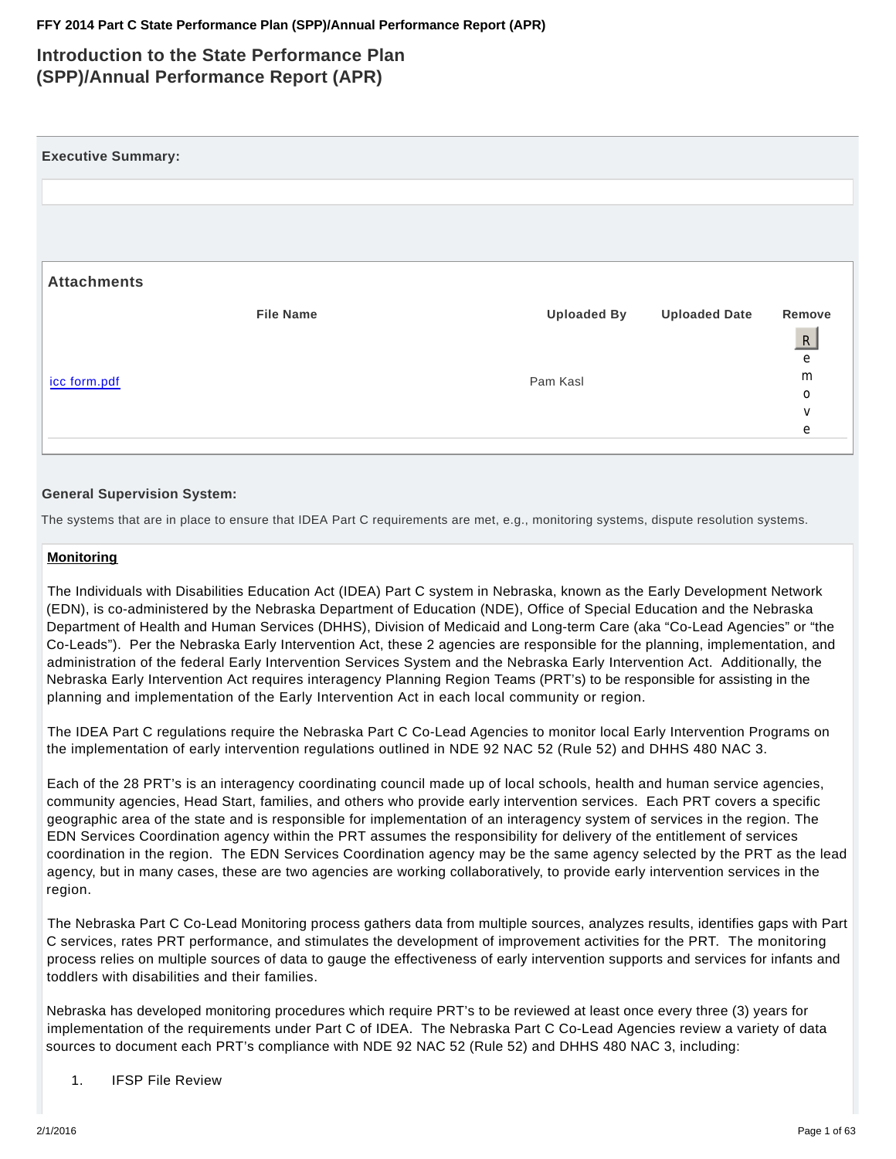# **Introduction to the State Performance Plan (SPP)/Annual Performance Report (APR)**

| <b>Executive Summary:</b> |                  |                    |                      |                   |
|---------------------------|------------------|--------------------|----------------------|-------------------|
|                           |                  |                    |                      |                   |
|                           |                  |                    |                      |                   |
|                           |                  |                    |                      |                   |
| <b>Attachments</b>        |                  |                    |                      |                   |
|                           | <b>File Name</b> | <b>Uploaded By</b> | <b>Uploaded Date</b> | Remove            |
|                           |                  |                    |                      | R                 |
|                           |                  |                    |                      | e                 |
| icc form.pdf              |                  | Pam Kasl           |                      | m                 |
|                           |                  |                    |                      | $\circ$<br>$\vee$ |
|                           |                  |                    |                      | e                 |
|                           |                  |                    |                      |                   |

# **General Supervision System:**

The systems that are in place to ensure that IDEA Part C requirements are met, e.g., monitoring systems, dispute resolution systems.

### **Monitoring**

The Individuals with Disabilities Education Act (IDEA) Part C system in Nebraska, known as the Early Development Network (EDN), is co-administered by the Nebraska Department of Education (NDE), Office of Special Education and the Nebraska Department of Health and Human Services (DHHS), Division of Medicaid and Long-term Care (aka "Co-Lead Agencies" or "the Co-Leads"). Per the Nebraska Early Intervention Act, these 2 agencies are responsible for the planning, implementation, and administration of the federal Early Intervention Services System and the Nebraska Early Intervention Act. Additionally, the Nebraska Early Intervention Act requires interagency Planning Region Teams (PRT's) to be responsible for assisting in the planning and implementation of the Early Intervention Act in each local community or region.

The IDEA Part C regulations require the Nebraska Part C Co-Lead Agencies to monitor local Early Intervention Programs on the implementation of early intervention regulations outlined in NDE 92 NAC 52 (Rule 52) and DHHS 480 NAC 3.

Each of the 28 PRT's is an interagency coordinating council made up of local schools, health and human service agencies, community agencies, Head Start, families, and others who provide early intervention services. Each PRT covers a specific geographic area of the state and is responsible for implementation of an interagency system of services in the region. The EDN Services Coordination agency within the PRT assumes the responsibility for delivery of the entitlement of services coordination in the region. The EDN Services Coordination agency may be the same agency selected by the PRT as the lead agency, but in many cases, these are two agencies are working collaboratively, to provide early intervention services in the region.

The Nebraska Part C Co-Lead Monitoring process gathers data from multiple sources, analyzes results, identifies gaps with Part C services, rates PRT performance, and stimulates the development of improvement activities for the PRT. The monitoring process relies on multiple sources of data to gauge the effectiveness of early intervention supports and services for infants and toddlers with disabilities and their families.

Nebraska has developed monitoring procedures which require PRT's to be reviewed at least once every three (3) years for implementation of the requirements under Part C of IDEA. The Nebraska Part C Co-Lead Agencies review a variety of data sources to document each PRT's compliance with NDE 92 NAC 52 (Rule 52) and DHHS 480 NAC 3, including:

1. IFSP File Review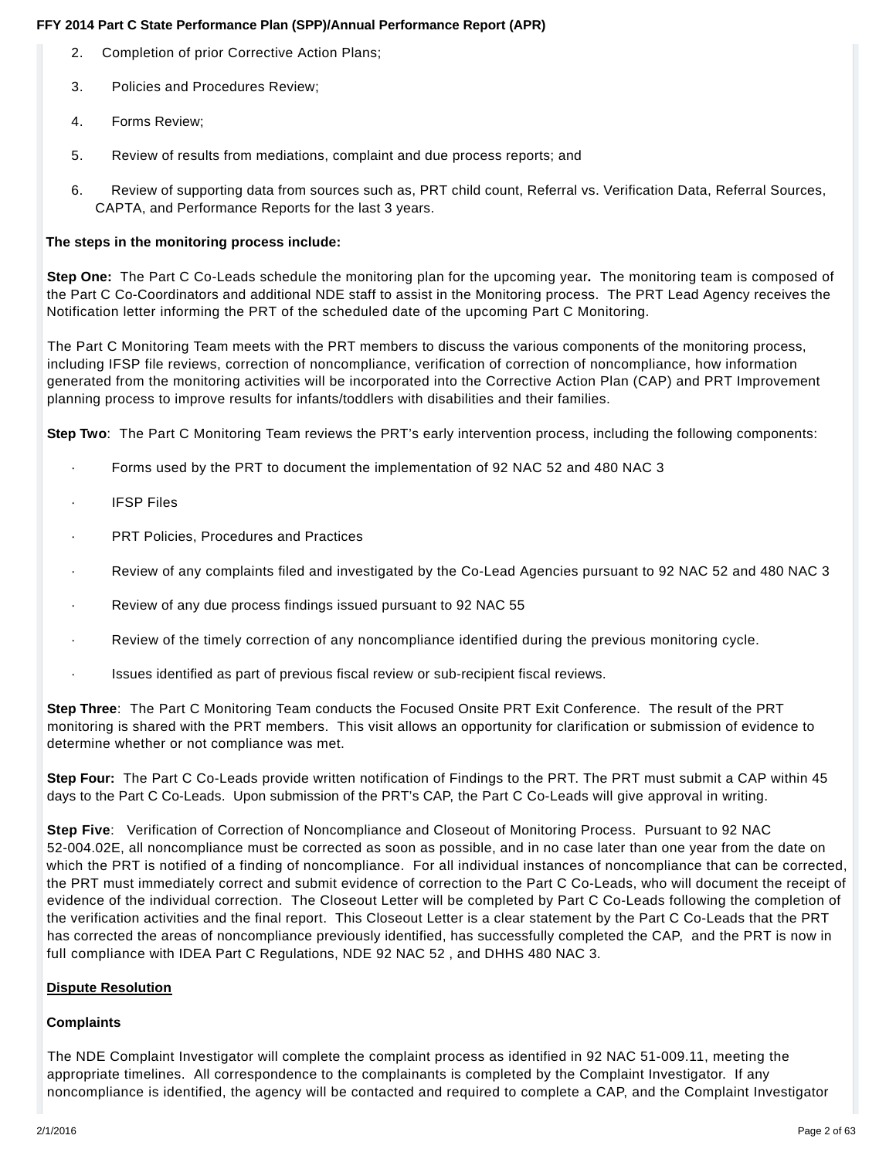- 2. Completion of prior Corrective Action Plans;
- 3. Policies and Procedures Review;
- 4. Forms Review;
- 5. Review of results from mediations, complaint and due process reports; and
- 6. Review of supporting data from sources such as, PRT child count, Referral vs. Verification Data, Referral Sources, CAPTA, and Performance Reports for the last 3 years.

# **The steps in the monitoring process include:**

**Step One:** The Part C Co-Leads schedule the monitoring plan for the upcoming year**.** The monitoring team is composed of the Part C Co-Coordinators and additional NDE staff to assist in the Monitoring process. The PRT Lead Agency receives the Notification letter informing the PRT of the scheduled date of the upcoming Part C Monitoring.

The Part C Monitoring Team meets with the PRT members to discuss the various components of the monitoring process, including IFSP file reviews, correction of noncompliance, verification of correction of noncompliance, how information generated from the monitoring activities will be incorporated into the Corrective Action Plan (CAP) and PRT Improvement planning process to improve results for infants/toddlers with disabilities and their families.

**Step Two**: The Part C Monitoring Team reviews the PRT's early intervention process, including the following components:

- · Forms used by the PRT to document the implementation of 92 NAC 52 and 480 NAC 3
- **IFSP Files**
- PRT Policies, Procedures and Practices
- · Review of any complaints filed and investigated by the Co-Lead Agencies pursuant to 92 NAC 52 and 480 NAC 3
- · Review of any due process findings issued pursuant to 92 NAC 55
- · Review of the timely correction of any noncompliance identified during the previous monitoring cycle.
- Issues identified as part of previous fiscal review or sub-recipient fiscal reviews.

**Step Three**: The Part C Monitoring Team conducts the Focused Onsite PRT Exit Conference. The result of the PRT monitoring is shared with the PRT members. This visit allows an opportunity for clarification or submission of evidence to determine whether or not compliance was met.

**Step Four:** The Part C Co-Leads provide written notification of Findings to the PRT. The PRT must submit a CAP within 45 days to the Part C Co-Leads. Upon submission of the PRT's CAP, the Part C Co-Leads will give approval in writing.

**Step Five**: Verification of Correction of Noncompliance and Closeout of Monitoring Process. Pursuant to 92 NAC 52-004.02E, all noncompliance must be corrected as soon as possible, and in no case later than one year from the date on which the PRT is notified of a finding of noncompliance. For all individual instances of noncompliance that can be corrected, the PRT must immediately correct and submit evidence of correction to the Part C Co-Leads, who will document the receipt of evidence of the individual correction. The Closeout Letter will be completed by Part C Co-Leads following the completion of the verification activities and the final report. This Closeout Letter is a clear statement by the Part C Co-Leads that the PRT has corrected the areas of noncompliance previously identified, has successfully completed the CAP, and the PRT is now in full compliance with IDEA Part C Regulations, NDE 92 NAC 52 , and DHHS 480 NAC 3.

# **Dispute Resolution**

# **Complaints**

The NDE Complaint Investigator will complete the complaint process as identified in 92 NAC 51-009.11, meeting the appropriate timelines. All correspondence to the complainants is completed by the Complaint Investigator. If any noncompliance is identified, the agency will be contacted and required to complete a CAP, and the Complaint Investigator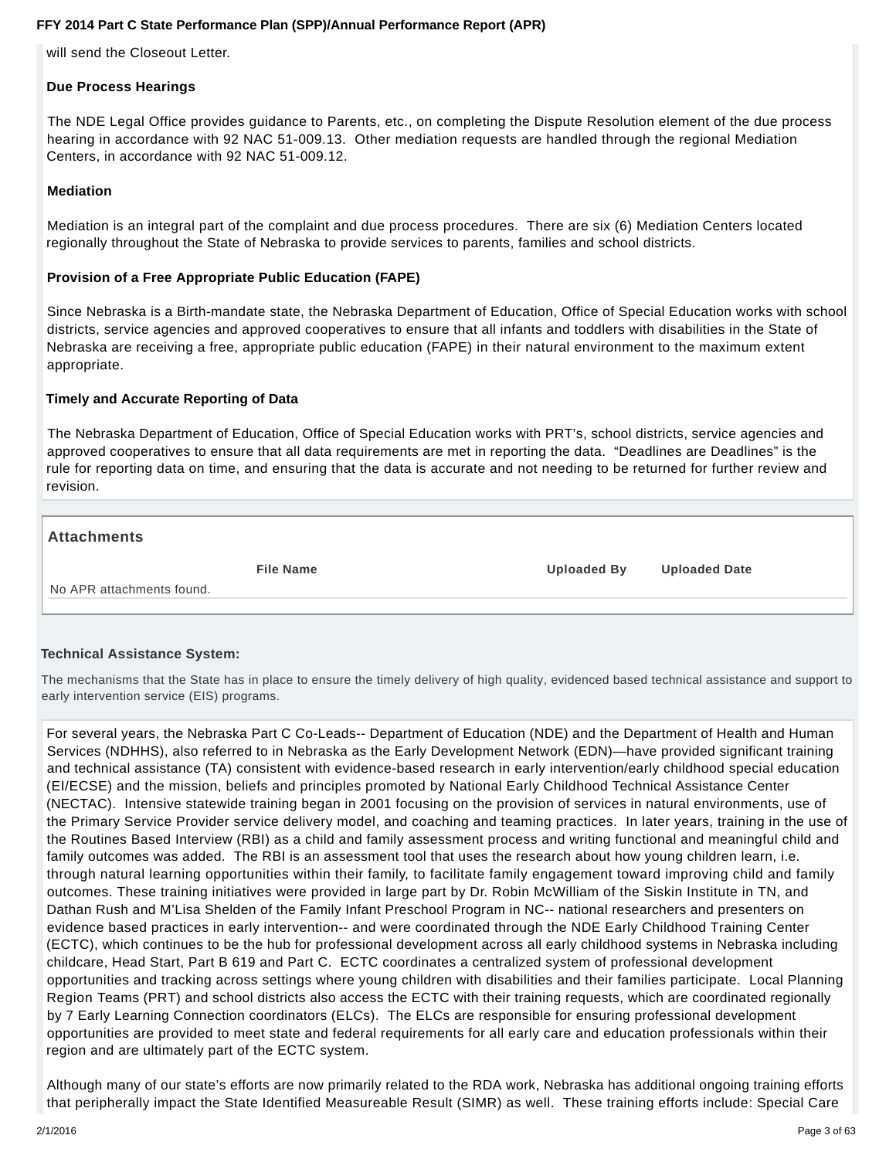will send the Closeout Letter.

### **Due Process Hearings**

The NDE Legal Office provides guidance to Parents, etc., on completing the Dispute Resolution element of the due process hearing in accordance with 92 NAC 51-009.13. Other mediation requests are handled through the regional Mediation Centers, in accordance with 92 NAC 51-009.12.

# **Mediation**

Mediation is an integral part of the complaint and due process procedures. There are six (6) Mediation Centers located regionally throughout the State of Nebraska to provide services to parents, families and school districts.

### **Provision of a Free Appropriate Public Education (FAPE)**

Since Nebraska is a Birth-mandate state, the Nebraska Department of Education, Office of Special Education works with school districts, service agencies and approved cooperatives to ensure that all infants and toddlers with disabilities in the State of Nebraska are receiving a free, appropriate public education (FAPE) in their natural environment to the maximum extent appropriate.

### **Timely and Accurate Reporting of Data**

The Nebraska Department of Education, Office of Special Education works with PRT's, school districts, service agencies and approved cooperatives to ensure that all data requirements are met in reporting the data. "Deadlines are Deadlines" is the rule for reporting data on time, and ensuring that the data is accurate and not needing to be returned for further review and revision.

### **Attachments**

**File Name Uploaded By Uploaded Date**

No APR attachments found.

### **Technical Assistance System:**

The mechanisms that the State has in place to ensure the timely delivery of high quality, evidenced based technical assistance and support to early intervention service (EIS) programs.

For several years, the Nebraska Part C Co-Leads-- Department of Education (NDE) and the Department of Health and Human Services (NDHHS), also referred to in Nebraska as the Early Development Network (EDN)—have provided significant training and technical assistance (TA) consistent with evidence-based research in early intervention/early childhood special education (EI/ECSE) and the mission, beliefs and principles promoted by National Early Childhood Technical Assistance Center (NECTAC). Intensive statewide training began in 2001 focusing on the provision of services in natural environments, use of the Primary Service Provider service delivery model, and coaching and teaming practices. In later years, training in the use of the Routines Based Interview (RBI) as a child and family assessment process and writing functional and meaningful child and family outcomes was added. The RBI is an assessment tool that uses the research about how young children learn, i.e. through natural learning opportunities within their family, to facilitate family engagement toward improving child and family outcomes. These training initiatives were provided in large part by Dr. Robin McWilliam of the Siskin Institute in TN, and Dathan Rush and M'Lisa Shelden of the Family Infant Preschool Program in NC-- national researchers and presenters on evidence based practices in early intervention-- and were coordinated through the NDE Early Childhood Training Center (ECTC), which continues to be the hub for professional development across all early childhood systems in Nebraska including childcare, Head Start, Part B 619 and Part C. ECTC coordinates a centralized system of professional development opportunities and tracking across settings where young children with disabilities and their families participate. Local Planning Region Teams (PRT) and school districts also access the ECTC with their training requests, which are coordinated regionally by 7 Early Learning Connection coordinators (ELCs). The ELCs are responsible for ensuring professional development opportunities are provided to meet state and federal requirements for all early care and education professionals within their region and are ultimately part of the ECTC system.

Although many of our state's efforts are now primarily related to the RDA work, Nebraska has additional ongoing training efforts that peripherally impact the State Identified Measureable Result (SIMR) as well. These training efforts include: Special Care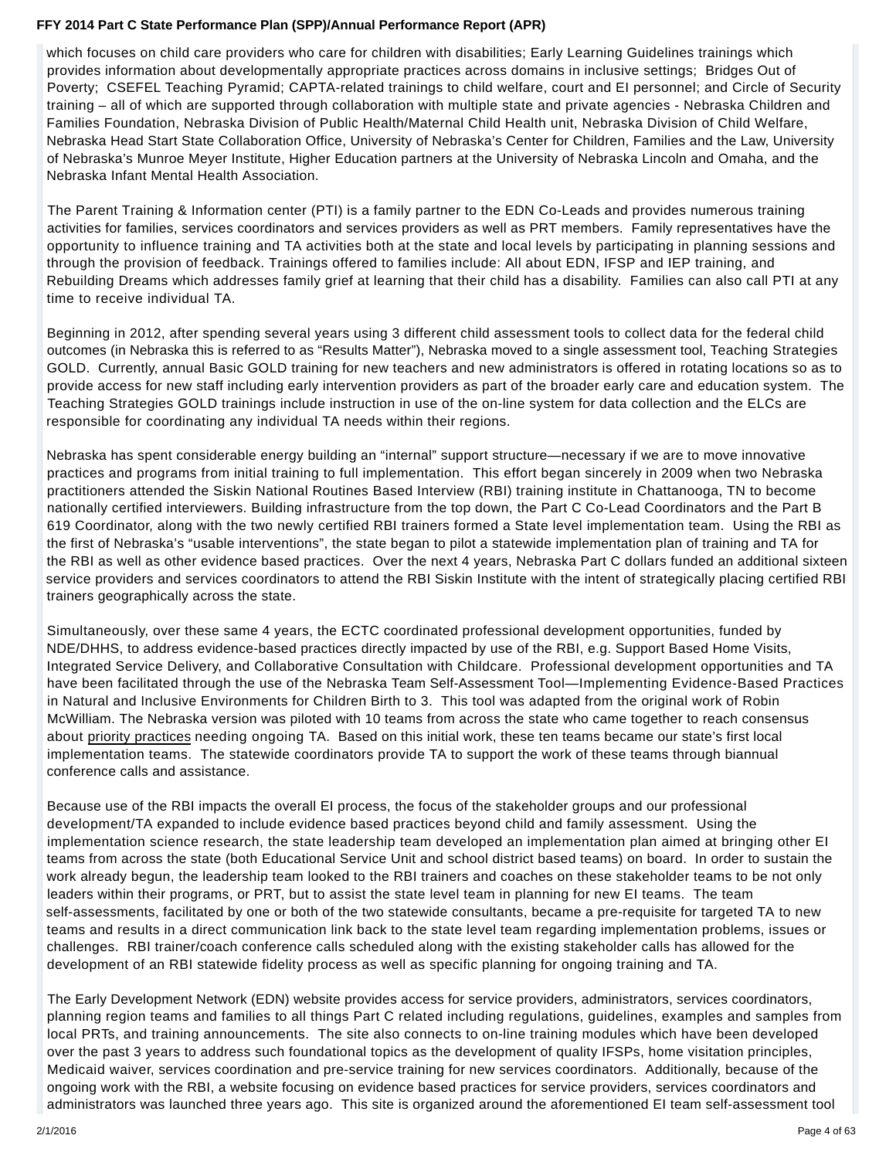which focuses on child care providers who care for children with disabilities; Early Learning Guidelines trainings which provides information about developmentally appropriate practices across domains in inclusive settings; Bridges Out of Poverty; CSEFEL Teaching Pyramid; CAPTA-related trainings to child welfare, court and EI personnel; and Circle of Security training – all of which are supported through collaboration with multiple state and private agencies - Nebraska Children and Families Foundation, Nebraska Division of Public Health/Maternal Child Health unit, Nebraska Division of Child Welfare, Nebraska Head Start State Collaboration Office, University of Nebraska's Center for Children, Families and the Law, University of Nebraska's Munroe Meyer Institute, Higher Education partners at the University of Nebraska Lincoln and Omaha, and the Nebraska Infant Mental Health Association.

The Parent Training & Information center (PTI) is a family partner to the EDN Co-Leads and provides numerous training activities for families, services coordinators and services providers as well as PRT members. Family representatives have the opportunity to influence training and TA activities both at the state and local levels by participating in planning sessions and through the provision of feedback. Trainings offered to families include: All about EDN, IFSP and IEP training, and Rebuilding Dreams which addresses family grief at learning that their child has a disability. Families can also call PTI at any time to receive individual TA.

Beginning in 2012, after spending several years using 3 different child assessment tools to collect data for the federal child outcomes (in Nebraska this is referred to as "Results Matter"), Nebraska moved to a single assessment tool, Teaching Strategies GOLD. Currently, annual Basic GOLD training for new teachers and new administrators is offered in rotating locations so as to provide access for new staff including early intervention providers as part of the broader early care and education system. The Teaching Strategies GOLD trainings include instruction in use of the on-line system for data collection and the ELCs are responsible for coordinating any individual TA needs within their regions.

Nebraska has spent considerable energy building an "internal" support structure—necessary if we are to move innovative practices and programs from initial training to full implementation. This effort began sincerely in 2009 when two Nebraska practitioners attended the Siskin National Routines Based Interview (RBI) training institute in Chattanooga, TN to become nationally certified interviewers. Building infrastructure from the top down, the Part C Co-Lead Coordinators and the Part B 619 Coordinator, along with the two newly certified RBI trainers formed a State level implementation team. Using the RBI as the first of Nebraska's "usable interventions", the state began to pilot a statewide implementation plan of training and TA for the RBI as well as other evidence based practices. Over the next 4 years, Nebraska Part C dollars funded an additional sixteen service providers and services coordinators to attend the RBI Siskin Institute with the intent of strategically placing certified RBI trainers geographically across the state.

Simultaneously, over these same 4 years, the ECTC coordinated professional development opportunities, funded by NDE/DHHS, to address evidence-based practices directly impacted by use of the RBI, e.g. Support Based Home Visits, Integrated Service Delivery, and Collaborative Consultation with Childcare. Professional development opportunities and TA have been facilitated through the use of the Nebraska Team Self-Assessment Tool—Implementing Evidence-Based Practices in Natural and Inclusive Environments for Children Birth to 3. This tool was adapted from the original work of Robin McWilliam. The Nebraska version was piloted with 10 teams from across the state who came together to reach consensus about priority practices needing ongoing TA. Based on this initial work, these ten teams became our state's first local implementation teams. The statewide coordinators provide TA to support the work of these teams through biannual conference calls and assistance.

Because use of the RBI impacts the overall EI process, the focus of the stakeholder groups and our professional development/TA expanded to include evidence based practices beyond child and family assessment. Using the implementation science research, the state leadership team developed an implementation plan aimed at bringing other EI teams from across the state (both Educational Service Unit and school district based teams) on board. In order to sustain the work already begun, the leadership team looked to the RBI trainers and coaches on these stakeholder teams to be not only leaders within their programs, or PRT, but to assist the state level team in planning for new EI teams. The team self-assessments, facilitated by one or both of the two statewide consultants, became a pre-requisite for targeted TA to new teams and results in a direct communication link back to the state level team regarding implementation problems, issues or challenges. RBI trainer/coach conference calls scheduled along with the existing stakeholder calls has allowed for the development of an RBI statewide fidelity process as well as specific planning for ongoing training and TA.

The Early Development Network (EDN) website provides access for service providers, administrators, services coordinators, planning region teams and families to all things Part C related including regulations, guidelines, examples and samples from local PRTs, and training announcements. The site also connects to on-line training modules which have been developed over the past 3 years to address such foundational topics as the development of quality IFSPs, home visitation principles, Medicaid waiver, services coordination and pre-service training for new services coordinators. Additionally, because of the ongoing work with the RBI, a website focusing on evidence based practices for service providers, services coordinators and administrators was launched three years ago. This site is organized around the aforementioned EI team self-assessment tool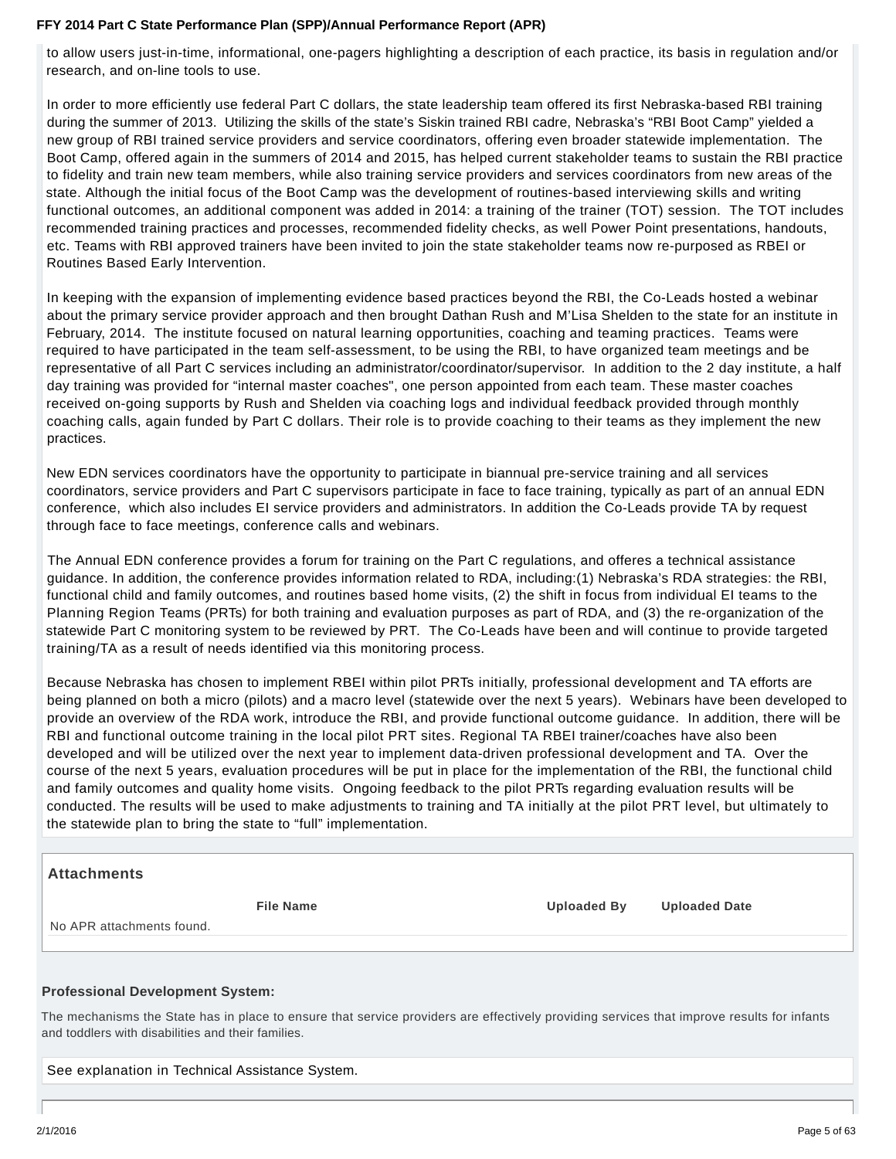to allow users just-in-time, informational, one-pagers highlighting a description of each practice, its basis in regulation and/or research, and on-line tools to use.

In order to more efficiently use federal Part C dollars, the state leadership team offered its first Nebraska-based RBI training during the summer of 2013. Utilizing the skills of the state's Siskin trained RBI cadre, Nebraska's "RBI Boot Camp" yielded a new group of RBI trained service providers and service coordinators, offering even broader statewide implementation. The Boot Camp, offered again in the summers of 2014 and 2015, has helped current stakeholder teams to sustain the RBI practice to fidelity and train new team members, while also training service providers and services coordinators from new areas of the state. Although the initial focus of the Boot Camp was the development of routines-based interviewing skills and writing functional outcomes, an additional component was added in 2014: a training of the trainer (TOT) session. The TOT includes recommended training practices and processes, recommended fidelity checks, as well Power Point presentations, handouts, etc. Teams with RBI approved trainers have been invited to join the state stakeholder teams now re-purposed as RBEI or Routines Based Early Intervention.

In keeping with the expansion of implementing evidence based practices beyond the RBI, the Co-Leads hosted a webinar about the primary service provider approach and then brought Dathan Rush and M'Lisa Shelden to the state for an institute in February, 2014. The institute focused on natural learning opportunities, coaching and teaming practices. Teams were required to have participated in the team self-assessment, to be using the RBI, to have organized team meetings and be representative of all Part C services including an administrator/coordinator/supervisor. In addition to the 2 day institute, a half day training was provided for "internal master coaches", one person appointed from each team. These master coaches received on-going supports by Rush and Shelden via coaching logs and individual feedback provided through monthly coaching calls, again funded by Part C dollars. Their role is to provide coaching to their teams as they implement the new practices.

New EDN services coordinators have the opportunity to participate in biannual pre-service training and all services coordinators, service providers and Part C supervisors participate in face to face training, typically as part of an annual EDN conference, which also includes EI service providers and administrators. In addition the Co-Leads provide TA by request through face to face meetings, conference calls and webinars.

The Annual EDN conference provides a forum for training on the Part C regulations, and offeres a technical assistance guidance. In addition, the conference provides information related to RDA, including:(1) Nebraska's RDA strategies: the RBI, functional child and family outcomes, and routines based home visits, (2) the shift in focus from individual EI teams to the Planning Region Teams (PRTs) for both training and evaluation purposes as part of RDA, and (3) the re-organization of the statewide Part C monitoring system to be reviewed by PRT. The Co-Leads have been and will continue to provide targeted training/TA as a result of needs identified via this monitoring process.

Because Nebraska has chosen to implement RBEI within pilot PRTs initially, professional development and TA efforts are being planned on both a micro (pilots) and a macro level (statewide over the next 5 years). Webinars have been developed to provide an overview of the RDA work, introduce the RBI, and provide functional outcome guidance. In addition, there will be RBI and functional outcome training in the local pilot PRT sites. Regional TA RBEI trainer/coaches have also been developed and will be utilized over the next year to implement data-driven professional development and TA. Over the course of the next 5 years, evaluation procedures will be put in place for the implementation of the RBI, the functional child and family outcomes and quality home visits. Ongoing feedback to the pilot PRTs regarding evaluation results will be conducted. The results will be used to make adjustments to training and TA initially at the pilot PRT level, but ultimately to the statewide plan to bring the state to "full" implementation.

# **Attachments**

**File Name Uploaded By Uploaded Date**

No APR attachments found.

### **Professional Development System:**

The mechanisms the State has in place to ensure that service providers are effectively providing services that improve results for infants and toddlers with disabilities and their families.

See explanation in Technical Assistance System.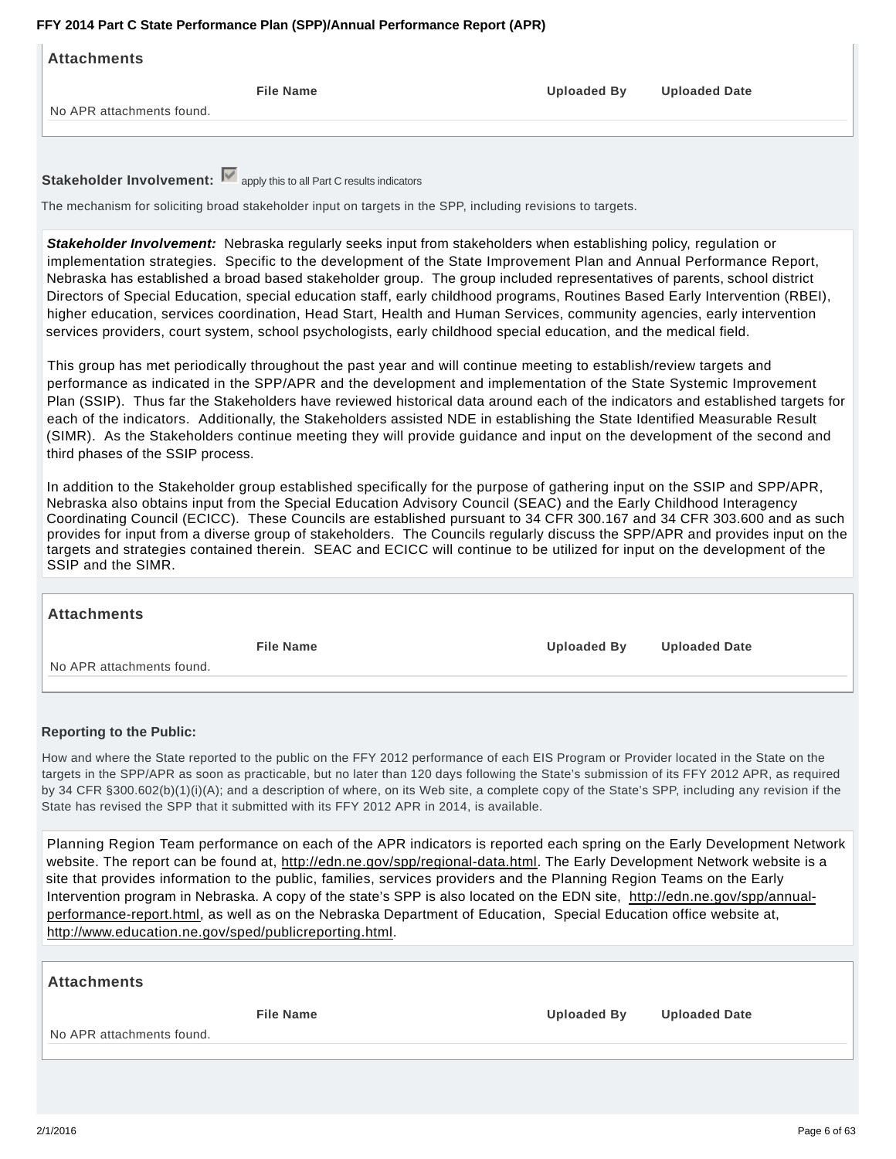| Attachments               |                  |                    |                      |
|---------------------------|------------------|--------------------|----------------------|
|                           | <b>File Name</b> | <b>Uploaded By</b> | <b>Uploaded Date</b> |
| No APR attachments found. |                  |                    |                      |
|                           |                  |                    |                      |
|                           |                  |                    |                      |
|                           |                  |                    |                      |

**Stakeholder Involvement:**  $\blacksquare$  apply this to all Part C results indicators

The mechanism for soliciting broad stakeholder input on targets in the SPP, including revisions to targets.

**Stakeholder Involvement:** Nebraska regularly seeks input from stakeholders when establishing policy, regulation or implementation strategies. Specific to the development of the State Improvement Plan and Annual Performance Report, Nebraska has established a broad based stakeholder group. The group included representatives of parents, school district Directors of Special Education, special education staff, early childhood programs, Routines Based Early Intervention (RBEI), higher education, services coordination, Head Start, Health and Human Services, community agencies, early intervention services providers, court system, school psychologists, early childhood special education, and the medical field.

This group has met periodically throughout the past year and will continue meeting to establish/review targets and performance as indicated in the SPP/APR and the development and implementation of the State Systemic Improvement Plan (SSIP). Thus far the Stakeholders have reviewed historical data around each of the indicators and established targets for each of the indicators. Additionally, the Stakeholders assisted NDE in establishing the State Identified Measurable Result (SIMR). As the Stakeholders continue meeting they will provide guidance and input on the development of the second and third phases of the SSIP process.

In addition to the Stakeholder group established specifically for the purpose of gathering input on the SSIP and SPP/APR, Nebraska also obtains input from the Special Education Advisory Council (SEAC) and the Early Childhood Interagency Coordinating Council (ECICC). These Councils are established pursuant to 34 CFR 300.167 and 34 CFR 303.600 and as such provides for input from a diverse group of stakeholders. The Councils regularly discuss the SPP/APR and provides input on the targets and strategies contained therein. SEAC and ECICC will continue to be utilized for input on the development of the SSIP and the SIMR.

| Attachments               |                  |                    |                      |
|---------------------------|------------------|--------------------|----------------------|
|                           | <b>File Name</b> | <b>Uploaded By</b> | <b>Uploaded Date</b> |
| No APR attachments found. |                  |                    |                      |
|                           |                  |                    |                      |

# **Reporting to the Public:**

How and where the State reported to the public on the FFY 2012 performance of each EIS Program or Provider located in the State on the targets in the SPP/APR as soon as practicable, but no later than 120 days following the State's submission of its FFY 2012 APR, as required by 34 CFR §300.602(b)(1)(i)(A); and a description of where, on its Web site, a complete copy of the State's SPP, including any revision if the State has revised the SPP that it submitted with its FFY 2012 APR in 2014, is available.

Planning Region Team performance on each of the APR indicators is reported each spring on the Early Development Network website. The report can be found at, http://edn.ne.gov/spp/regional-data.html. The Early Development Network website is a site that provides information to the public, families, services providers and the Planning Region Teams on the Early Intervention program in Nebraska. A copy of the state's SPP is also located on the EDN site, http://edn.ne.gov/spp/annualperformance-report.html, as well as on the Nebraska Department of Education, Special Education office website at, http://www.education.ne.gov/sped/publicreporting.html.

| <b>Attachments</b>        |                  |                    |                      |
|---------------------------|------------------|--------------------|----------------------|
|                           | <b>File Name</b> | <b>Uploaded By</b> | <b>Uploaded Date</b> |
| No APR attachments found. |                  |                    |                      |
|                           |                  |                    |                      |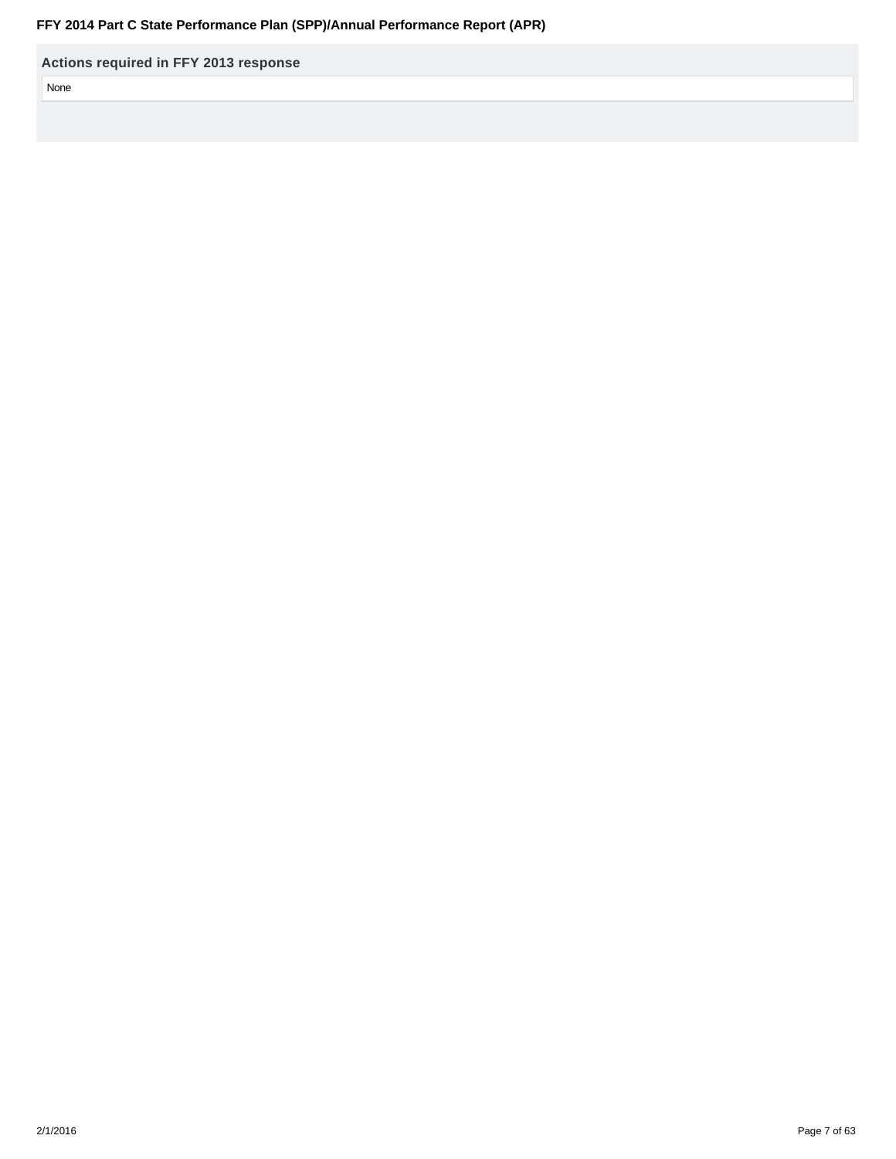**Actions required in FFY 2013 response**

None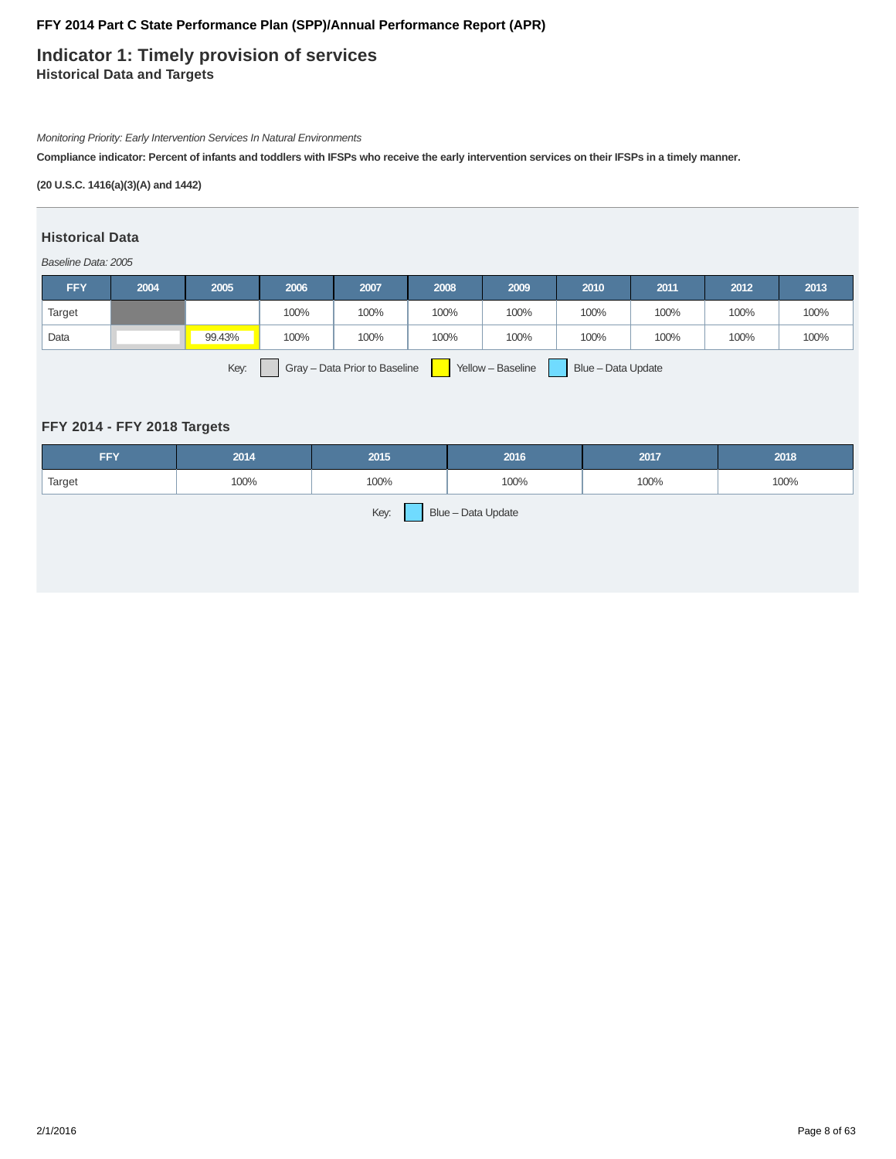# **Indicator 1: Timely provision of services Historical Data and Targets**

Monitoring Priority: Early Intervention Services In Natural Environments

**Compliance indicator: Percent of infants and toddlers with IFSPs who receive the early intervention services on their IFSPs in a timely manner.**

### **(20 U.S.C. 1416(a)(3)(A) and 1442)**

### **Historical Data**

#### Baseline Data: 2005

| <b>FFY</b>                                                                       | 2004 | 2005   | 2006 | 2007 | 2008 | 2009 | 2010 | 2011 | 2012 | 2013 |
|----------------------------------------------------------------------------------|------|--------|------|------|------|------|------|------|------|------|
| Target                                                                           |      |        | 100% | 100% | 100% | 100% | 100% | 100% | 100% | 100% |
| Data                                                                             |      | 99.43% | 100% | 100% | 100% | 100% | 100% | 100% | 100% | 100% |
| Key:<br>Blue - Data Update<br>Gray - Data Prior to Baseline<br>Yellow - Baseline |      |        |      |      |      |      |      |      |      |      |

# **FFY 2014 - FFY 2018 Targets**

| <b>FFY</b>                 | 2014 | 2015 | 2016 | 2017 | 2018 |  |  |  |  |
|----------------------------|------|------|------|------|------|--|--|--|--|
| Target                     | 100% | 100% | 100% | 100% | 100% |  |  |  |  |
| Key:<br>Blue - Data Update |      |      |      |      |      |  |  |  |  |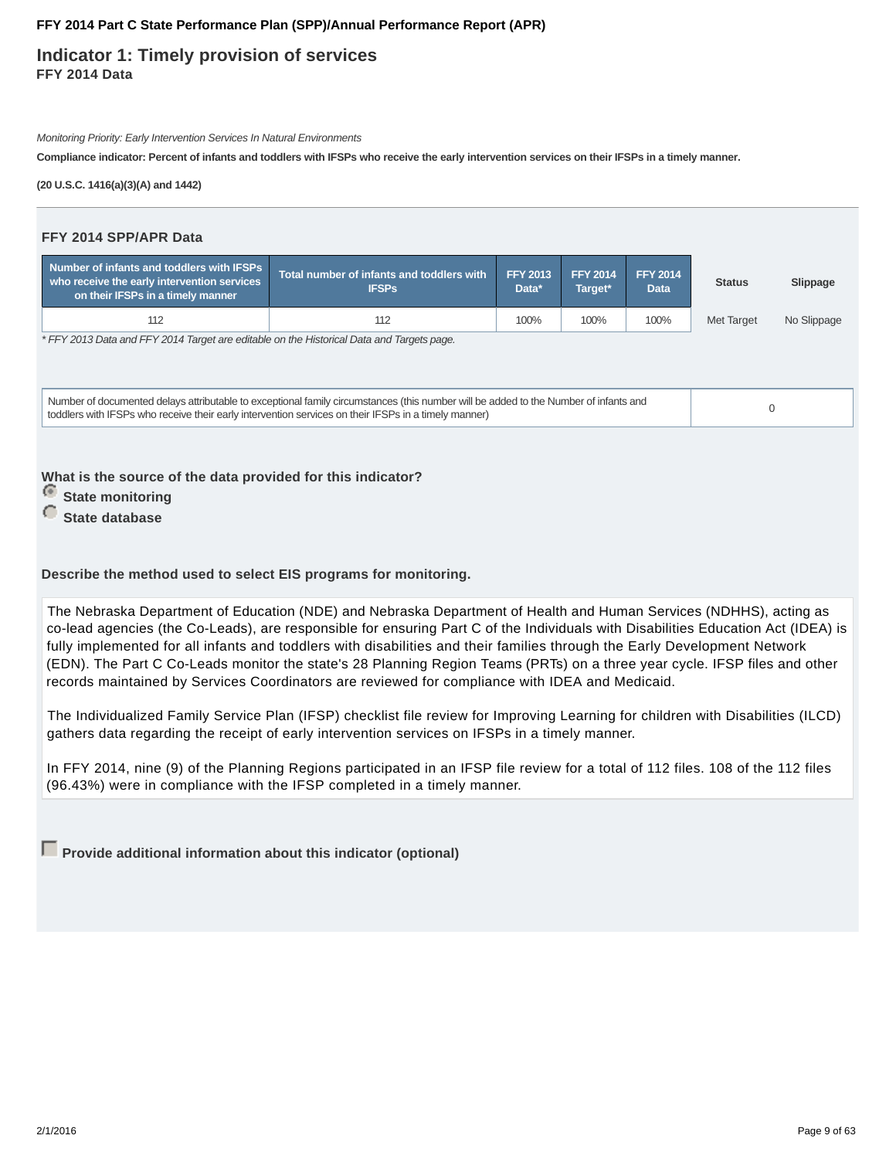**Indicator 1: Timely provision of services FFY 2014 Data**

Monitoring Priority: Early Intervention Services In Natural Environments

**Compliance indicator: Percent of infants and toddlers with IFSPs who receive the early intervention services on their IFSPs in a timely manner.**

**(20 U.S.C. 1416(a)(3)(A) and 1442)**

# **FFY 2014 SPP/APR Data**

| Number of infants and toddlers with IFSPs<br>who receive the early intervention services<br>on their IFSPs in a timely manner        | Total number of infants and toddlers with<br><b>IFSPs</b> | <b>FFY 2013</b><br>Data* | <b>FFY 2014</b><br>Target* | <b>FFY 2014</b><br><b>Data</b> | <b>Status</b> | Slippage    |  |
|--------------------------------------------------------------------------------------------------------------------------------------|-----------------------------------------------------------|--------------------------|----------------------------|--------------------------------|---------------|-------------|--|
| 112                                                                                                                                  | 112                                                       | 100%                     | 100%                       | 100%                           | Met Target    | No Slippage |  |
| * FFY 2013 Data and FFY 2014 Target are editable on the Historical Data and Targets page.                                            |                                                           |                          |                            |                                |               |             |  |
| Number of documented delays attributable to exceptional family circumstances (this number will be added to the Number of infants and |                                                           |                          |                            |                                |               | $\cap$      |  |

toddlers with IFSPs who receive their early intervention services on their IFSPs in a timely manner) of a timely manner) of the intervention services on their IFSPs in a timely manner)

**What is the source of the data provided for this indicator?**

- *<u>State monitoring</u>*
- *C* State database

### **Describe the method used to select EIS programs for monitoring.**

The Nebraska Department of Education (NDE) and Nebraska Department of Health and Human Services (NDHHS), acting as co-lead agencies (the Co-Leads), are responsible for ensuring Part C of the Individuals with Disabilities Education Act (IDEA) is fully implemented for all infants and toddlers with disabilities and their families through the Early Development Network (EDN). The Part C Co-Leads monitor the state's 28 Planning Region Teams (PRTs) on a three year cycle. IFSP files and other records maintained by Services Coordinators are reviewed for compliance with IDEA and Medicaid.

The Individualized Family Service Plan (IFSP) checklist file review for Improving Learning for children with Disabilities (ILCD) gathers data regarding the receipt of early intervention services on IFSPs in a timely manner.

In FFY 2014, nine (9) of the Planning Regions participated in an IFSP file review for a total of 112 files. 108 of the 112 files (96.43%) were in compliance with the IFSP completed in a timely manner.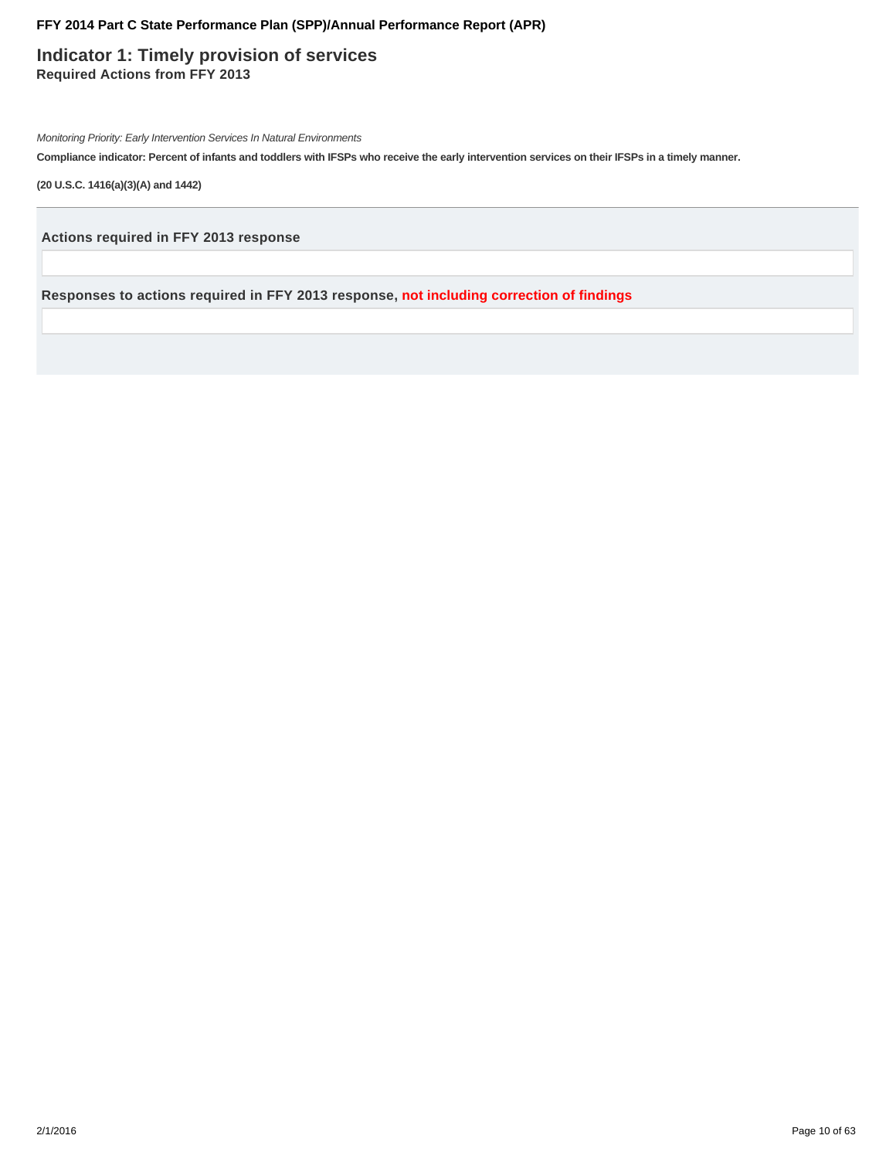**Indicator 1: Timely provision of services Required Actions from FFY 2013**

Monitoring Priority: Early Intervention Services In Natural Environments

**Compliance indicator: Percent of infants and toddlers with IFSPs who receive the early intervention services on their IFSPs in a timely manner.**

**(20 U.S.C. 1416(a)(3)(A) and 1442)**

**Actions required in FFY 2013 response**

**Responses to actions required in FFY 2013 response, not including correction of findings**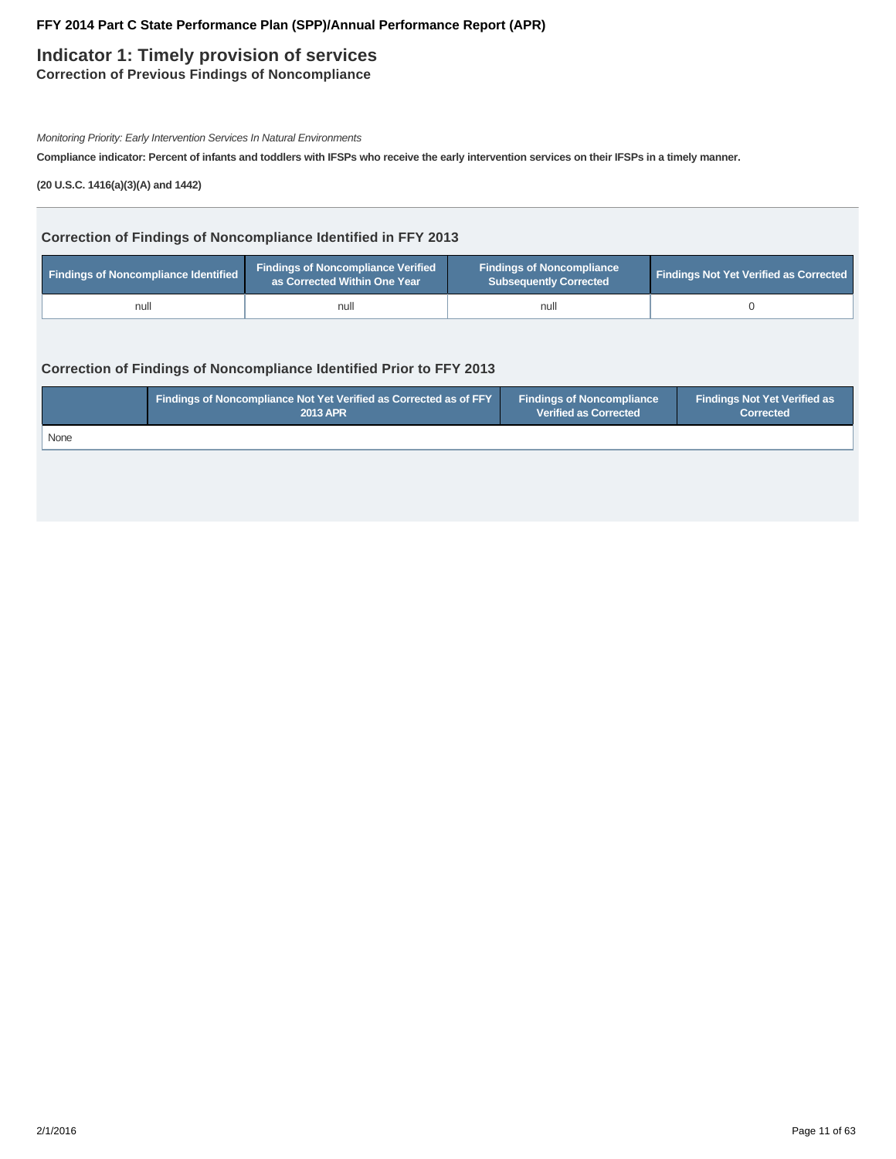# **Indicator 1: Timely provision of services**

**Correction of Previous Findings of Noncompliance**

Monitoring Priority: Early Intervention Services In Natural Environments

**Compliance indicator: Percent of infants and toddlers with IFSPs who receive the early intervention services on their IFSPs in a timely manner.**

**(20 U.S.C. 1416(a)(3)(A) and 1442)**

### **Correction of Findings of Noncompliance Identified in FFY 2013**

| <b>Findings of Noncompliance Identified</b> | <b>Findings of Noncompliance Verified</b><br>as Corrected Within One Year | <b>Findings of Noncompliance</b><br>Subsequently Corrected | <b>Findings Not Yet Verified as Corrected</b> |
|---------------------------------------------|---------------------------------------------------------------------------|------------------------------------------------------------|-----------------------------------------------|
| null                                        | null                                                                      | null                                                       |                                               |

### **Correction of Findings of Noncompliance Identified Prior to FFY 2013**

|      | <b>Findings of Noncompliance Not Yet Verified as Corrected as of FFY</b> | <b>Findings of Noncompliance</b> | Findings Not Yet Verified as |
|------|--------------------------------------------------------------------------|----------------------------------|------------------------------|
|      | <b>2013 APR</b>                                                          | <b>Verified as Corrected</b>     | <b>Corrected</b>             |
| None |                                                                          |                                  |                              |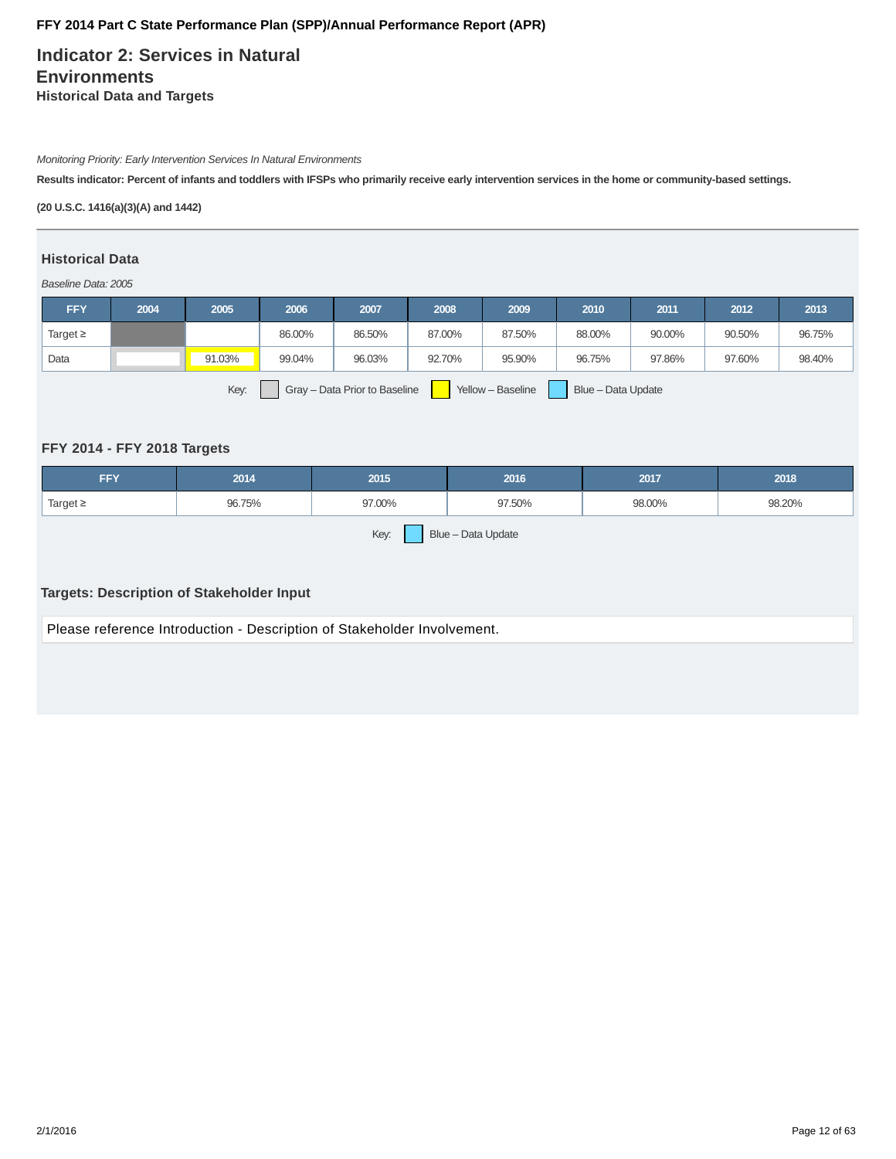**Indicator 2: Services in Natural Environments Historical Data and Targets**

Monitoring Priority: Early Intervention Services In Natural Environments

**Results indicator: Percent of infants and toddlers with IFSPs who primarily receive early intervention services in the home or community-based settings.**

**(20 U.S.C. 1416(a)(3)(A) and 1442)**

### **Historical Data**

Baseline Data: 2005

| <b>FFY</b>                                                                       | 2004 | 2005   | 2006   | 2007   | 2008   | 2009   | 2010   | 2011   | 2012   | 2013   |
|----------------------------------------------------------------------------------|------|--------|--------|--------|--------|--------|--------|--------|--------|--------|
| Target $\geq$                                                                    |      |        | 86.00% | 86.50% | 87.00% | 87.50% | 88.00% | 90.00% | 90.50% | 96.75% |
| Data                                                                             |      | 91.03% | 99.04% | 96.03% | 92.70% | 95.90% | 96.75% | 97.86% | 97.60% | 98.40% |
| Key:<br>Yellow - Baseline<br>Blue - Data Update<br>Gray - Data Prior to Baseline |      |        |        |        |        |        |        |        |        |        |

### **FFY 2014 - FFY 2018 Targets**

| <b>FFY</b>                 | 2014   | 2015   | 2016   | 2017   | 2018   |  |  |  |  |
|----------------------------|--------|--------|--------|--------|--------|--|--|--|--|
| Target $\geq$              | 96.75% | 97.00% | 97.50% | 98.00% | 98.20% |  |  |  |  |
| Key:<br>Blue - Data Update |        |        |        |        |        |  |  |  |  |

### **Targets: Description of Stakeholder Input**

Please reference Introduction - Description of Stakeholder Involvement.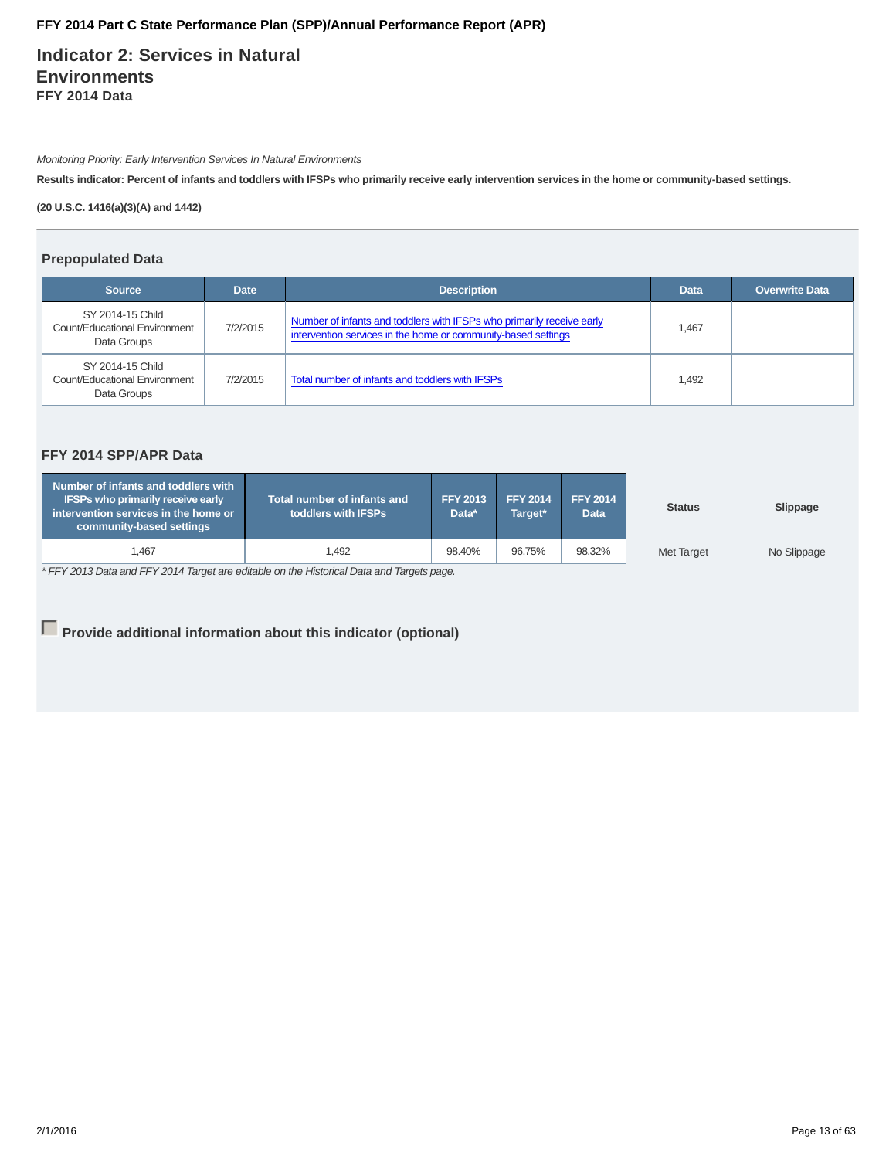**Indicator 2: Services in Natural Environments FFY 2014 Data**

Monitoring Priority: Early Intervention Services In Natural Environments

**Results indicator: Percent of infants and toddlers with IFSPs who primarily receive early intervention services in the home or community-based settings.**

**(20 U.S.C. 1416(a)(3)(A) and 1442)**

### **Prepopulated Data**

| <b>Source</b>                                                    | <b>Date</b> | <b>Description</b>                                                                                                                     | <b>Data</b> | <b>Overwrite Data</b> |
|------------------------------------------------------------------|-------------|----------------------------------------------------------------------------------------------------------------------------------------|-------------|-----------------------|
| SY 2014-15 Child<br>Count/Educational Environment<br>Data Groups | 7/2/2015    | Number of infants and toddlers with IFSPs who primarily receive early<br>intervention services in the home or community-based settings | 1,467       |                       |
| SY 2014-15 Child<br>Count/Educational Environment<br>Data Groups | 7/2/2015    | Total number of infants and toddlers with IFSPs                                                                                        | 1.492       |                       |

# **FFY 2014 SPP/APR Data**

| Number of infants and toddlers with<br><b>IFSPs who primarily receive early</b><br>intervention services in the home or<br>community-based settings | <b>Total number of infants and</b><br>toddlers with IFSPs | <b>FFY 2013</b><br>Data* | <b>FFY 2014</b><br>Target* | <b>FFY 2014</b><br><b>Data</b> | <b>Status</b>     | Slippage    |
|-----------------------------------------------------------------------------------------------------------------------------------------------------|-----------------------------------------------------------|--------------------------|----------------------------|--------------------------------|-------------------|-------------|
| .467                                                                                                                                                | l.492                                                     | 98.40%                   | 96.75%                     | 98.32%                         | <b>Met Target</b> | No Slippage |

\* FFY 2013 Data and FFY 2014 Target are editable on the Historical Data and Targets page.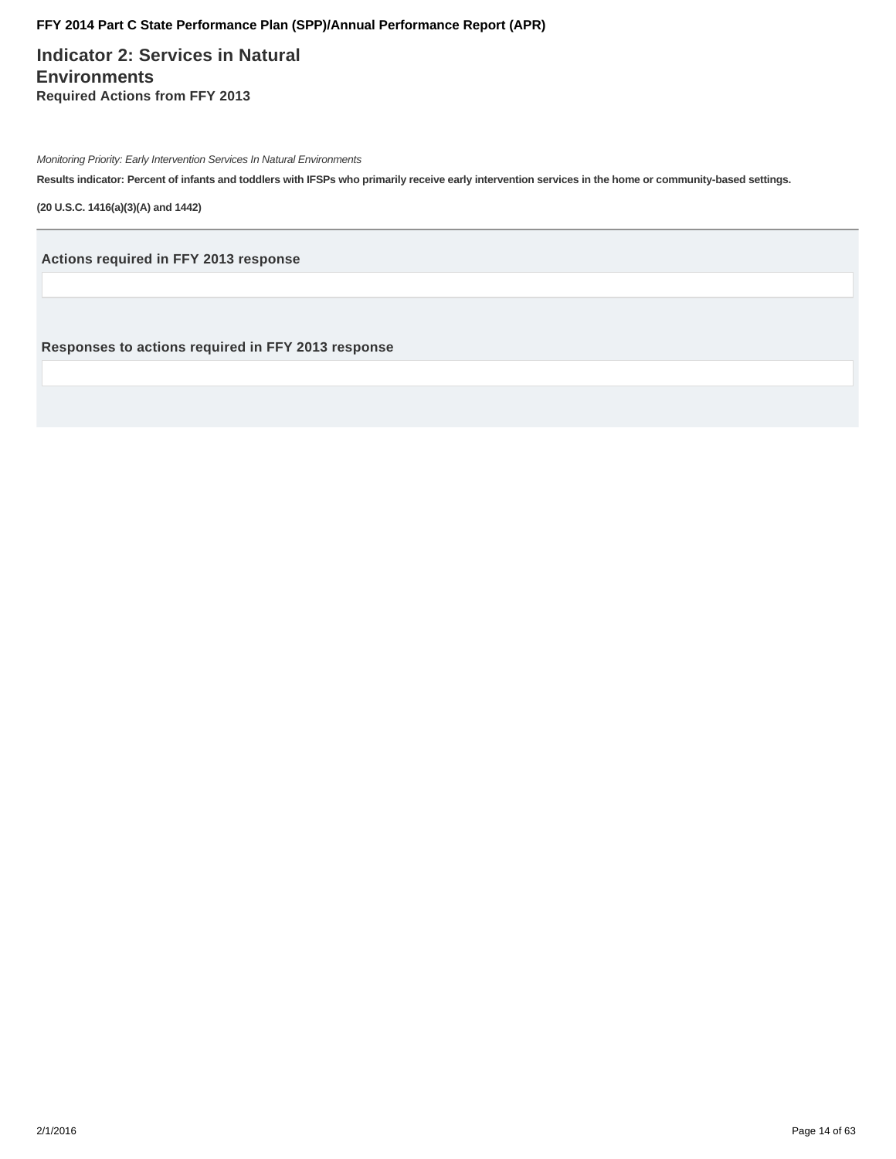**Indicator 2: Services in Natural Environments Required Actions from FFY 2013**

Monitoring Priority: Early Intervention Services In Natural Environments

**Results indicator: Percent of infants and toddlers with IFSPs who primarily receive early intervention services in the home or community-based settings.**

**(20 U.S.C. 1416(a)(3)(A) and 1442)**

**Actions required in FFY 2013 response**

**Responses to actions required in FFY 2013 response**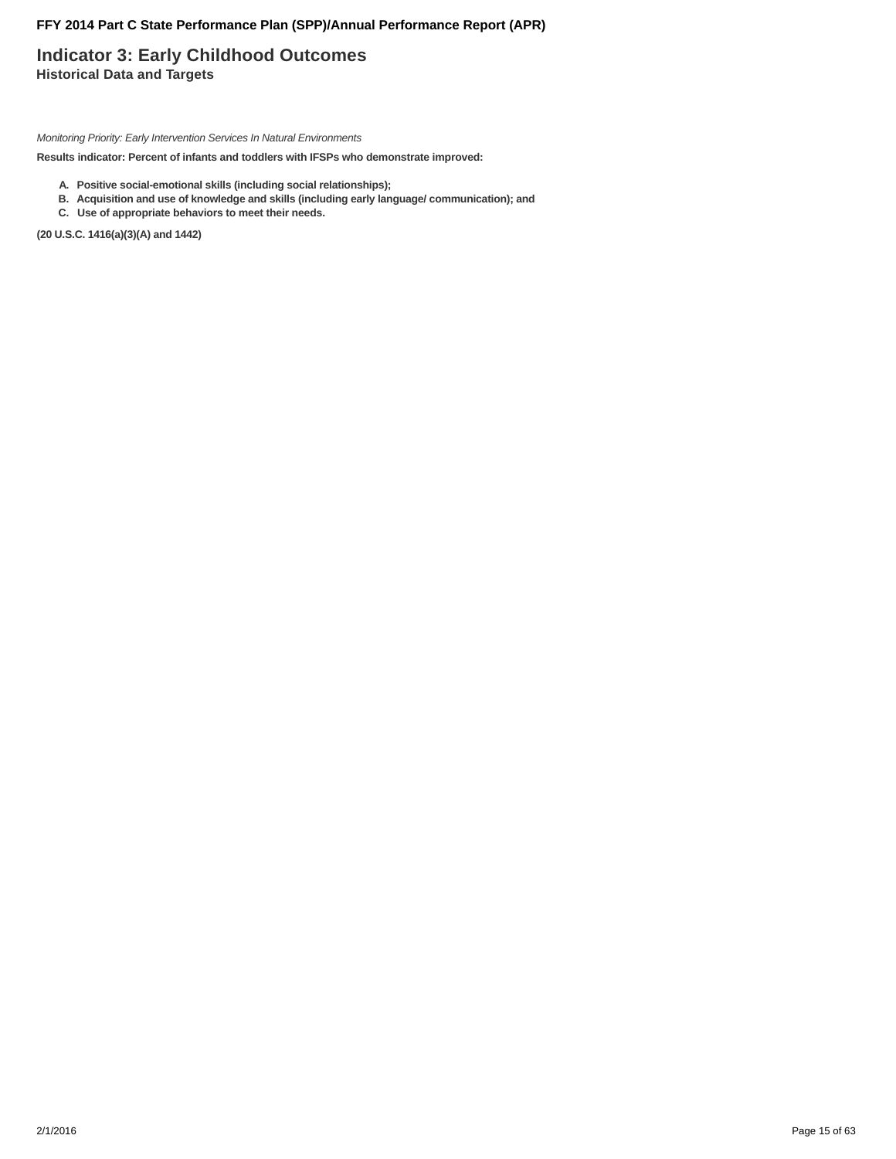# **Indicator 3: Early Childhood Outcomes Historical Data and Targets**

Monitoring Priority: Early Intervention Services In Natural Environments

**Results indicator: Percent of infants and toddlers with IFSPs who demonstrate improved:**

- **A. Positive social-emotional skills (including social relationships);**
- **B. Acquisition and use of knowledge and skills (including early language/ communication); and**
- **C. Use of appropriate behaviors to meet their needs.**

**(20 U.S.C. 1416(a)(3)(A) and 1442)**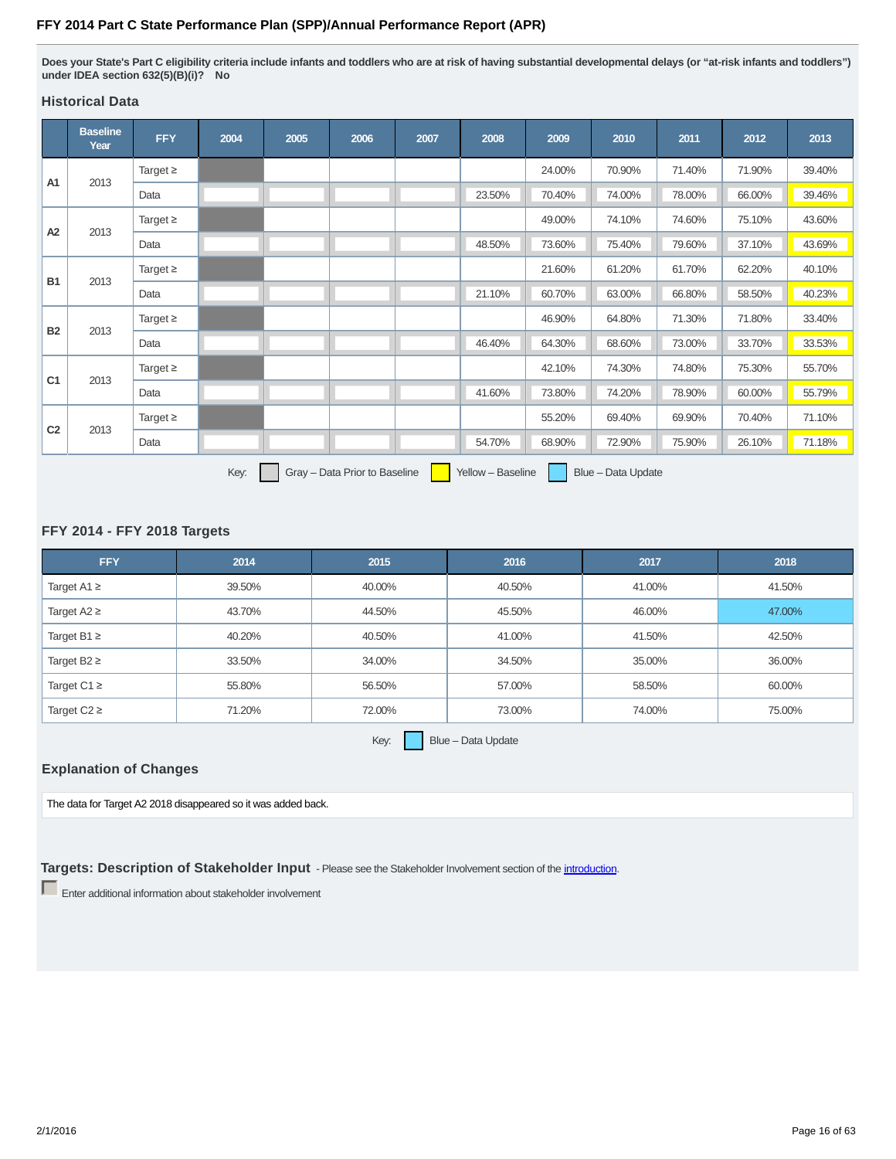**Does your State's Part C eligibility criteria include infants and toddlers who are at risk of having substantial developmental delays (or "at-risk infants and toddlers") under IDEA section 632(5)(B)(i)? No**

# **Historical Data**

|                | <b>Baseline</b><br>Year                                                          | <b>FFY</b>    | 2004 | 2005 | 2006 | 2007 | 2008   | 2009   | 2010   | 2011   | 2012   | 2013   |
|----------------|----------------------------------------------------------------------------------|---------------|------|------|------|------|--------|--------|--------|--------|--------|--------|
|                |                                                                                  | Target $\geq$ |      |      |      |      |        | 24.00% | 70.90% | 71.40% | 71.90% | 39.40% |
| A1             | 2013                                                                             | Data          |      |      |      |      | 23.50% | 70.40% | 74.00% | 78.00% | 66.00% | 39.46% |
|                | 2013                                                                             | Target $\geq$ |      |      |      |      |        | 49.00% | 74.10% | 74.60% | 75.10% | 43.60% |
| A2             |                                                                                  | Data          |      |      |      |      | 48.50% | 73.60% | 75.40% | 79.60% | 37.10% | 43.69% |
|                | 2013                                                                             | Target $\geq$ |      |      |      |      |        | 21.60% | 61.20% | 61.70% | 62.20% | 40.10% |
| <b>B1</b>      |                                                                                  | Data          |      |      |      |      | 21.10% | 60.70% | 63.00% | 66.80% | 58.50% | 40.23% |
| <b>B2</b>      |                                                                                  | Target $\geq$ |      |      |      |      |        | 46.90% | 64.80% | 71.30% | 71.80% | 33.40% |
|                | 2013                                                                             | Data          |      |      |      |      | 46.40% | 64.30% | 68.60% | 73.00% | 33.70% | 33.53% |
| C <sub>1</sub> | 2013                                                                             | Target $\geq$ |      |      |      |      |        | 42.10% | 74.30% | 74.80% | 75.30% | 55.70% |
|                |                                                                                  | Data          |      |      |      |      | 41.60% | 73.80% | 74.20% | 78.90% | 60.00% | 55.79% |
| C <sub>2</sub> | 2013                                                                             | Target $\geq$ |      |      |      |      |        | 55.20% | 69.40% | 69.90% | 70.40% | 71.10% |
|                |                                                                                  | Data          |      |      |      |      | 54.70% | 68.90% | 72.90% | 75.90% | 26.10% | 71.18% |
|                | Key:<br>Gray - Data Prior to Baseline<br>Yellow - Baseline<br>Blue - Data Update |               |      |      |      |      |        |        |        |        |        |        |

# **FFY 2014 - FFY 2018 Targets**

| <b>FFY</b>       | 2014   | 2015   | 2016   | 2017   | 2018   |
|------------------|--------|--------|--------|--------|--------|
| Target A1 $\geq$ | 39.50% | 40.00% | 40.50% | 41.00% | 41.50% |
| Target $A2 \geq$ | 43.70% | 44.50% | 45.50% | 46.00% | 47.00% |
| Target B1 $\geq$ | 40.20% | 40.50% | 41.00% | 41.50% | 42.50% |
| Target B2 $\geq$ | 33.50% | 34.00% | 34.50% | 35.00% | 36.00% |
| Target C1 $\geq$ | 55.80% | 56.50% | 57.00% | 58.50% | 60.00% |
| Target $C2 \geq$ | 71.20% | 72.00% | 73.00% | 74.00% | 75.00% |

Key:  $B = B = D$ ata Update

### **Explanation of Changes**

The data for Target A2 2018 disappeared so it was added back.

**Targets: Description of Stakeholder Input** - Please see the Stakeholder Involvement section of the *introduction*.

Enter additional information about stakeholder involvement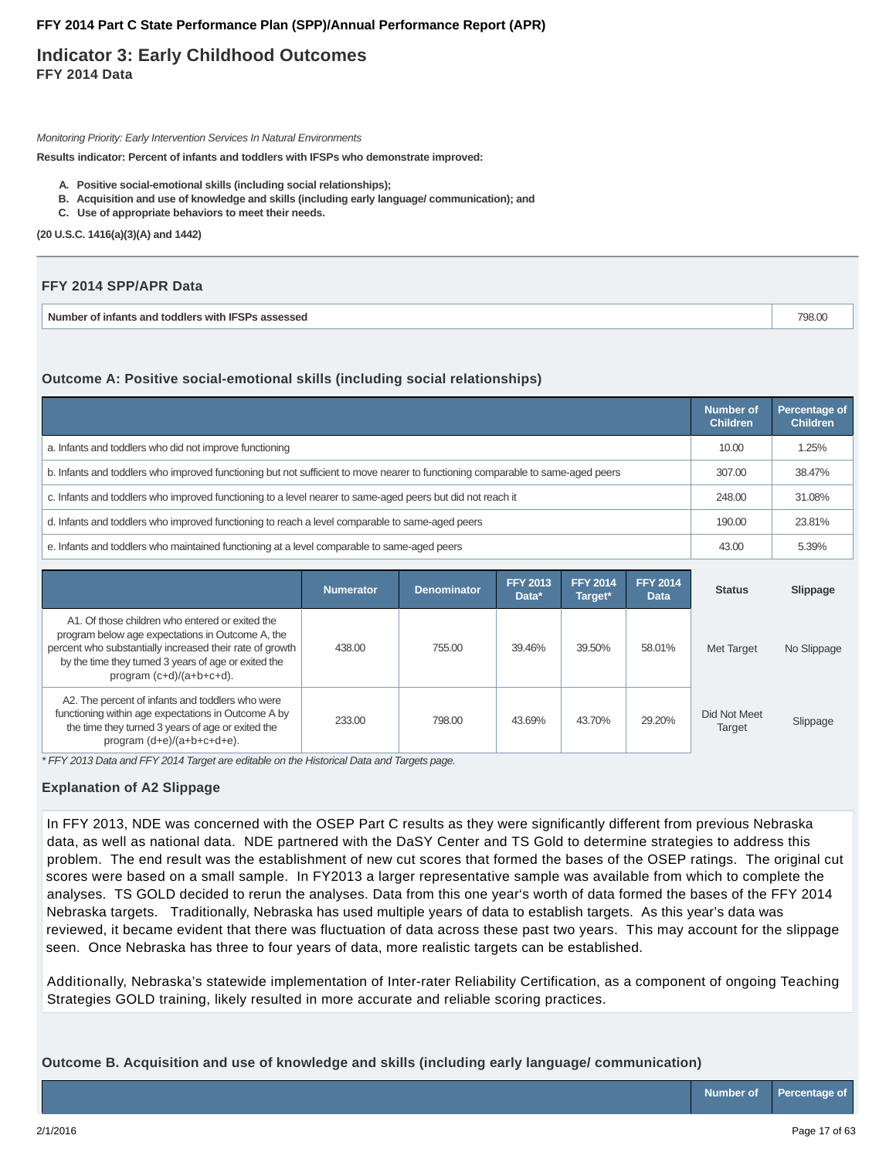# **Indicator 3: Early Childhood Outcomes FFY 2014 Data**

Monitoring Priority: Early Intervention Services In Natural Environments

**Results indicator: Percent of infants and toddlers with IFSPs who demonstrate improved:**

- **A. Positive social-emotional skills (including social relationships);**
- **B. Acquisition and use of knowledge and skills (including early language/ communication); and**
- **C. Use of appropriate behaviors to meet their needs.**

**(20 U.S.C. 1416(a)(3)(A) and 1442)**

| FFY 2014 SPP/APR Data                              |        |
|----------------------------------------------------|--------|
| Number of infants and toddlers with IFSPs assessed | 798.00 |

### **Outcome A: Positive social-emotional skills (including social relationships)**

|                                                                                                                                 | <b>Number of</b><br><b>Children</b> | Percentage of<br><b>Children</b> |
|---------------------------------------------------------------------------------------------------------------------------------|-------------------------------------|----------------------------------|
| a. Infants and toddlers who did not improve functioning                                                                         | 10.00                               | 1.25%                            |
| b. Infants and toddlers who improved functioning but not sufficient to move nearer to functioning comparable to same-aged peers | 307.00                              | 38.47%                           |
| c. Infants and toddlers who improved functioning to a level nearer to same-aged peers but did not reach it                      | 248.00                              | 31.08%                           |
| d. Infants and toddlers who improved functioning to reach a level comparable to same-aged peers                                 | 190.00                              | 23.81%                           |
| e. Infants and toddlers who maintained functioning at a level comparable to same-aged peers                                     | 43.00                               | 5.39%                            |

|                                                                                                                                                                                                                                                        | <b>Numerator</b> | <b>Denominator</b> | <b>FFY 2013</b><br>Data* | <b>FFY 2014</b><br>Target* | <b>FFY 2014</b><br><b>Data</b> | <b>Status</b>          | Slippage    |
|--------------------------------------------------------------------------------------------------------------------------------------------------------------------------------------------------------------------------------------------------------|------------------|--------------------|--------------------------|----------------------------|--------------------------------|------------------------|-------------|
| A1. Of those children who entered or exited the<br>program below age expectations in Outcome A, the<br>percent who substantially increased their rate of growth<br>by the time they turned 3 years of age or exited the<br>program $(c+d)/(a+b+c+d)$ . | 438.00           | 755.00             | 39.46%                   | 39.50%                     | 58.01%                         | Met Target             | No Slippage |
| A2. The percent of infants and toddlers who were<br>functioning within age expectations in Outcome A by<br>the time they turned 3 years of age or exited the<br>program (d+e)/(a+b+c+d+e).                                                             | 233.00           | 798.00             | 43.69%                   | 43.70%                     | 29.20%                         | Did Not Meet<br>Target | Slippage    |

\* FFY 2013 Data and FFY 2014 Target are editable on the Historical Data and Targets page.

#### **Explanation of A2 Slippage**

In FFY 2013, NDE was concerned with the OSEP Part C results as they were significantly different from previous Nebraska data, as well as national data. NDE partnered with the DaSY Center and TS Gold to determine strategies to address this problem. The end result was the establishment of new cut scores that formed the bases of the OSEP ratings. The original cut scores were based on a small sample. In FY2013 a larger representative sample was available from which to complete the analyses. TS GOLD decided to rerun the analyses. Data from this one year's worth of data formed the bases of the FFY 2014 Nebraska targets. Traditionally, Nebraska has used multiple years of data to establish targets. As this year's data was reviewed, it became evident that there was fluctuation of data across these past two years. This may account for the slippage seen. Once Nebraska has three to four years of data, more realistic targets can be established.

Additionally, Nebraska's statewide implementation of Inter-rater Reliability Certification, as a component of ongoing Teaching Strategies GOLD training, likely resulted in more accurate and reliable scoring practices.

**Outcome B. Acquisition and use of knowledge and skills (including early language/ communication)**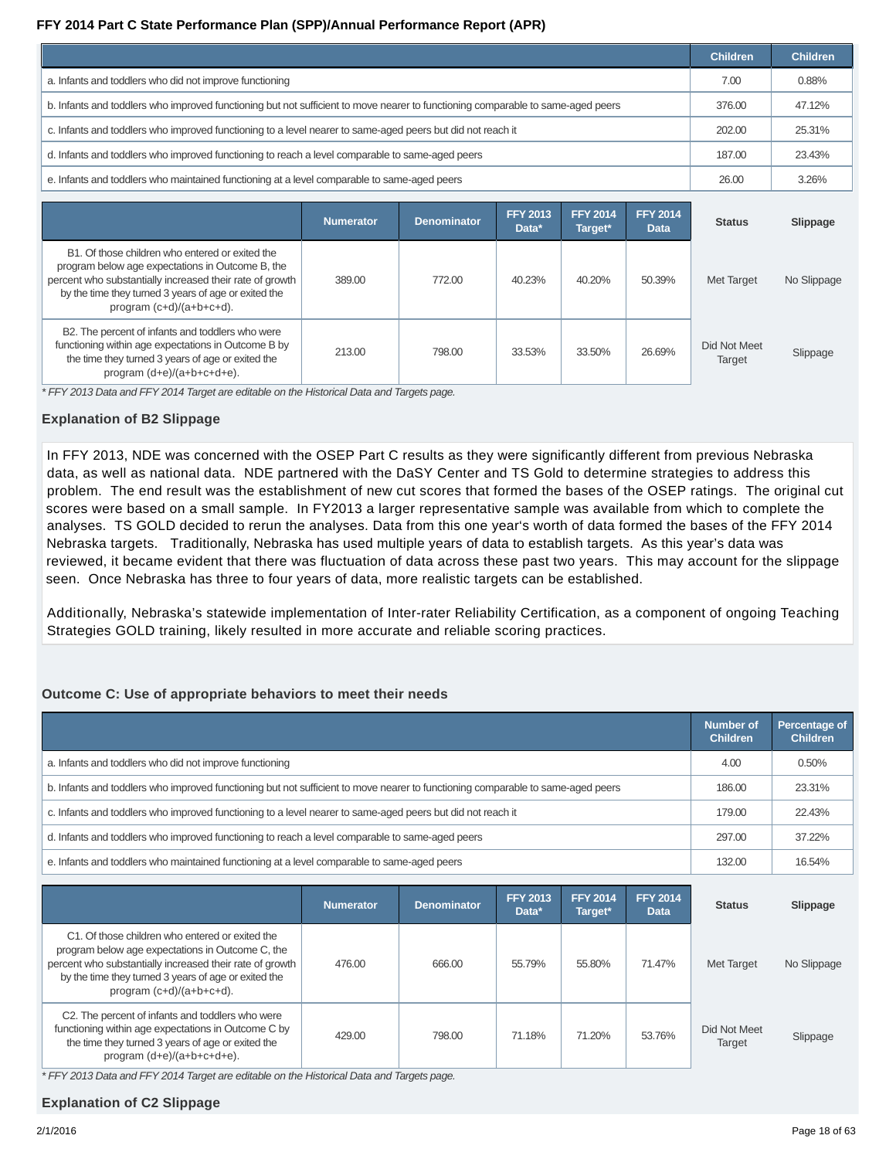|                                                                                                                                 | <b>Children</b> | <b>Children</b> |
|---------------------------------------------------------------------------------------------------------------------------------|-----------------|-----------------|
| a. Infants and toddlers who did not improve functioning                                                                         | 7.00            | 0.88%           |
| b. Infants and toddlers who improved functioning but not sufficient to move nearer to functioning comparable to same-aged peers | 376.00          | 47.12%          |
| c. Infants and toddlers who improved functioning to a level nearer to same-aged peers but did not reach it                      | 202.00          | 25.31%          |
| d. Infants and toddlers who improved functioning to reach a level comparable to same-aged peers                                 | 187.00          | 23.43%          |
| e. Infants and toddlers who maintained functioning at a level comparable to same-aged peers                                     | 26.00           | 3.26%           |

|                                                                                                                                                                                                                                                        | <b>Numerator</b> | <b>Denominator</b> | <b>FFY 2013</b><br>Data* | <b>FFY 2014</b><br>Target* | <b>FFY 2014</b><br><b>Data</b> | <b>Status</b>          | Slippage    |
|--------------------------------------------------------------------------------------------------------------------------------------------------------------------------------------------------------------------------------------------------------|------------------|--------------------|--------------------------|----------------------------|--------------------------------|------------------------|-------------|
| B1. Of those children who entered or exited the<br>program below age expectations in Outcome B, the<br>percent who substantially increased their rate of growth<br>by the time they turned 3 years of age or exited the<br>program $(c+d)/(a+b+c+d)$ . | 389.00           | 772.00             | 40.23%                   | 40.20%                     | 50.39%                         | <b>Met Target</b>      | No Slippage |
| B2. The percent of infants and toddlers who were<br>functioning within age expectations in Outcome B by<br>the time they turned 3 years of age or exited the<br>program (d+e)/(a+b+c+d+e).                                                             | 213.00           | 798.00             | 33.53%                   | 33.50%                     | 26.69%                         | Did Not Meet<br>Target | Slippage    |

\* FFY 2013 Data and FFY 2014 Target are editable on the Historical Data and Targets page.

### **Explanation of B2 Slippage**

In FFY 2013, NDE was concerned with the OSEP Part C results as they were significantly different from previous Nebraska data, as well as national data. NDE partnered with the DaSY Center and TS Gold to determine strategies to address this problem. The end result was the establishment of new cut scores that formed the bases of the OSEP ratings. The original cut scores were based on a small sample. In FY2013 a larger representative sample was available from which to complete the analyses. TS GOLD decided to rerun the analyses. Data from this one year's worth of data formed the bases of the FFY 2014 Nebraska targets. Traditionally, Nebraska has used multiple years of data to establish targets. As this year's data was reviewed, it became evident that there was fluctuation of data across these past two years. This may account for the slippage seen. Once Nebraska has three to four years of data, more realistic targets can be established.

Additionally, Nebraska's statewide implementation of Inter-rater Reliability Certification, as a component of ongoing Teaching Strategies GOLD training, likely resulted in more accurate and reliable scoring practices.

#### **Outcome C: Use of appropriate behaviors to meet their needs**

|                                                                                                                                 | Number of<br><b>Children</b> | Percentage of<br><b>Children</b> |
|---------------------------------------------------------------------------------------------------------------------------------|------------------------------|----------------------------------|
| a. Infants and toddlers who did not improve functioning                                                                         | 4.00                         | 0.50%                            |
| b. Infants and toddlers who improved functioning but not sufficient to move nearer to functioning comparable to same-aged peers | 186.00                       | 23.31%                           |
| c. Infants and toddlers who improved functioning to a level nearer to same-aged peers but did not reach it                      | 179.00                       | 22.43%                           |
| d. Infants and toddlers who improved functioning to reach a level comparable to same-aged peers                                 | 297.00                       | 37.22%                           |
| e. Infants and toddlers who maintained functioning at a level comparable to same-aged peers                                     | 132.00                       | 16.54%                           |

|                                                                                                                                                                                                                                                     | <b>Numerator</b> | <b>Denominator</b> | <b>FFY 2013</b><br>Data* | <b>FFY 2014</b><br>Target* | <b>FFY 2014</b><br><b>Data</b> | <b>Status</b>          | Slippage    |
|-----------------------------------------------------------------------------------------------------------------------------------------------------------------------------------------------------------------------------------------------------|------------------|--------------------|--------------------------|----------------------------|--------------------------------|------------------------|-------------|
| C1. Of those children who entered or exited the<br>program below age expectations in Outcome C, the<br>percent who substantially increased their rate of growth<br>by the time they turned 3 years of age or exited the<br>program (c+d)/(a+b+c+d). | 476.00           | 666.00             | 55.79%                   | 55.80%                     | 71.47%                         | Met Target             | No Slippage |
| C2. The percent of infants and toddlers who were<br>functioning within age expectations in Outcome C by<br>the time they turned 3 years of age or exited the<br>program (d+e)/(a+b+c+d+e).                                                          | 429.00           | 798.00             | 71.18%                   | 71.20%                     | 53.76%                         | Did Not Meet<br>Target | Slippage    |

\* FFY 2013 Data and FFY 2014 Target are editable on the Historical Data and Targets page.

# **Explanation of C2 Slippage**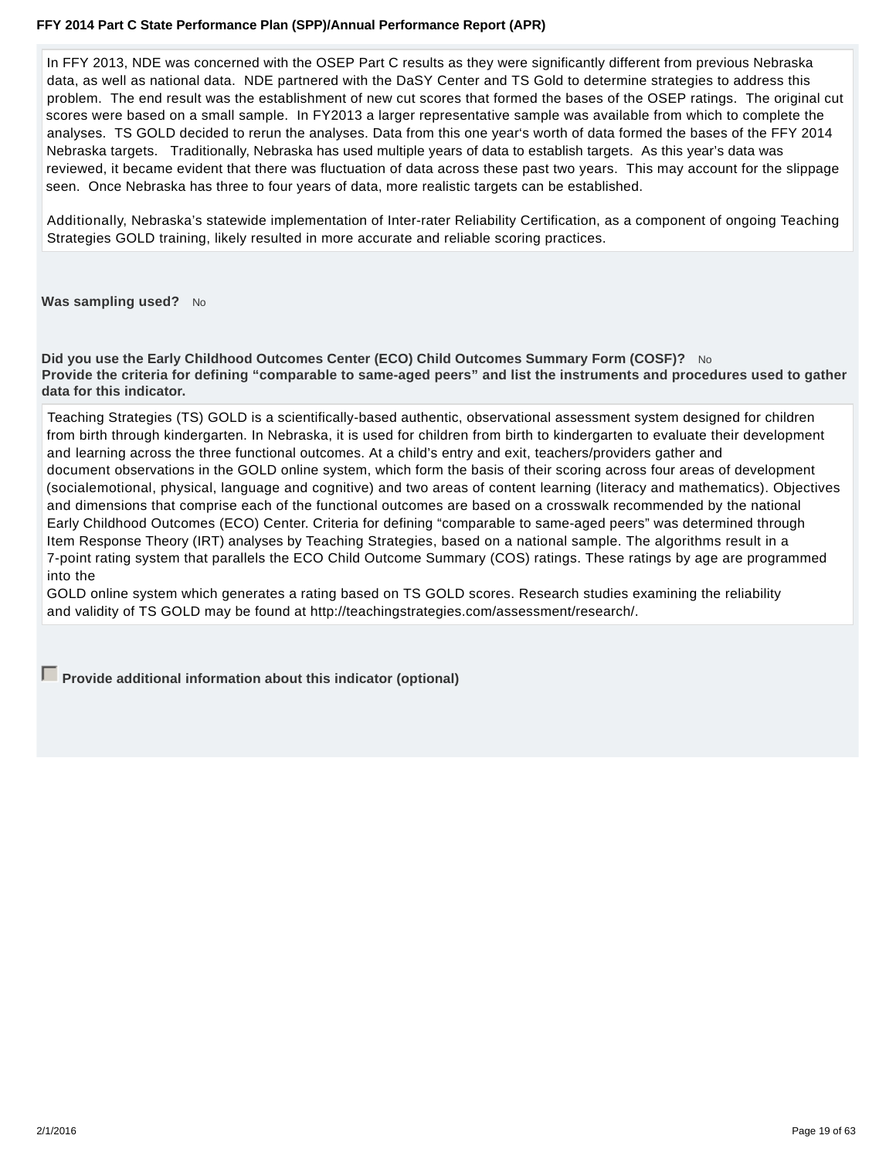In FFY 2013, NDE was concerned with the OSEP Part C results as they were significantly different from previous Nebraska data, as well as national data. NDE partnered with the DaSY Center and TS Gold to determine strategies to address this problem. The end result was the establishment of new cut scores that formed the bases of the OSEP ratings. The original cut scores were based on a small sample. In FY2013 a larger representative sample was available from which to complete the analyses. TS GOLD decided to rerun the analyses. Data from this one year's worth of data formed the bases of the FFY 2014 Nebraska targets. Traditionally, Nebraska has used multiple years of data to establish targets. As this year's data was reviewed, it became evident that there was fluctuation of data across these past two years. This may account for the slippage seen. Once Nebraska has three to four years of data, more realistic targets can be established.

Additionally, Nebraska's statewide implementation of Inter-rater Reliability Certification, as a component of ongoing Teaching Strategies GOLD training, likely resulted in more accurate and reliable scoring practices.

**Was sampling used?** No

**Did you use the Early Childhood Outcomes Center (ECO) Child Outcomes Summary Form (COSF)?** No **Provide the criteria for defining "comparable to same-aged peers" and list the instruments and procedures used to gather data for this indicator.**

Teaching Strategies (TS) GOLD is a scientifically-based authentic, observational assessment system designed for children from birth through kindergarten. In Nebraska, it is used for children from birth to kindergarten to evaluate their development and learning across the three functional outcomes. At a child's entry and exit, teachers/providers gather and document observations in the GOLD online system, which form the basis of their scoring across four areas of development (socialemotional, physical, language and cognitive) and two areas of content learning (literacy and mathematics). Objectives and dimensions that comprise each of the functional outcomes are based on a crosswalk recommended by the national Early Childhood Outcomes (ECO) Center. Criteria for defining "comparable to same-aged peers" was determined through Item Response Theory (IRT) analyses by Teaching Strategies, based on a national sample. The algorithms result in a 7-point rating system that parallels the ECO Child Outcome Summary (COS) ratings. These ratings by age are programmed into the

GOLD online system which generates a rating based on TS GOLD scores. Research studies examining the reliability and validity of TS GOLD may be found at http://teachingstrategies.com/assessment/research/.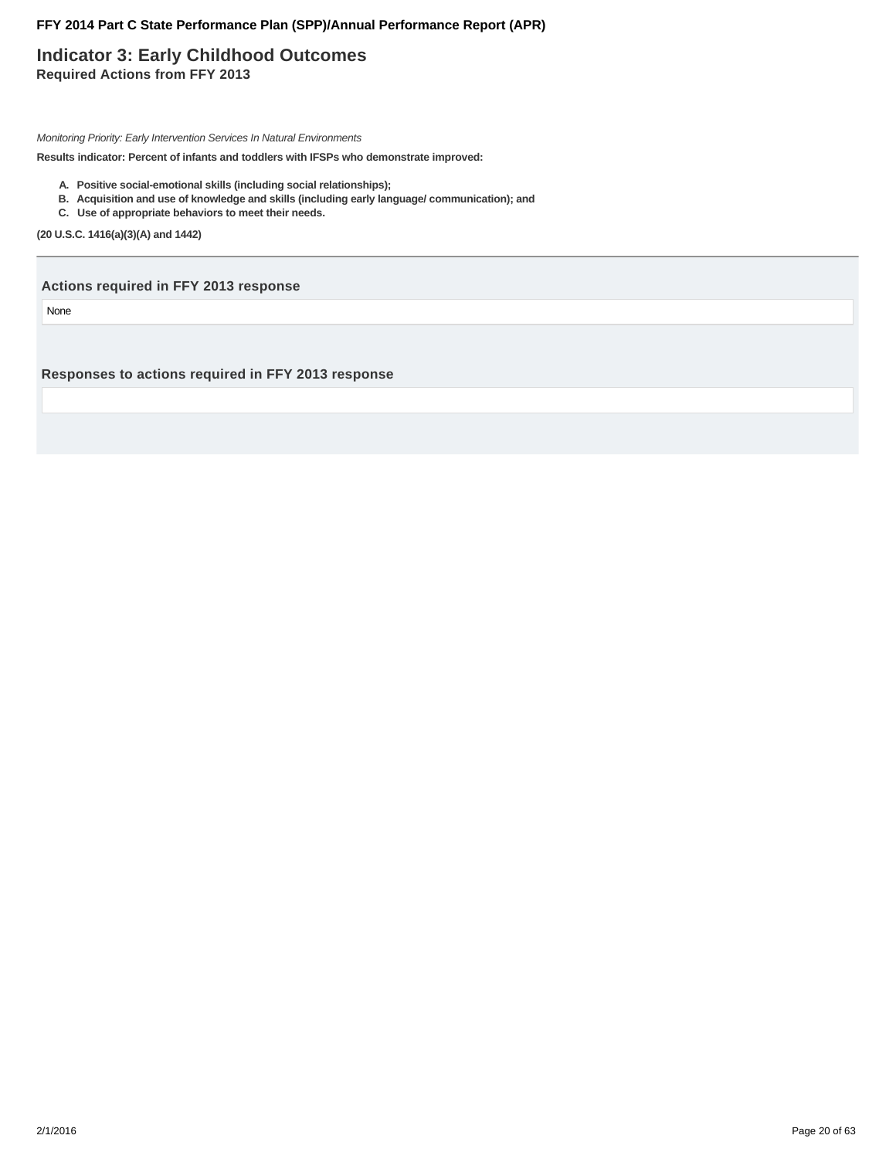# **Indicator 3: Early Childhood Outcomes Required Actions from FFY 2013**

Monitoring Priority: Early Intervention Services In Natural Environments

**Results indicator: Percent of infants and toddlers with IFSPs who demonstrate improved:**

- **A. Positive social-emotional skills (including social relationships);**
- **B. Acquisition and use of knowledge and skills (including early language/ communication); and**
- **C. Use of appropriate behaviors to meet their needs.**

**(20 U.S.C. 1416(a)(3)(A) and 1442)**

**Actions required in FFY 2013 response**

None

**Responses to actions required in FFY 2013 response**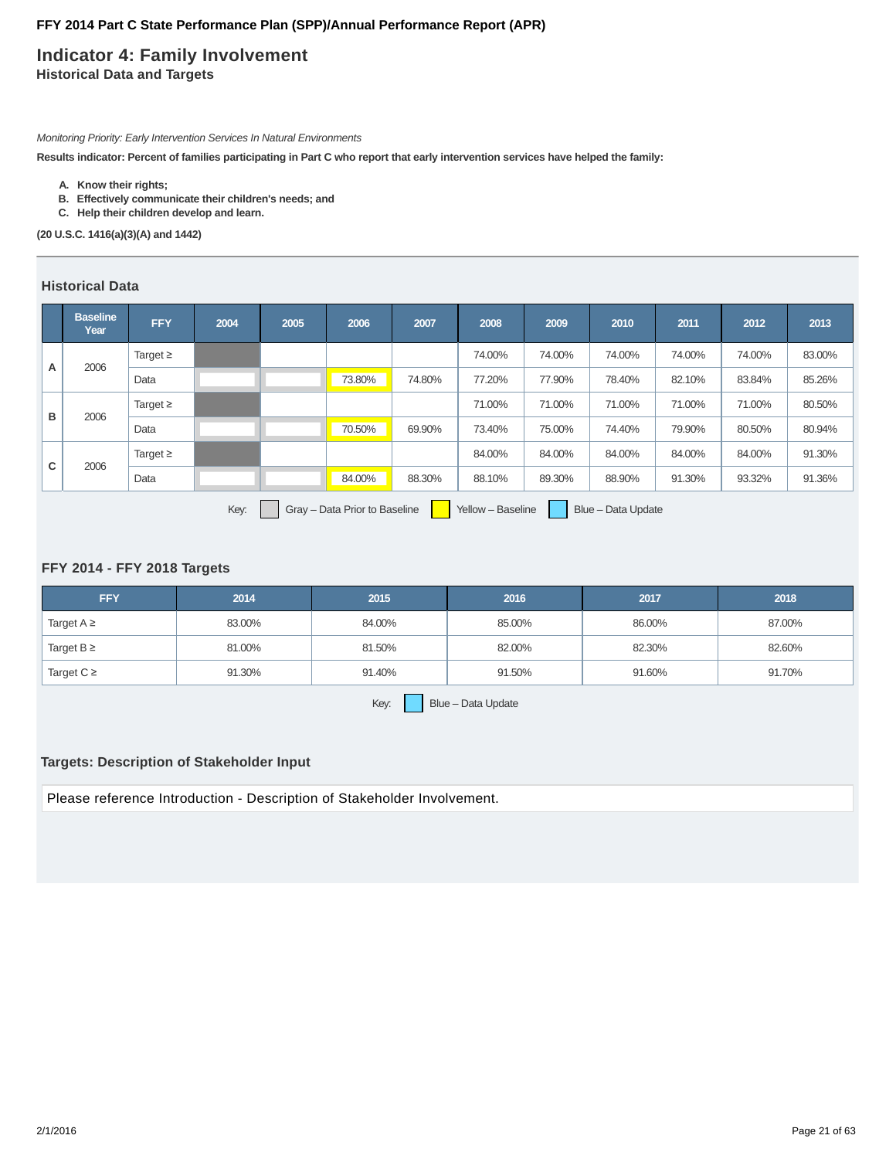# **Indicator 4: Family Involvement Historical Data and Targets**

Monitoring Priority: Early Intervention Services In Natural Environments

**Results indicator: Percent of families participating in Part C who report that early intervention services have helped the family:**

- **A. Know their rights;**
- **B. Effectively communicate their children's needs; and**
- **C. Help their children develop and learn.**

**(20 U.S.C. 1416(a)(3)(A) and 1442)**

# **Historical Data**

|   | <b>Baseline</b><br>Year                                                          | <b>FFY</b>    | 2004 | 2005 | 2006   | 2007   | 2008   | 2009   | 2010   | 2011   | 2012   | 2013   |
|---|----------------------------------------------------------------------------------|---------------|------|------|--------|--------|--------|--------|--------|--------|--------|--------|
| A | 2006                                                                             | Target $\geq$ |      |      |        |        | 74.00% | 74.00% | 74.00% | 74.00% | 74.00% | 83.00% |
|   |                                                                                  | Data          |      |      | 73.80% | 74.80% | 77.20% | 77.90% | 78.40% | 82.10% | 83.84% | 85.26% |
|   | 2006                                                                             | Target $\geq$ |      |      |        |        | 71.00% | 71.00% | 71.00% | 71.00% | 71.00% | 80.50% |
| в |                                                                                  | Data          |      |      | 70.50% | 69.90% | 73.40% | 75.00% | 74.40% | 79.90% | 80.50% | 80.94% |
| C | 2006                                                                             | Target $\geq$ |      |      |        |        | 84.00% | 84.00% | 84.00% | 84.00% | 84.00% | 91.30% |
|   |                                                                                  | Data          |      |      | 84.00% | 88.30% | 88.10% | 89.30% | 88.90% | 91.30% | 93.32% | 91.36% |
|   | Gray - Data Prior to Baseline<br>Key:<br>Blue - Data Update<br>Yellow - Baseline |               |      |      |        |        |        |        |        |        |        |        |

### **FFY 2014 - FFY 2018 Targets**

| <b>FFY</b>      | 2014   | 2015   | 2016   | 2017   | 2018   |  |  |  |  |
|-----------------|--------|--------|--------|--------|--------|--|--|--|--|
| Target $A \geq$ | 83.00% | 84.00% | 85.00% | 86.00% | 87.00% |  |  |  |  |
| Target $B \geq$ | 81.00% | 81.50% | 82.00% | 82.30% | 82.60% |  |  |  |  |
| Target $C \geq$ | 91.30% | 91.40% | 91.50% | 91.60% | 91.70% |  |  |  |  |
|                 |        |        |        |        |        |  |  |  |  |

Key:  $B\text{S}$  Blue – Data Update

### **Targets: Description of Stakeholder Input**

Please reference Introduction - Description of Stakeholder Involvement.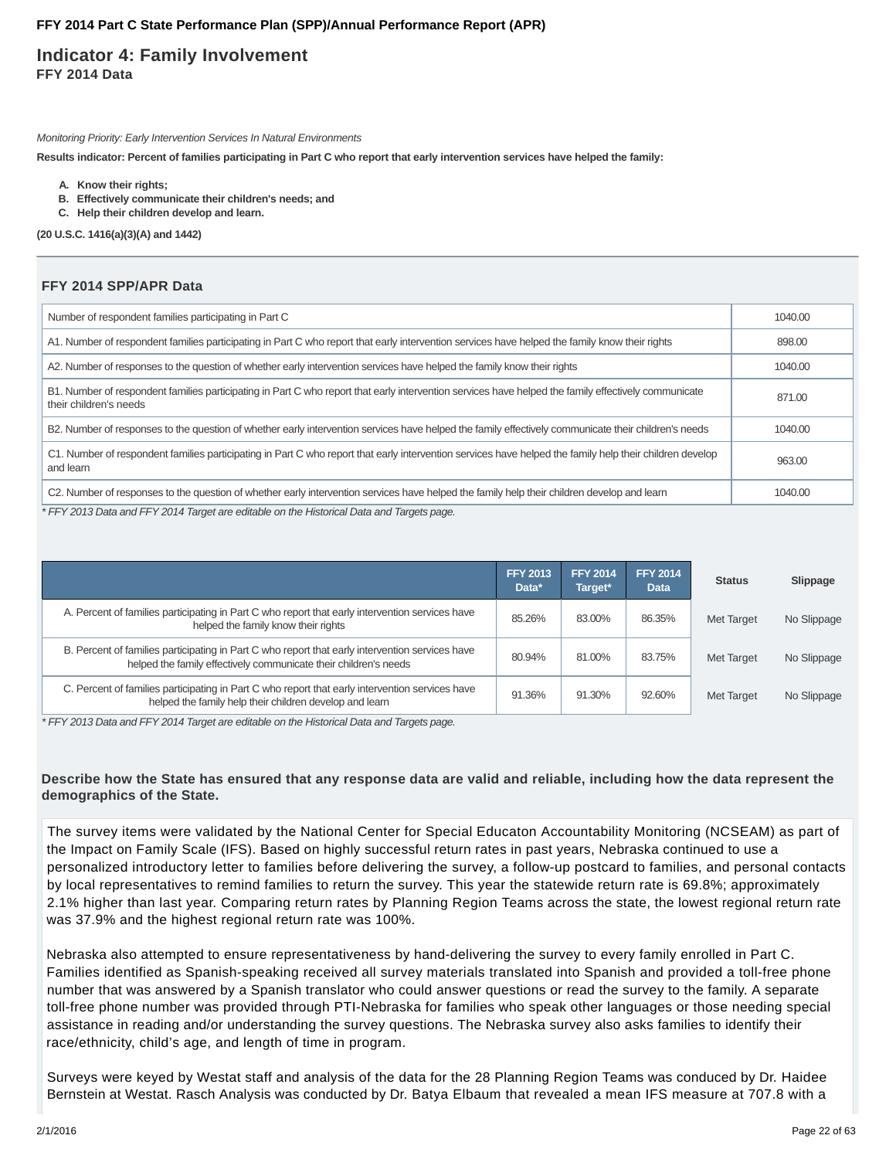# **Indicator 4: Family Involvement FFY 2014 Data**

Monitoring Priority: Early Intervention Services In Natural Environments

**Results indicator: Percent of families participating in Part C who report that early intervention services have helped the family:**

- **A. Know their rights;**
- **B. Effectively communicate their children's needs; and**
- **C. Help their children develop and learn.**

**(20 U.S.C. 1416(a)(3)(A) and 1442)**

### **FFY 2014 SPP/APR Data**

| Number of respondent families participating in Part C                                                                                                                          | 1040.00 |
|--------------------------------------------------------------------------------------------------------------------------------------------------------------------------------|---------|
| A1. Number of respondent families participating in Part C who report that early intervention services have helped the family know their rights                                 | 898.00  |
| A2. Number of responses to the question of whether early intervention services have helped the family know their rights                                                        | 1040.00 |
| B1. Number of respondent families participating in Part C who report that early intervention services have helped the family effectively communicate<br>their children's needs | 871.00  |
| B2. Number of responses to the question of whether early intervention services have helped the family effectively communicate their children's needs                           | 1040.00 |
| C1. Number of respondent families participating in Part C who report that early intervention services have helped the family help their children develop<br>and learn          | 963.00  |
| C2. Number of responses to the question of whether early intervention services have helped the family help their children develop and learn                                    | 1040.00 |

\* FFY 2013 Data and FFY 2014 Target are editable on the Historical Data and Targets page.

|                                                                                                                                                                     | <b>FFY 2013</b><br>Data* | <b>FFY 2014</b><br>Target* | <b>FFY 2014</b><br><b>Data</b> | <b>Status</b> | Slippage    |
|---------------------------------------------------------------------------------------------------------------------------------------------------------------------|--------------------------|----------------------------|--------------------------------|---------------|-------------|
| A. Percent of families participating in Part C who report that early intervention services have<br>helped the family know their rights                              | 85.26%                   | 83.00%                     | 86.35%                         | Met Target    | No Slippage |
| B. Percent of families participating in Part C who report that early intervention services have<br>helped the family effectively communicate their children's needs | 80.94%                   | 81.00%                     | 83.75%                         | Met Target    | No Slippage |
| C. Percent of families participating in Part C who report that early intervention services have<br>helped the family help their children develop and learn          | 91.36%                   | 91.30%                     | 92.60%                         | Met Target    | No Slippage |

\* FFY 2013 Data and FFY 2014 Target are editable on the Historical Data and Targets page.

### **Describe how the State has ensured that any response data are valid and reliable, including how the data represent the demographics of the State.**

The survey items were validated by the National Center for Special Educaton Accountability Monitoring (NCSEAM) as part of the Impact on Family Scale (IFS). Based on highly successful return rates in past years, Nebraska continued to use a personalized introductory letter to families before delivering the survey, a follow-up postcard to families, and personal contacts by local representatives to remind families to return the survey. This year the statewide return rate is 69.8%; approximately 2.1% higher than last year. Comparing return rates by Planning Region Teams across the state, the lowest regional return rate was 37.9% and the highest regional return rate was 100%.

Nebraska also attempted to ensure representativeness by hand-delivering the survey to every family enrolled in Part C. Families identified as Spanish-speaking received all survey materials translated into Spanish and provided a toll-free phone number that was answered by a Spanish translator who could answer questions or read the survey to the family. A separate toll-free phone number was provided through PTI-Nebraska for families who speak other languages or those needing special assistance in reading and/or understanding the survey questions. The Nebraska survey also asks families to identify their race/ethnicity, child's age, and length of time in program.

Surveys were keyed by Westat staff and analysis of the data for the 28 Planning Region Teams was conduced by Dr. Haidee Bernstein at Westat. Rasch Analysis was conducted by Dr. Batya Elbaum that revealed a mean IFS measure at 707.8 with a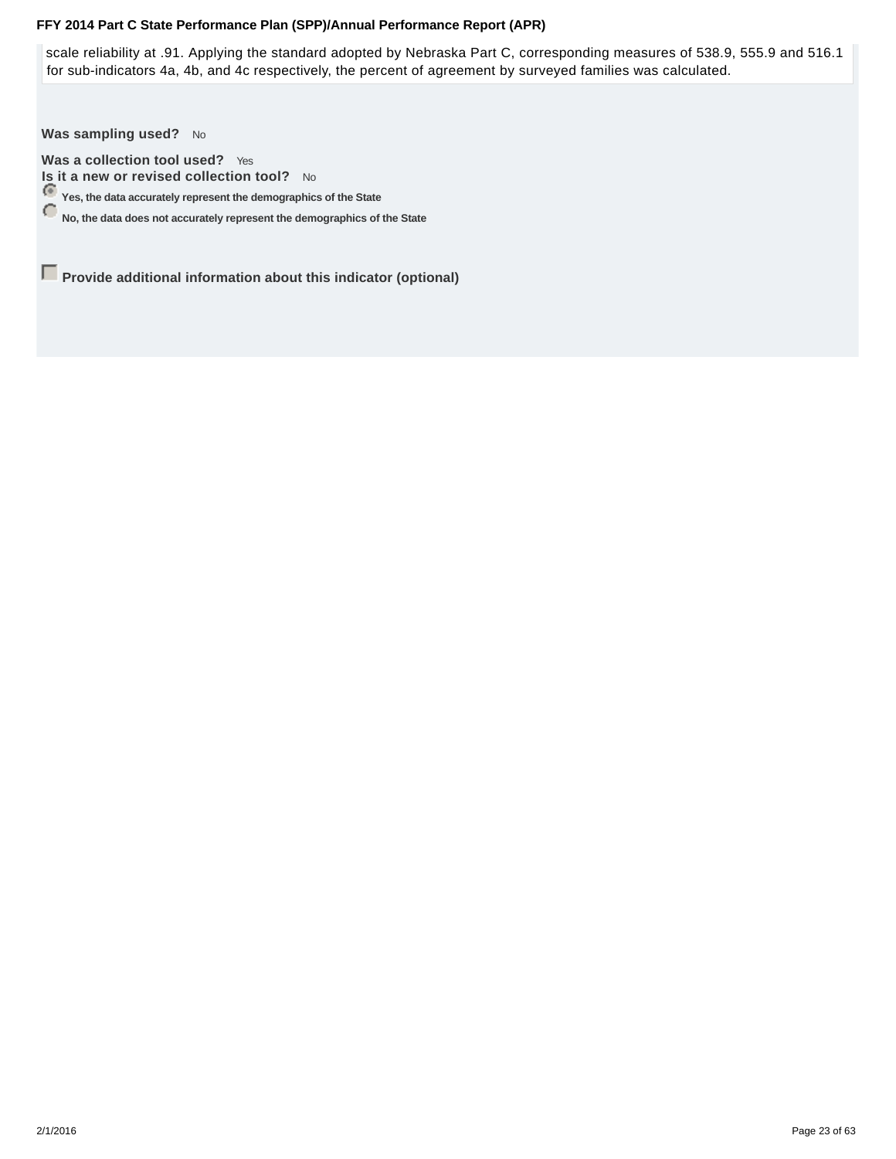scale reliability at .91. Applying the standard adopted by Nebraska Part C, corresponding measures of 538.9, 555.9 and 516.1 for sub-indicators 4a, 4b, and 4c respectively, the percent of agreement by surveyed families was calculated.

Was sampling used? No

**Was a collection tool used?** Yes **Is it a new or revised collection tool?** No

**Yes, the data accurately represent the demographics of the State**

**No, the data does not accurately represent the demographics of the State**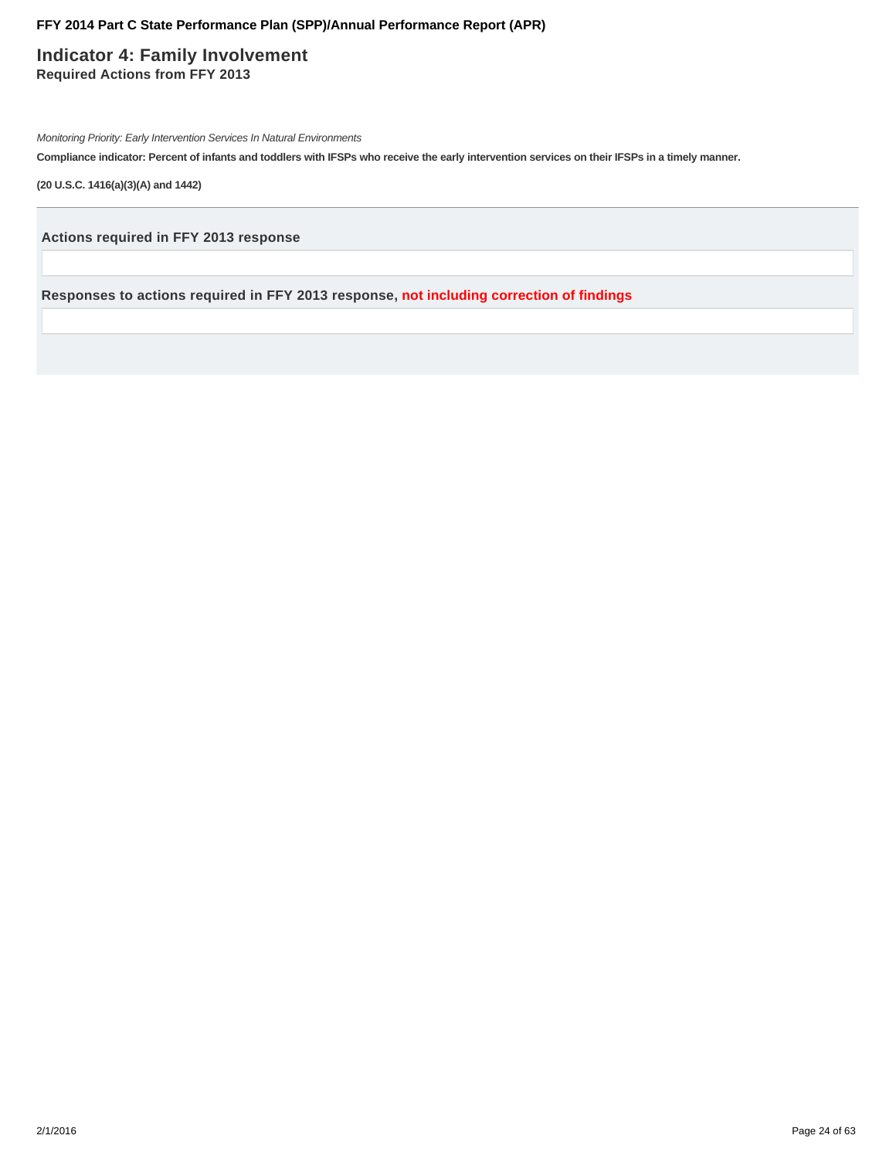**Indicator 4: Family Involvement Required Actions from FFY 2013**

Monitoring Priority: Early Intervention Services In Natural Environments

**Compliance indicator: Percent of infants and toddlers with IFSPs who receive the early intervention services on their IFSPs in a timely manner.**

**(20 U.S.C. 1416(a)(3)(A) and 1442)**

**Actions required in FFY 2013 response**

**Responses to actions required in FFY 2013 response, not including correction of findings**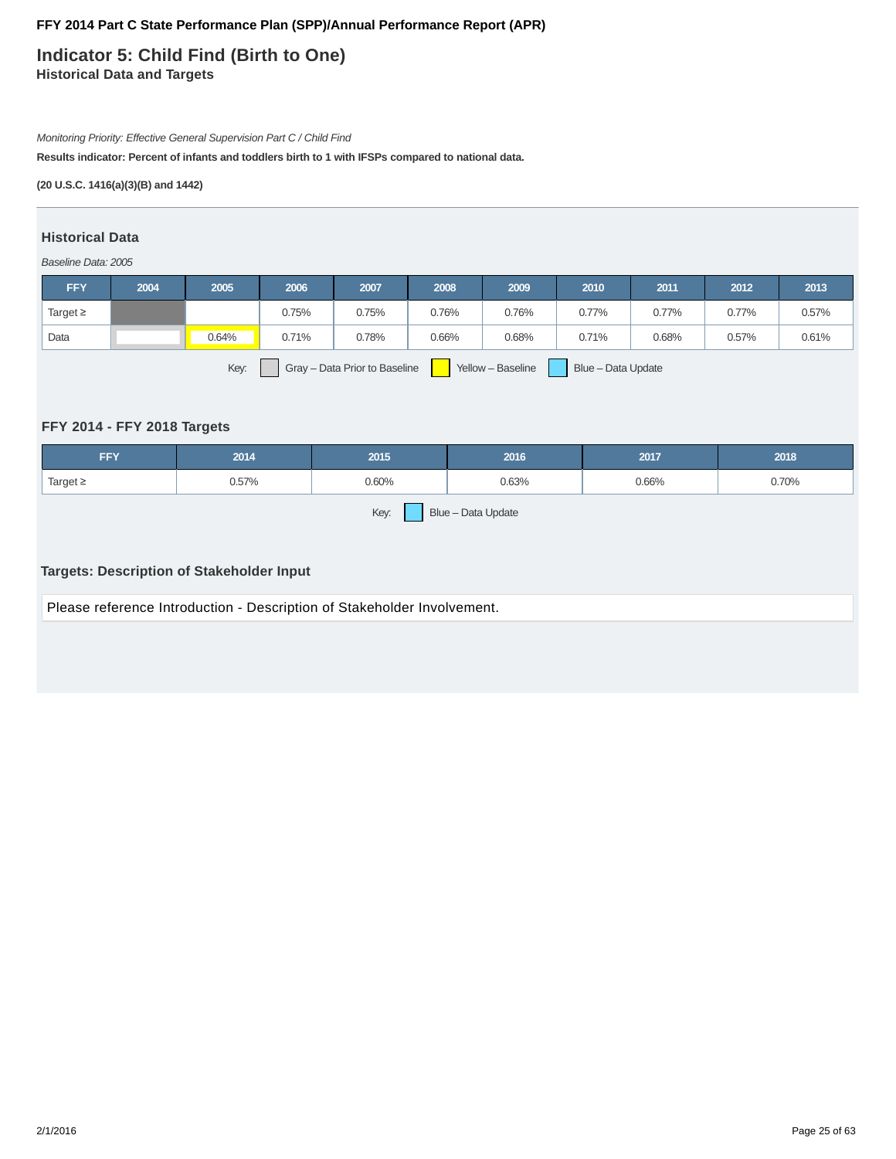**Indicator 5: Child Find (Birth to One) Historical Data and Targets**

#### Monitoring Priority: Effective General Supervision Part C / Child Find

**Results indicator: Percent of infants and toddlers birth to 1 with IFSPs compared to national data.**

### **(20 U.S.C. 1416(a)(3)(B) and 1442)**

### **Historical Data**

#### Baseline Data: 2005

| <b>FFY</b>                                                                       | 2004 | 2005  | 2006  | 2007  | 2008  | 2009  | 2010  | 2011  | 2012  | 2013  |
|----------------------------------------------------------------------------------|------|-------|-------|-------|-------|-------|-------|-------|-------|-------|
| Target $\geq$                                                                    |      |       | 0.75% | 0.75% | 0.76% | 0.76% | 0.77% | 0.77% | 0.77% | 0.57% |
| Data                                                                             |      | 0.64% | 0.71% | 0.78% | 0.66% | 0.68% | 0.71% | 0.68% | 0.57% | 0.61% |
| Key:<br>Yellow - Baseline<br>Blue - Data Update<br>Gray - Data Prior to Baseline |      |       |       |       |       |       |       |       |       |       |

# **FFY 2014 - FFY 2018 Targets**

| <b>FFY</b>                 | 2014  | 2015  | 2016  | 2017  | 2018  |  |  |  |  |
|----------------------------|-------|-------|-------|-------|-------|--|--|--|--|
| Target $\geq$              | 0.57% | 0.60% | 0.63% | 0.66% | 0.70% |  |  |  |  |
| Key:<br>Blue - Data Update |       |       |       |       |       |  |  |  |  |

# **Targets: Description of Stakeholder Input**

Please reference Introduction - Description of Stakeholder Involvement.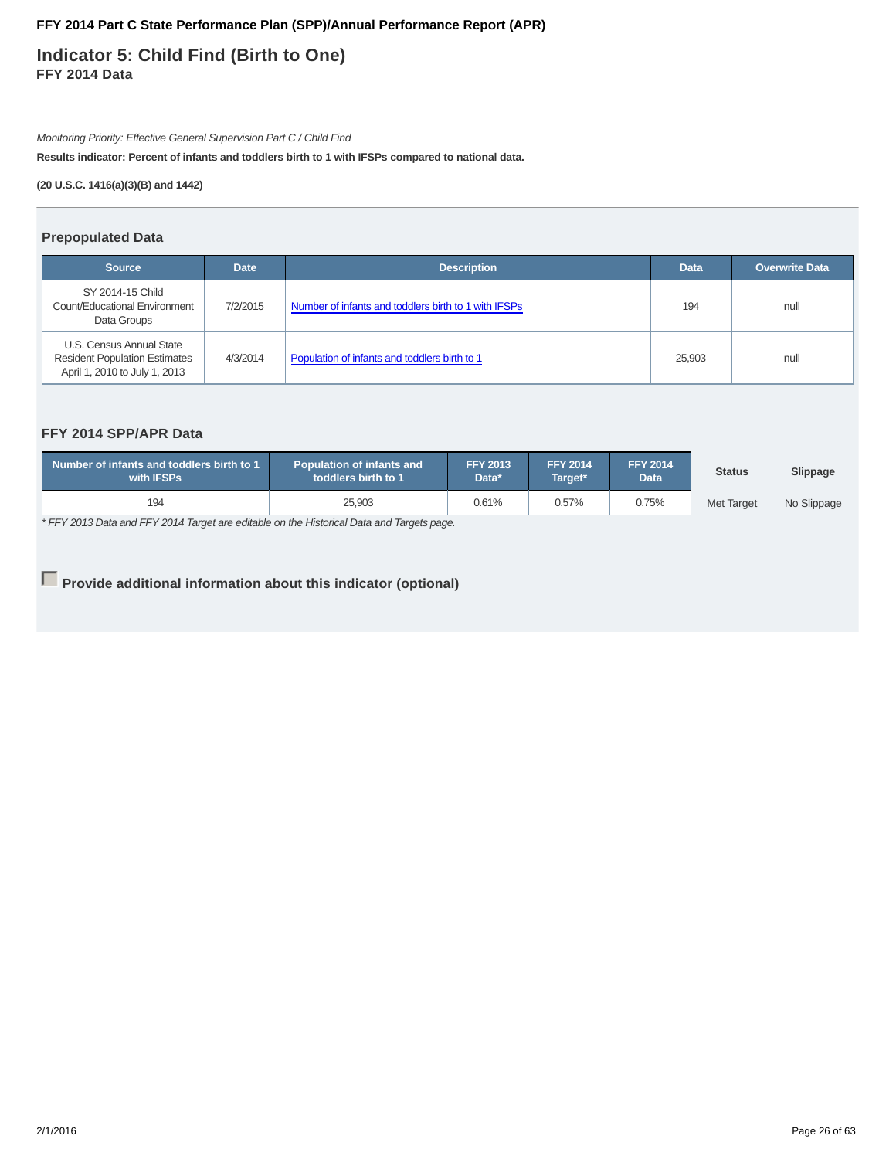**Indicator 5: Child Find (Birth to One) FFY 2014 Data**

Monitoring Priority: Effective General Supervision Part C / Child Find

**Results indicator: Percent of infants and toddlers birth to 1 with IFSPs compared to national data.**

**(20 U.S.C. 1416(a)(3)(B) and 1442)**

### **Prepopulated Data**

| <b>Source</b>                                                                                     | <b>Date</b> | <b>Description</b>                                   | <b>Data</b> | <b>Overwrite Data</b> |
|---------------------------------------------------------------------------------------------------|-------------|------------------------------------------------------|-------------|-----------------------|
| SY 2014-15 Child<br>Count/Educational Environment<br>Data Groups                                  | 7/2/2015    | Number of infants and toddlers birth to 1 with IFSPs | 194         | null                  |
| U.S. Census Annual State<br><b>Resident Population Estimates</b><br>April 1, 2010 to July 1, 2013 | 4/3/2014    | Population of infants and toddlers birth to 1        | 25,903      | null                  |

# **FFY 2014 SPP/APR Data**

| Number of infants and toddlers birth to 1<br>with <b>IFSPs</b> | <b>Population of infants and</b><br>toddlers birth to 1 | <b>FFY 2013</b><br>Data* | <b>FFY 2014</b><br>Target* |       | <b>Status</b>     | Slippage    |
|----------------------------------------------------------------|---------------------------------------------------------|--------------------------|----------------------------|-------|-------------------|-------------|
| 194                                                            | 25.903                                                  | 0.61%                    | 0.57%                      | 0.75% | <b>Met Target</b> | No Slippage |

\* FFY 2013 Data and FFY 2014 Target are editable on the Historical Data and Targets page.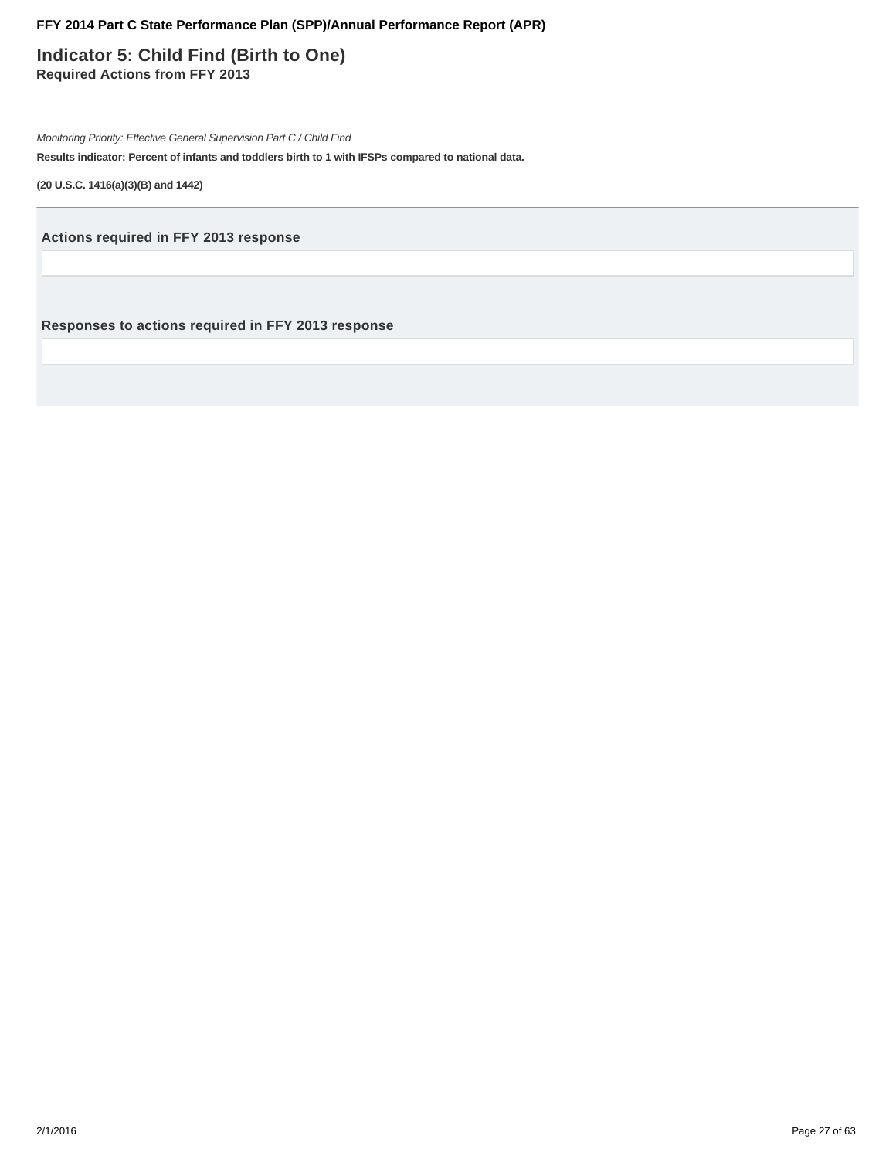**Indicator 5: Child Find (Birth to One) Required Actions from FFY 2013**

Monitoring Priority: Effective General Supervision Part C / Child Find

**Results indicator: Percent of infants and toddlers birth to 1 with IFSPs compared to national data.**

**(20 U.S.C. 1416(a)(3)(B) and 1442)**

**Actions required in FFY 2013 response**

**Responses to actions required in FFY 2013 response**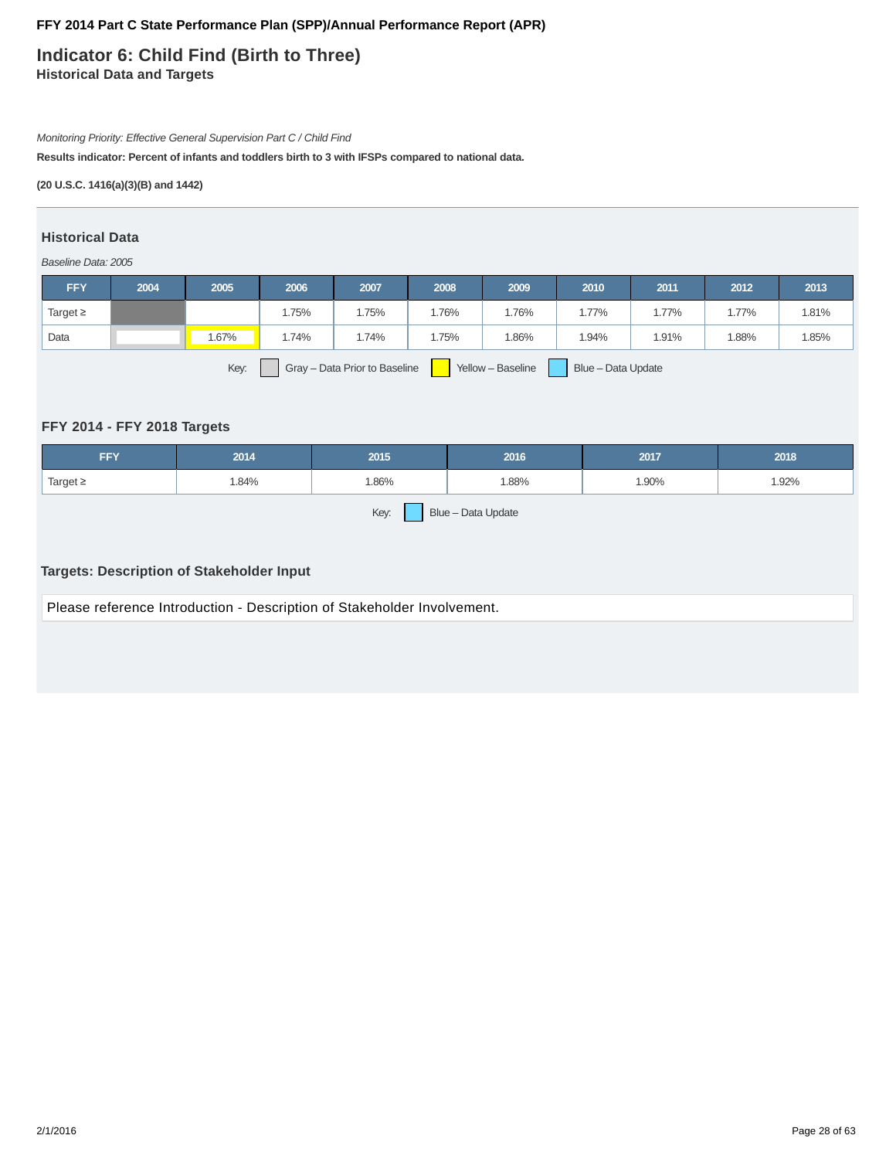# **Indicator 6: Child Find (Birth to Three) Historical Data and Targets**

# Monitoring Priority: Effective General Supervision Part C / Child Find

**Results indicator: Percent of infants and toddlers birth to 3 with IFSPs compared to national data.**

### **(20 U.S.C. 1416(a)(3)(B) and 1442)**

### **Historical Data**

#### Baseline Data: 2005

| <b>FFY</b>                                                                       | 2004 | 2005  | 2006  | 2007  | 2008 | 2009    | 2010  | 2011  | 2012  | 2013  |
|----------------------------------------------------------------------------------|------|-------|-------|-------|------|---------|-------|-------|-------|-------|
| Target $\geq$                                                                    |      |       | i.75% | .75%  | .76% | $.76\%$ | .77%  | .77%  | 1.77% | 1.81% |
| Data                                                                             |      | 1.67% | i.74% | 1.74% | .75% | 1.86%   | 1.94% | 1.91% | 1.88% | 1.85% |
| Key:<br>Yellow - Baseline<br>Gray - Data Prior to Baseline<br>Blue - Data Update |      |       |       |       |      |         |       |       |       |       |

# **FFY 2014 - FFY 2018 Targets**

| <b>FFY</b>                 | 2014  | 2015  | 2016  | 2017  | 2018  |  |  |  |  |
|----------------------------|-------|-------|-------|-------|-------|--|--|--|--|
| Target $\geq$              | 1.84% | 1.86% | 1.88% | 1.90% | 1.92% |  |  |  |  |
| Key:<br>Blue - Data Update |       |       |       |       |       |  |  |  |  |

# **Targets: Description of Stakeholder Input**

Please reference Introduction - Description of Stakeholder Involvement.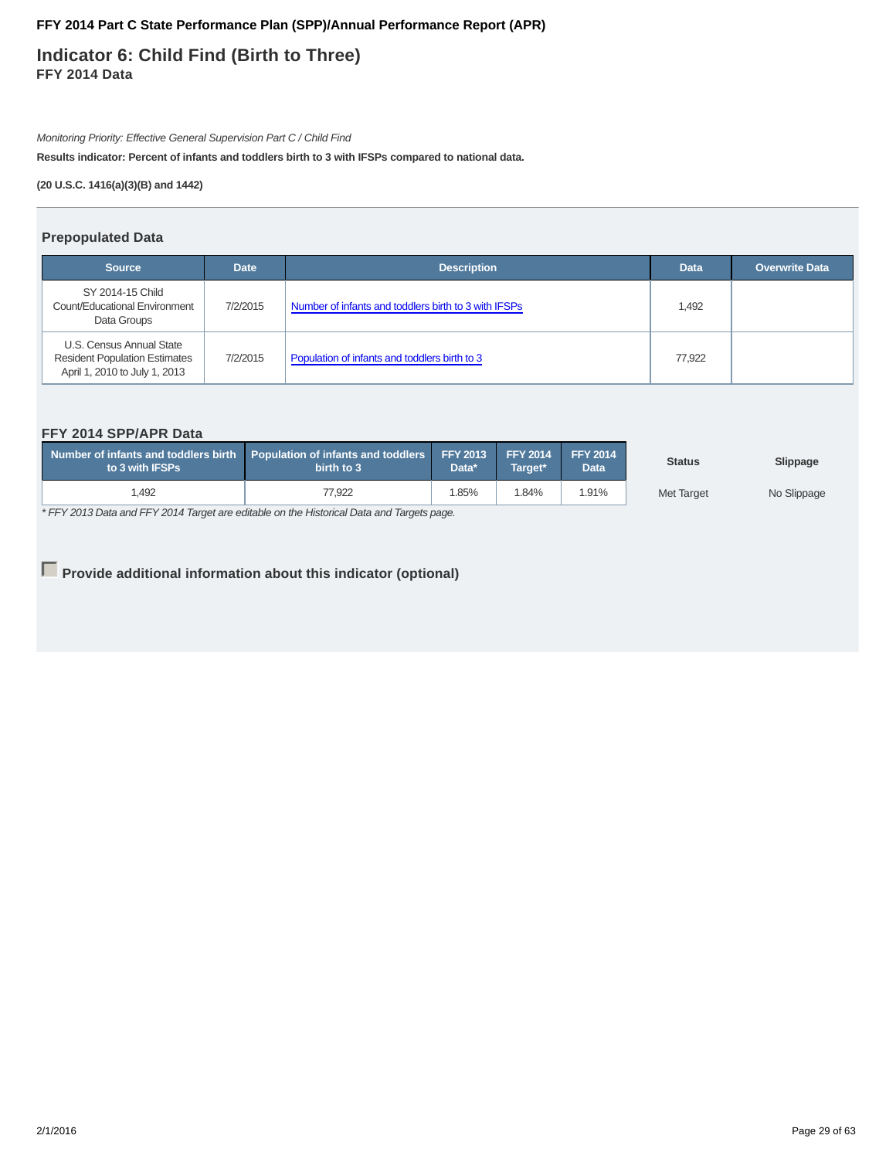**Indicator 6: Child Find (Birth to Three) FFY 2014 Data**

Monitoring Priority: Effective General Supervision Part C / Child Find

**Results indicator: Percent of infants and toddlers birth to 3 with IFSPs compared to national data.**

**(20 U.S.C. 1416(a)(3)(B) and 1442)**

### **Prepopulated Data**

| <b>Source</b>                                                                                     | <b>Date</b> | <b>Description</b>                                   | <b>Data</b> | <b>Overwrite Data</b> |
|---------------------------------------------------------------------------------------------------|-------------|------------------------------------------------------|-------------|-----------------------|
| SY 2014-15 Child<br>Count/Educational Environment<br>Data Groups                                  | 7/2/2015    | Number of infants and toddlers birth to 3 with IFSPs | 1,492       |                       |
| U.S. Census Annual State<br><b>Resident Population Estimates</b><br>April 1, 2010 to July 1, 2013 | 7/2/2015    | Population of infants and toddlers birth to 3        | 77.922      |                       |

# **FFY 2014 SPP/APR Data**

| Number of infants and toddlers birth Population of infants and toddlers FFY 2013 FFY 2014<br>to 3 with IFSPs | birth to 3 | Data* | Target* |       | <b>Status</b> | Slippage    |
|--------------------------------------------------------------------------------------------------------------|------------|-------|---------|-------|---------------|-------------|
| 1,492                                                                                                        | 77.922     | .85%  | .84%    | 1.91% | Met Target    | No Slippage |

\* FFY 2013 Data and FFY 2014 Target are editable on the Historical Data and Targets page.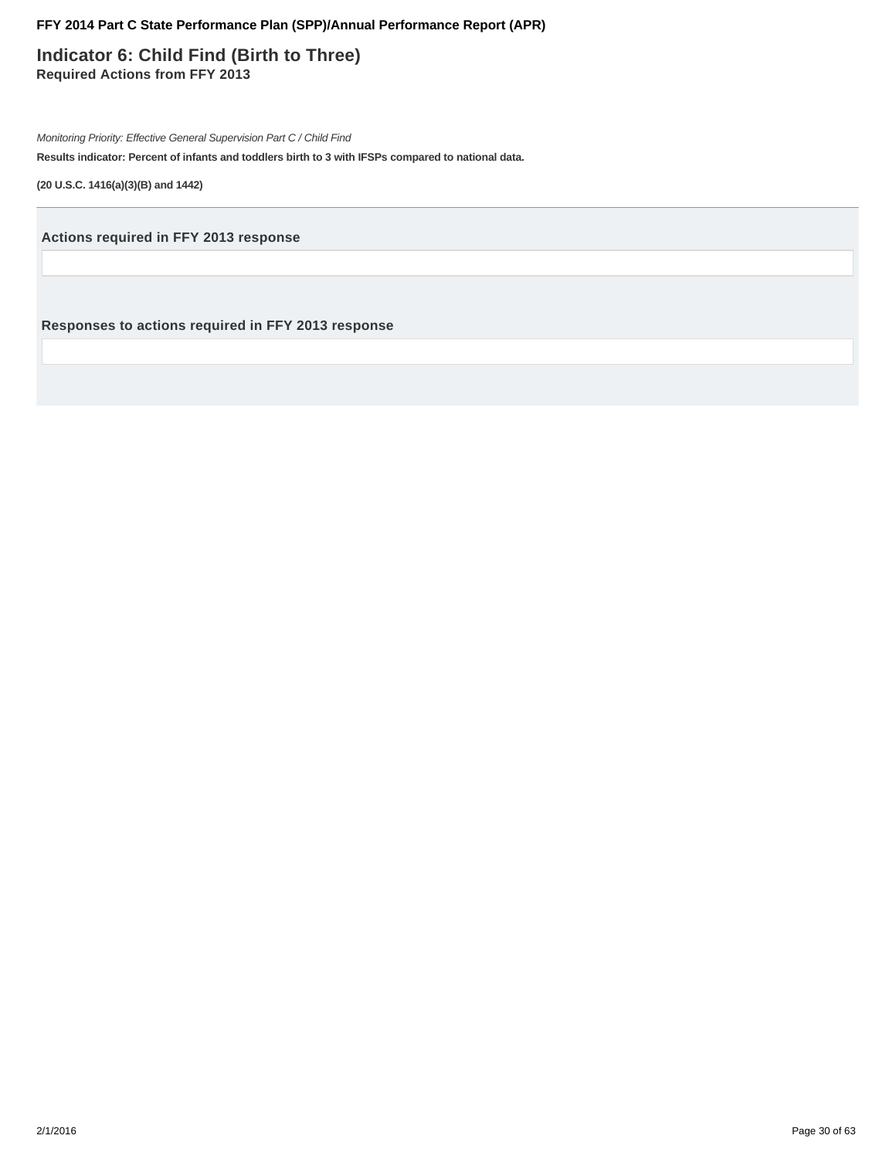**Indicator 6: Child Find (Birth to Three) Required Actions from FFY 2013**

Monitoring Priority: Effective General Supervision Part C / Child Find

**Results indicator: Percent of infants and toddlers birth to 3 with IFSPs compared to national data.**

**(20 U.S.C. 1416(a)(3)(B) and 1442)**

**Actions required in FFY 2013 response**

**Responses to actions required in FFY 2013 response**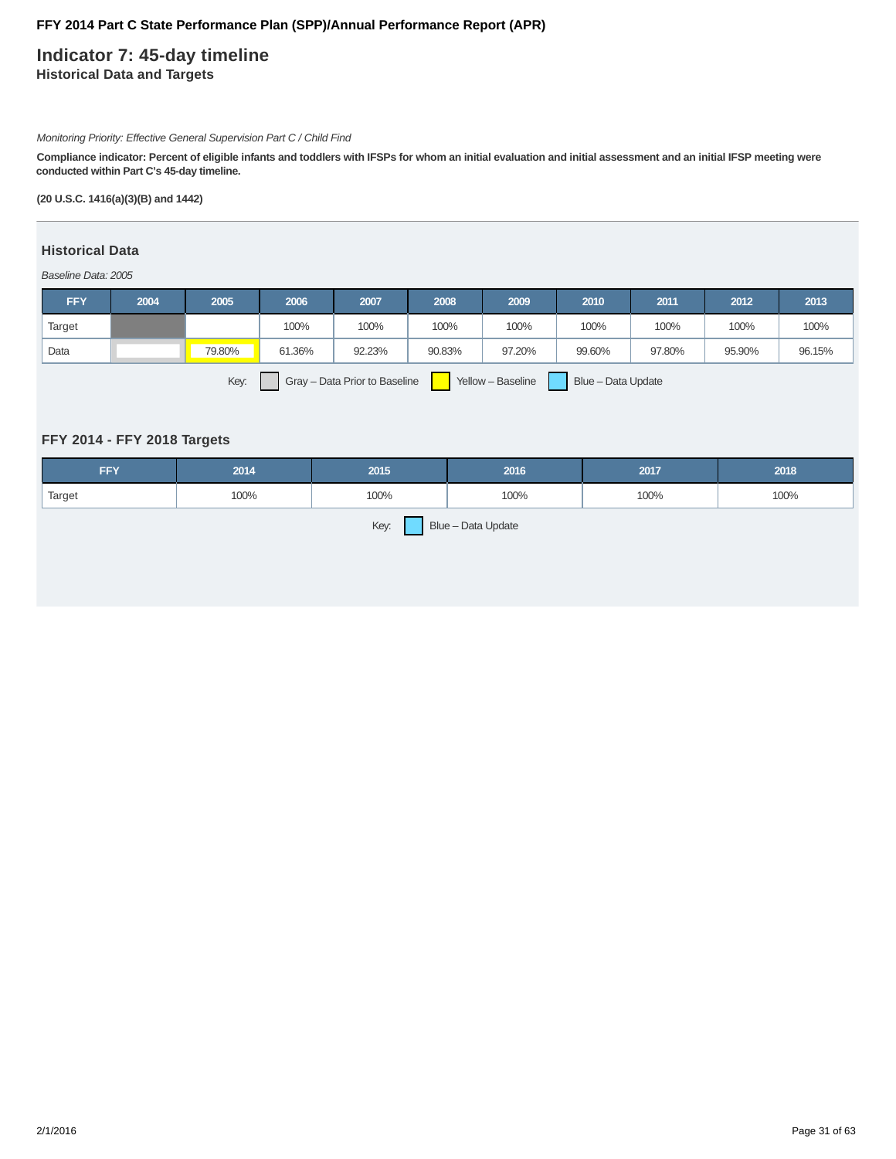# **Indicator 7: 45-day timeline Historical Data and Targets**

### Monitoring Priority: Effective General Supervision Part C / Child Find

**Compliance indicator: Percent of eligible infants and toddlers with IFSPs for whom an initial evaluation and initial assessment and an initial IFSP meeting were conducted within Part C's 45-day timeline.**

**(20 U.S.C. 1416(a)(3)(B) and 1442)**

# **Historical Data**

#### Baseline Data: 2005

| <b>FFY</b> | 2004 | 2005   | 2006   | 2007   | 2008   | 2009   | 2010   | 2011   | 2012   | 2013   |
|------------|------|--------|--------|--------|--------|--------|--------|--------|--------|--------|
| Target     |      |        | 100%   | 100%   | 100%   | 100%   | 100%   | 100%   | 100%   | 100%   |
| Data       |      | 79.80% | 61.36% | 92.23% | 90.83% | 97.20% | 99.60% | 97.80% | 95.90% | 96.15% |
|            |      |        |        |        |        |        |        |        |        |        |

Key: Gray – Data Prior to Baseline | Yellow – Baseline | Blue – Data Update

### **FFY 2014 - FFY 2018 Targets**

| <b>FFY</b>                 | 2014 | 2015 | 2016 | 2017 | 2018 |  |  |  |  |
|----------------------------|------|------|------|------|------|--|--|--|--|
| Target                     | 100% | 100% | 100% | 100% | 100% |  |  |  |  |
| Key:<br>Blue - Data Update |      |      |      |      |      |  |  |  |  |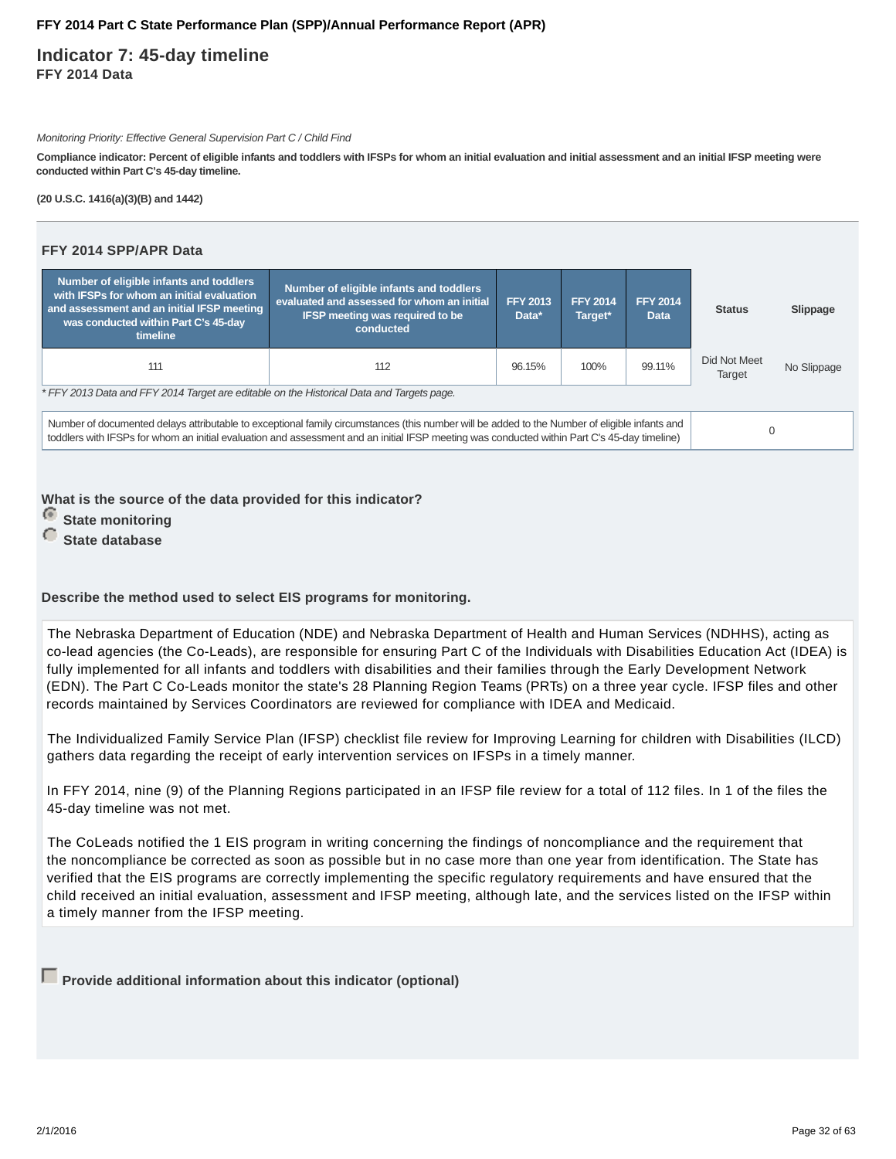**Indicator 7: 45-day timeline FFY 2014 Data**

Monitoring Priority: Effective General Supervision Part C / Child Find

**Compliance indicator: Percent of eligible infants and toddlers with IFSPs for whom an initial evaluation and initial assessment and an initial IFSP meeting were conducted within Part C's 45-day timeline.**

**(20 U.S.C. 1416(a)(3)(B) and 1442)**

| FFY 2014 SPP/APR Data                                                                                                                                                                                                                                                                         |                                                                                                                                              |                          |                            |                                |                        |             |  |  |  |  |
|-----------------------------------------------------------------------------------------------------------------------------------------------------------------------------------------------------------------------------------------------------------------------------------------------|----------------------------------------------------------------------------------------------------------------------------------------------|--------------------------|----------------------------|--------------------------------|------------------------|-------------|--|--|--|--|
| Number of eligible infants and toddlers<br>with IFSPs for whom an initial evaluation<br>and assessment and an initial IFSP meeting<br>was conducted within Part C's 45-day<br>timeline                                                                                                        | Number of eligible infants and toddlers<br>evaluated and assessed for whom an initial<br><b>IFSP meeting was required to be</b><br>conducted | <b>FFY 2013</b><br>Data* | <b>FFY 2014</b><br>Target* | <b>FFY 2014</b><br><b>Data</b> | <b>Status</b>          | Slippage    |  |  |  |  |
| 111                                                                                                                                                                                                                                                                                           | 112                                                                                                                                          | 96.15%                   | 100%                       | 99.11%                         | Did Not Meet<br>Target | No Slippage |  |  |  |  |
| * FFY 2013 Data and FFY 2014 Target are editable on the Historical Data and Targets page.                                                                                                                                                                                                     |                                                                                                                                              |                          |                            |                                |                        |             |  |  |  |  |
| Number of documented delays attributable to exceptional family circumstances (this number will be added to the Number of eligible infants and<br>toddlers with IFSPs for whom an initial evaluation and assessment and an initial IFSP meeting was conducted within Part C's 45-day timeline) |                                                                                                                                              | $\Omega$                 |                            |                                |                        |             |  |  |  |  |

**What is the source of the data provided for this indicator?**

*<u>State monitoring</u>* 

**C** State database

**Describe the method used to select EIS programs for monitoring.**

The Nebraska Department of Education (NDE) and Nebraska Department of Health and Human Services (NDHHS), acting as co-lead agencies (the Co-Leads), are responsible for ensuring Part C of the Individuals with Disabilities Education Act (IDEA) is fully implemented for all infants and toddlers with disabilities and their families through the Early Development Network (EDN). The Part C Co-Leads monitor the state's 28 Planning Region Teams (PRTs) on a three year cycle. IFSP files and other records maintained by Services Coordinators are reviewed for compliance with IDEA and Medicaid.

The Individualized Family Service Plan (IFSP) checklist file review for Improving Learning for children with Disabilities (ILCD) gathers data regarding the receipt of early intervention services on IFSPs in a timely manner.

In FFY 2014, nine (9) of the Planning Regions participated in an IFSP file review for a total of 112 files. In 1 of the files the 45-day timeline was not met.

The CoLeads notified the 1 EIS program in writing concerning the findings of noncompliance and the requirement that the noncompliance be corrected as soon as possible but in no case more than one year from identification. The State has verified that the EIS programs are correctly implementing the specific regulatory requirements and have ensured that the child received an initial evaluation, assessment and IFSP meeting, although late, and the services listed on the IFSP within a timely manner from the IFSP meeting.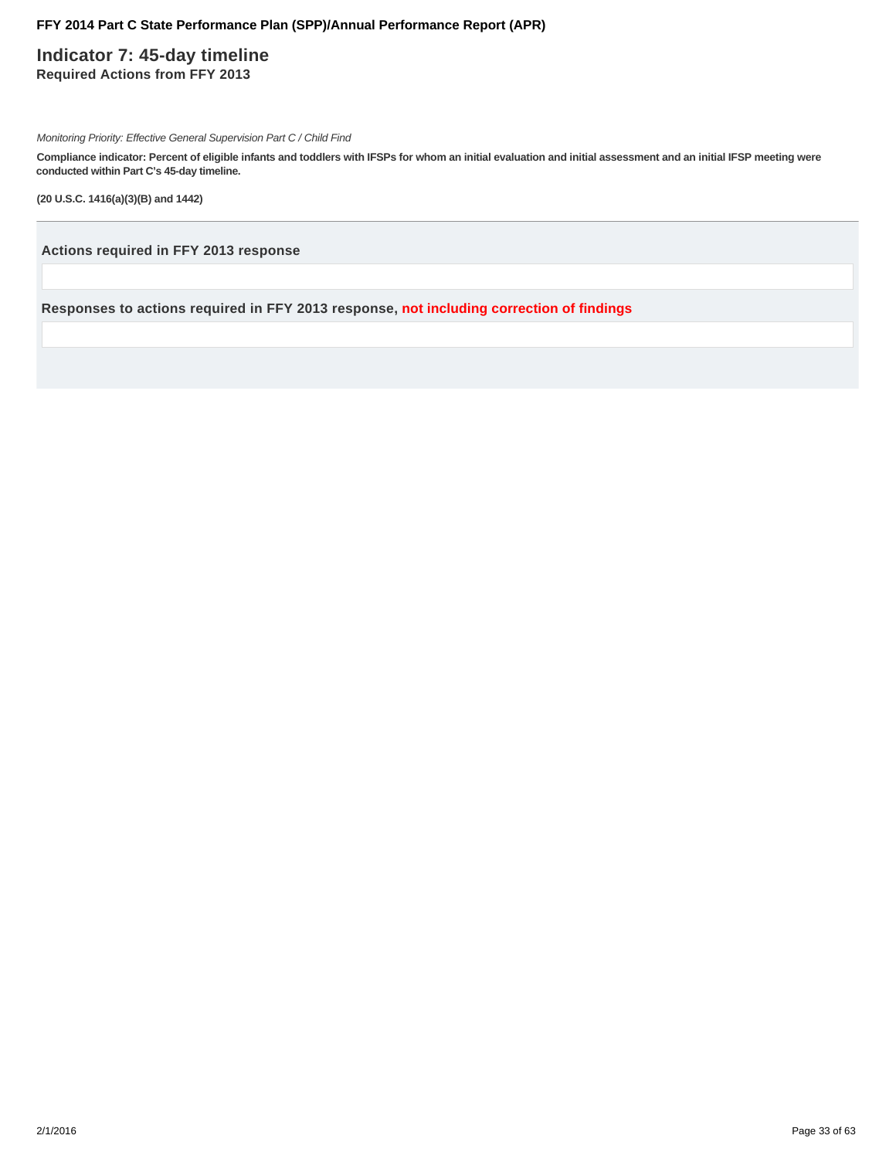# **Indicator 7: 45-day timeline Required Actions from FFY 2013**

Monitoring Priority: Effective General Supervision Part C / Child Find

**Compliance indicator: Percent of eligible infants and toddlers with IFSPs for whom an initial evaluation and initial assessment and an initial IFSP meeting were conducted within Part C's 45-day timeline.**

**(20 U.S.C. 1416(a)(3)(B) and 1442)**

**Actions required in FFY 2013 response**

**Responses to actions required in FFY 2013 response, not including correction of findings**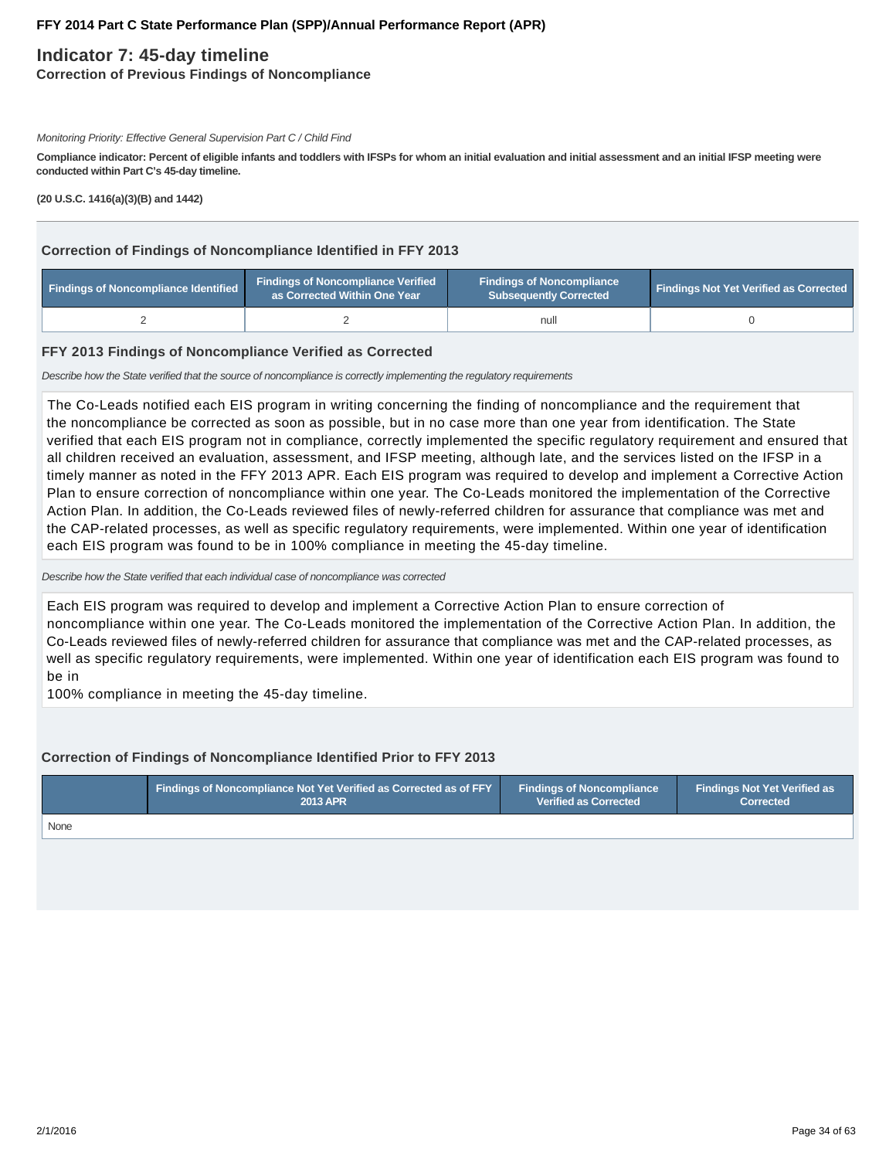# **Indicator 7: 45-day timeline**

**Correction of Previous Findings of Noncompliance**

#### Monitoring Priority: Effective General Supervision Part C / Child Find

**Compliance indicator: Percent of eligible infants and toddlers with IFSPs for whom an initial evaluation and initial assessment and an initial IFSP meeting were conducted within Part C's 45-day timeline.**

**(20 U.S.C. 1416(a)(3)(B) and 1442)**

### **Correction of Findings of Noncompliance Identified in FFY 2013**

| Findings of Noncompliance Identified | <b>Findings of Noncompliance Verified</b><br>as Corrected Within One Year | <b>Findings of Noncompliance</b><br><b>Subsequently Corrected</b> | <b>Findings Not Yet Verified as Corrected</b> |  |
|--------------------------------------|---------------------------------------------------------------------------|-------------------------------------------------------------------|-----------------------------------------------|--|
|                                      |                                                                           | null                                                              |                                               |  |

### **FFY 2013 Findings of Noncompliance Verified as Corrected**

Describe how the State verified that the source of noncompliance is correctly implementing the regulatory requirements

The Co-Leads notified each EIS program in writing concerning the finding of noncompliance and the requirement that the noncompliance be corrected as soon as possible, but in no case more than one year from identification. The State verified that each EIS program not in compliance, correctly implemented the specific regulatory requirement and ensured that all children received an evaluation, assessment, and IFSP meeting, although late, and the services listed on the IFSP in a timely manner as noted in the FFY 2013 APR. Each EIS program was required to develop and implement a Corrective Action Plan to ensure correction of noncompliance within one year. The Co-Leads monitored the implementation of the Corrective Action Plan. In addition, the Co-Leads reviewed files of newly-referred children for assurance that compliance was met and the CAP-related processes, as well as specific regulatory requirements, were implemented. Within one year of identification each EIS program was found to be in 100% compliance in meeting the 45-day timeline.

Describe how the State verified that each individual case of noncompliance was corrected

Each EIS program was required to develop and implement a Corrective Action Plan to ensure correction of noncompliance within one year. The Co-Leads monitored the implementation of the Corrective Action Plan. In addition, the Co-Leads reviewed files of newly-referred children for assurance that compliance was met and the CAP-related processes, as well as specific regulatory requirements, were implemented. Within one year of identification each EIS program was found to be in

100% compliance in meeting the 45-day timeline.

### **Correction of Findings of Noncompliance Identified Prior to FFY 2013**

|      | Findings of Noncompliance Not Yet Verified as Corrected as of FFY | <b>Findings of Noncompliance</b> | Findings Not Yet Verified as |  |
|------|-------------------------------------------------------------------|----------------------------------|------------------------------|--|
|      | <b>2013 APR</b>                                                   | <b>Verified as Corrected</b>     | <b>Corrected</b>             |  |
| None |                                                                   |                                  |                              |  |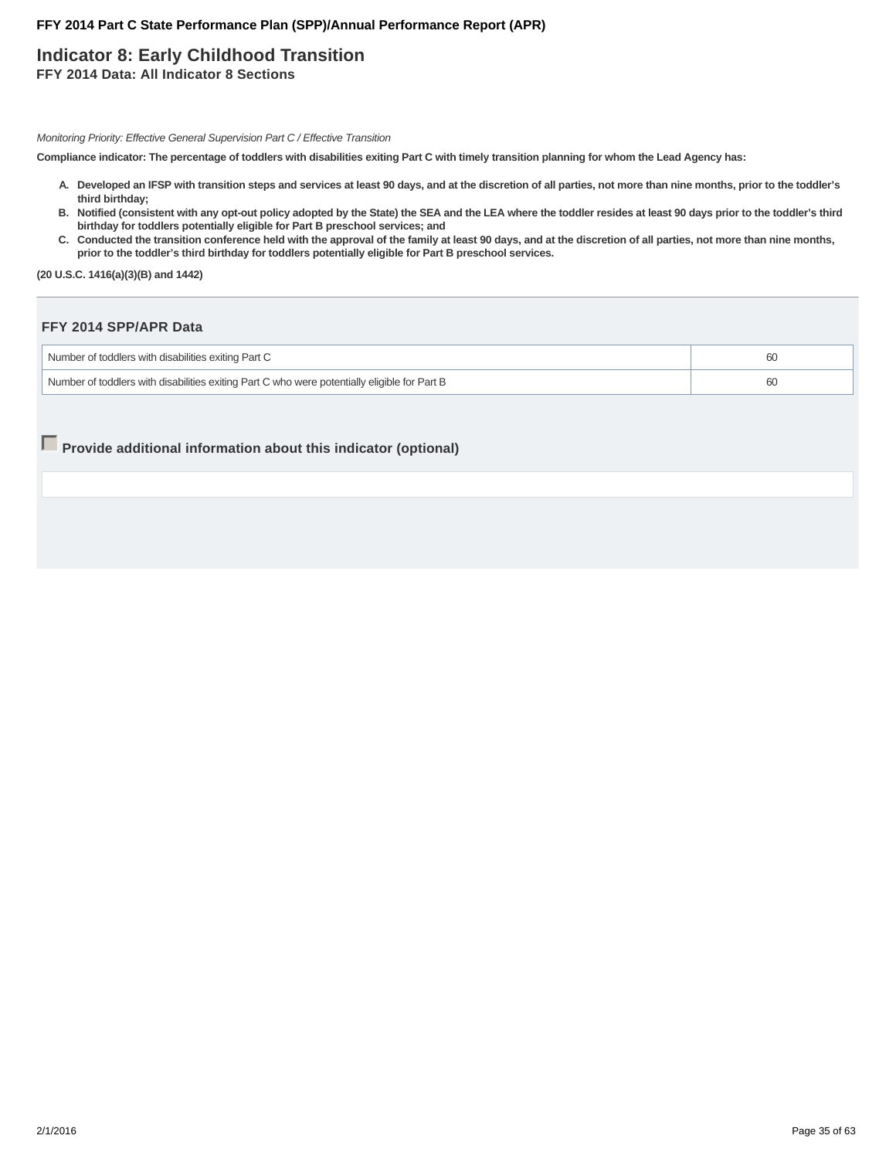# **Indicator 8: Early Childhood Transition**

**FFY 2014 Data: All Indicator 8 Sections**

Monitoring Priority: Effective General Supervision Part C / Effective Transition

**Compliance indicator: The percentage of toddlers with disabilities exiting Part C with timely transition planning for whom the Lead Agency has:**

- **Developed an IFSP with transition steps and services at least 90 days, and at the discretion of all parties, not more than nine months, prior to the toddler's A. third birthday;**
- **Notified (consistent with any opt-out policy adopted by the State) the SEA and the LEA where the toddler resides at least 90 days prior to the toddler's third B. birthday for toddlers potentially eligible for Part B preschool services; and**
- C. Conducted the transition conference held with the approval of the family at least 90 days, and at the discretion of all parties, not more than nine months, **prior to the toddler's third birthday for toddlers potentially eligible for Part B preschool services.**

**(20 U.S.C. 1416(a)(3)(B) and 1442)**

### **FFY 2014 SPP/APR Data**

| Number of toddlers with disabilities exiting Part C                                          |  |
|----------------------------------------------------------------------------------------------|--|
| Number of toddlers with disabilities exiting Part C who were potentially eligible for Part B |  |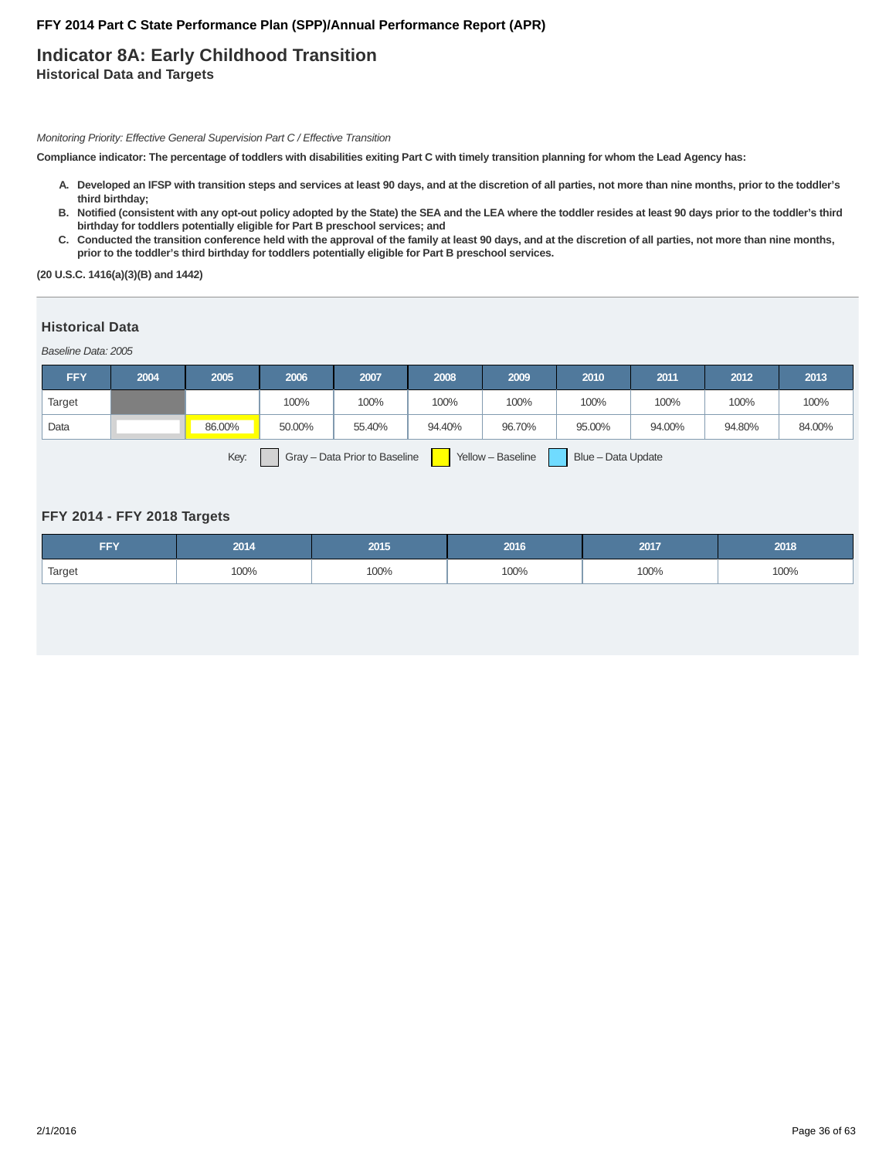# **Indicator 8A: Early Childhood Transition Historical Data and Targets**

Monitoring Priority: Effective General Supervision Part C / Effective Transition

**Compliance indicator: The percentage of toddlers with disabilities exiting Part C with timely transition planning for whom the Lead Agency has:**

- **Developed an IFSP with transition steps and services at least 90 days, and at the discretion of all parties, not more than nine months, prior to the toddler's A. third birthday;**
- **Notified (consistent with any opt-out policy adopted by the State) the SEA and the LEA where the toddler resides at least 90 days prior to the toddler's third B. birthday for toddlers potentially eligible for Part B preschool services; and**
- C. Conducted the transition conference held with the approval of the family at least 90 days, and at the discretion of all parties, not more than nine months, **prior to the toddler's third birthday for toddlers potentially eligible for Part B preschool services.**

**(20 U.S.C. 1416(a)(3)(B) and 1442)**

### **Historical Data**

Baseline Data: 2005

| <b>FFY</b> | 2004 | 2005   | 2006   | 2007   | 2008   | 2009   | 2010   | 2011   | 2012   | 2013   |
|------------|------|--------|--------|--------|--------|--------|--------|--------|--------|--------|
| Target     |      |        | 100%   | 100%   | 100%   | 100%   | 100%   | 100%   | 100%   | 100%   |
| Data       |      | 86.00% | 50.00% | 55.40% | 94.40% | 96.70% | 95.00% | 94.00% | 94.80% | 84.00% |
|            |      |        |        |        |        |        |        |        |        |        |

Key: Gray – Data Prior to Baseline | Yellow – Baseline | Blue – Data Update

### **FFY 2014 - FFY 2018 Targets**

| FFY    | 2014 | 2015 | 2016 | 2017 | 2018 |
|--------|------|------|------|------|------|
| Target | 100% | 100% | 100% | 100% | 100% |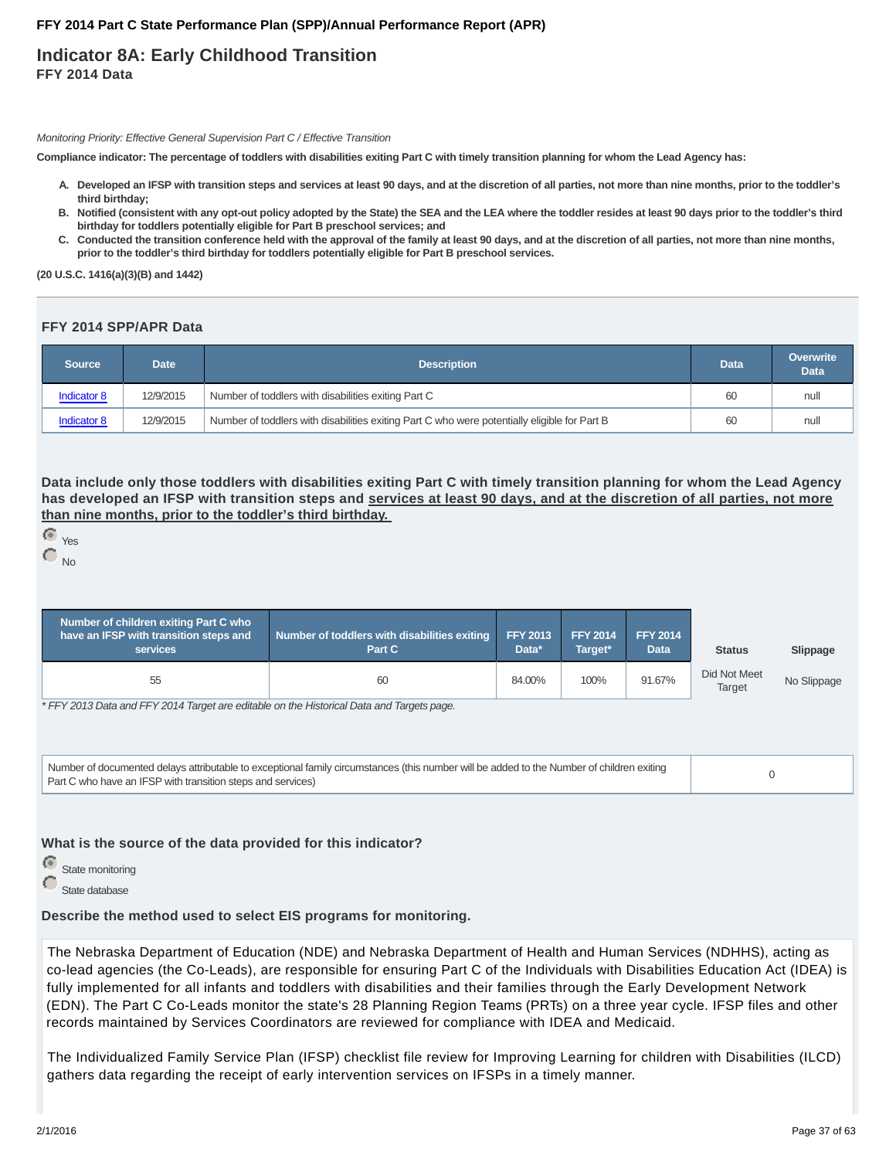# **Indicator 8A: Early Childhood Transition FFY 2014 Data**

Monitoring Priority: Effective General Supervision Part C / Effective Transition

**Compliance indicator: The percentage of toddlers with disabilities exiting Part C with timely transition planning for whom the Lead Agency has:**

- **Developed an IFSP with transition steps and services at least 90 days, and at the discretion of all parties, not more than nine months, prior to the toddler's A. third birthday;**
- **Notified (consistent with any opt-out policy adopted by the State) the SEA and the LEA where the toddler resides at least 90 days prior to the toddler's third B. birthday for toddlers potentially eligible for Part B preschool services; and**
- C. Conducted the transition conference held with the approval of the family at least 90 days, and at the discretion of all parties, not more than nine months, **prior to the toddler's third birthday for toddlers potentially eligible for Part B preschool services.**

**(20 U.S.C. 1416(a)(3)(B) and 1442)**

### **FFY 2014 SPP/APR Data**

| Source             | Date      | <b>Description</b>                                                                           | Data | Overwrite<br><b>Data</b> |
|--------------------|-----------|----------------------------------------------------------------------------------------------|------|--------------------------|
| <b>Indicator 8</b> | 12/9/2015 | Number of toddlers with disabilities exiting Part C                                          | 60   | null                     |
| <b>Indicator 8</b> | 12/9/2015 | Number of toddlers with disabilities exiting Part C who were potentially eligible for Part B | 60   | null                     |

**Data include only those toddlers with disabilities exiting Part C with timely transition planning for whom the Lead Agency has developed an IFSP with transition steps and services at least 90 days, and at the discretion of all parties, not more than nine months, prior to the toddler's third birthday.**

```
 Yes
C_{N0}
```

| Number of children exiting Part C who<br>have an IFSP with transition steps and<br><b>services</b> | Number of toddlers with disabilities exiting<br>Part C | <b>FFY 2013</b><br>Data* | <b>FFY 2014</b><br>Target* | <b>FFY 2014</b><br>Data | <b>Status</b>          | Slippage    |
|----------------------------------------------------------------------------------------------------|--------------------------------------------------------|--------------------------|----------------------------|-------------------------|------------------------|-------------|
| 55                                                                                                 | 60                                                     | 84.00%                   | 100%                       | 91.67%                  | Did Not Meet<br>Target | No Slippage |

\* FFY 2013 Data and FFY 2014 Target are editable on the Historical Data and Targets page.

Number of documented delays attributable to exceptional family circumstances (this number will be added to the Number of children exiting Number of documented delays atmodiable to exceptional family circumstances (this number will be added to the Number of Children exting<br>Part C who have an IFSP with transition steps and services)

**What is the source of the data provided for this indicator?**

e State monitoring

State database

**Describe the method used to select EIS programs for monitoring.**

The Nebraska Department of Education (NDE) and Nebraska Department of Health and Human Services (NDHHS), acting as co-lead agencies (the Co-Leads), are responsible for ensuring Part C of the Individuals with Disabilities Education Act (IDEA) is fully implemented for all infants and toddlers with disabilities and their families through the Early Development Network (EDN). The Part C Co-Leads monitor the state's 28 Planning Region Teams (PRTs) on a three year cycle. IFSP files and other records maintained by Services Coordinators are reviewed for compliance with IDEA and Medicaid.

The Individualized Family Service Plan (IFSP) checklist file review for Improving Learning for children with Disabilities (ILCD) gathers data regarding the receipt of early intervention services on IFSPs in a timely manner.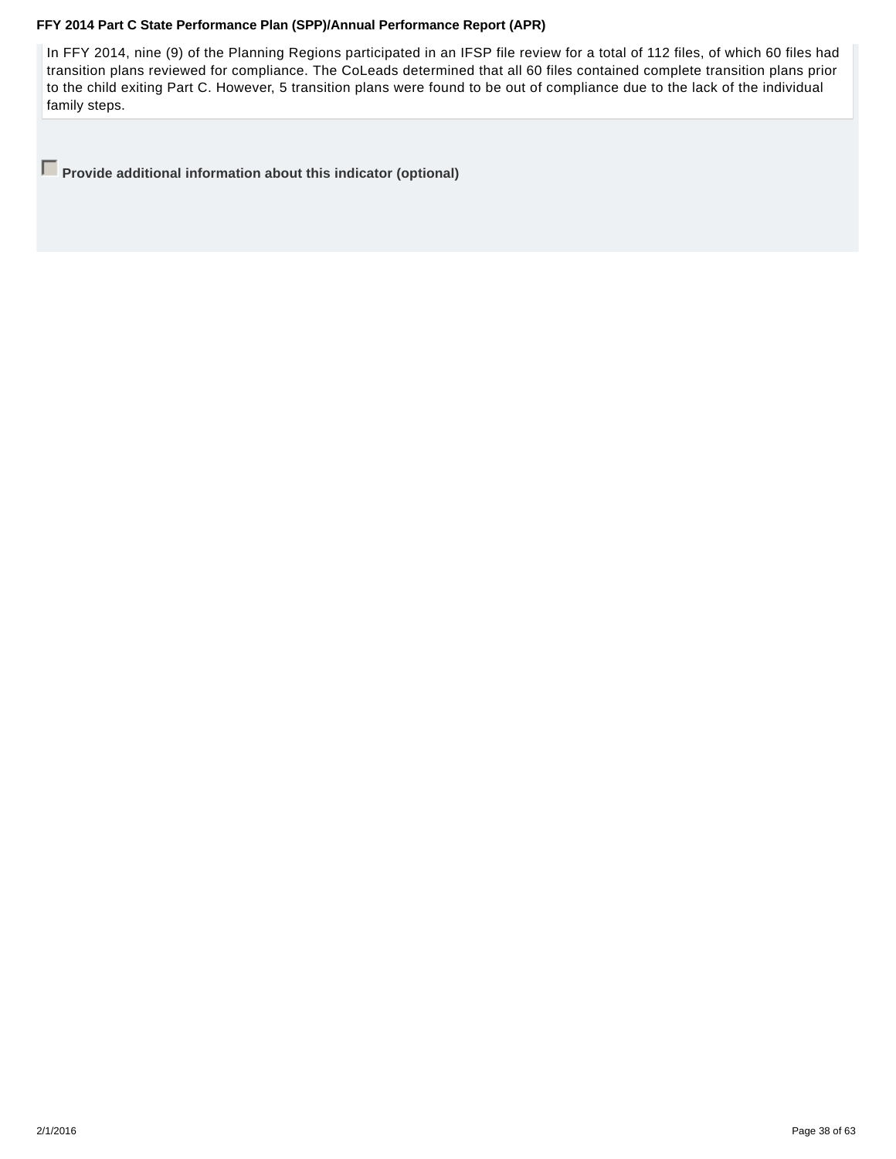In FFY 2014, nine (9) of the Planning Regions participated in an IFSP file review for a total of 112 files, of which 60 files had transition plans reviewed for compliance. The CoLeads determined that all 60 files contained complete transition plans prior to the child exiting Part C. However, 5 transition plans were found to be out of compliance due to the lack of the individual family steps.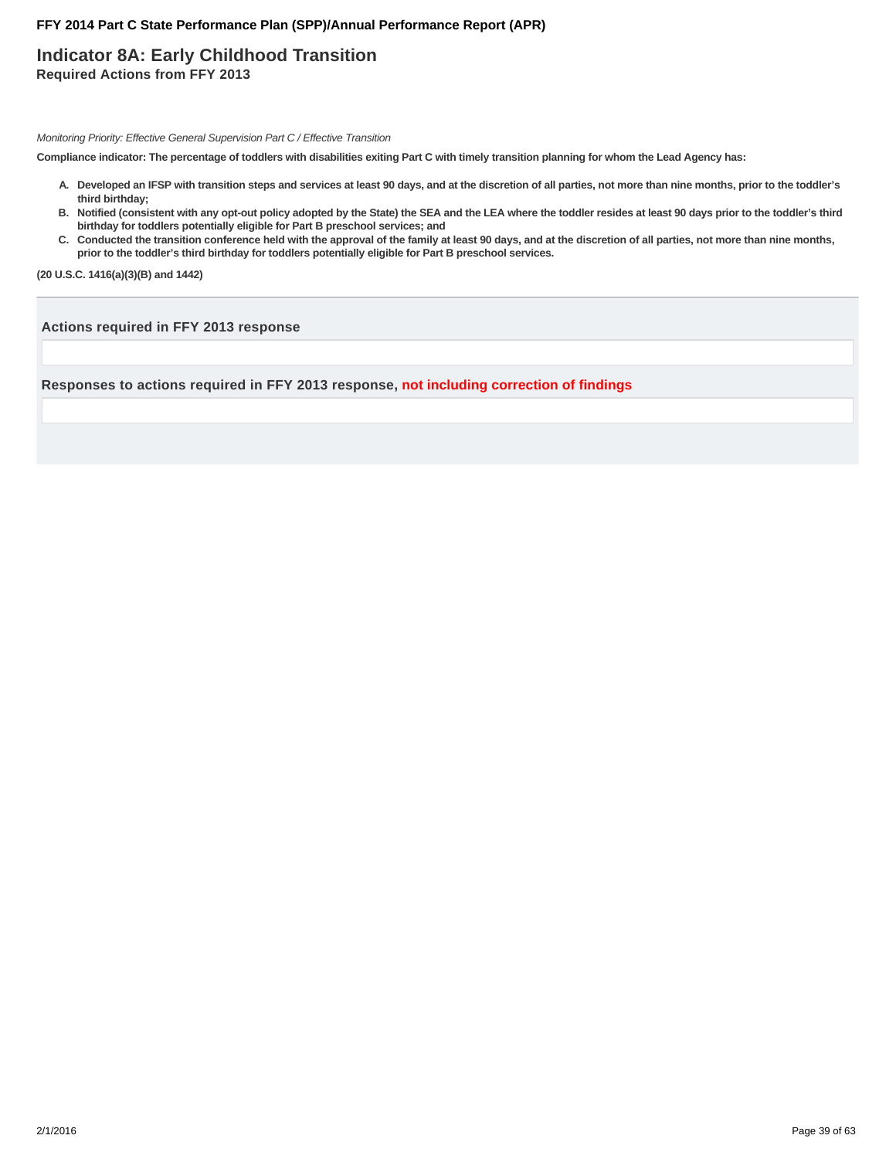# **Indicator 8A: Early Childhood Transition Required Actions from FFY 2013**

Monitoring Priority: Effective General Supervision Part C / Effective Transition

**Compliance indicator: The percentage of toddlers with disabilities exiting Part C with timely transition planning for whom the Lead Agency has:**

- **Developed an IFSP with transition steps and services at least 90 days, and at the discretion of all parties, not more than nine months, prior to the toddler's A. third birthday;**
- **Notified (consistent with any opt-out policy adopted by the State) the SEA and the LEA where the toddler resides at least 90 days prior to the toddler's third B. birthday for toddlers potentially eligible for Part B preschool services; and**
- C. Conducted the transition conference held with the approval of the family at least 90 days, and at the discretion of all parties, not more than nine months, **prior to the toddler's third birthday for toddlers potentially eligible for Part B preschool services.**

**(20 U.S.C. 1416(a)(3)(B) and 1442)**

**Actions required in FFY 2013 response**

**Responses to actions required in FFY 2013 response, not including correction of findings**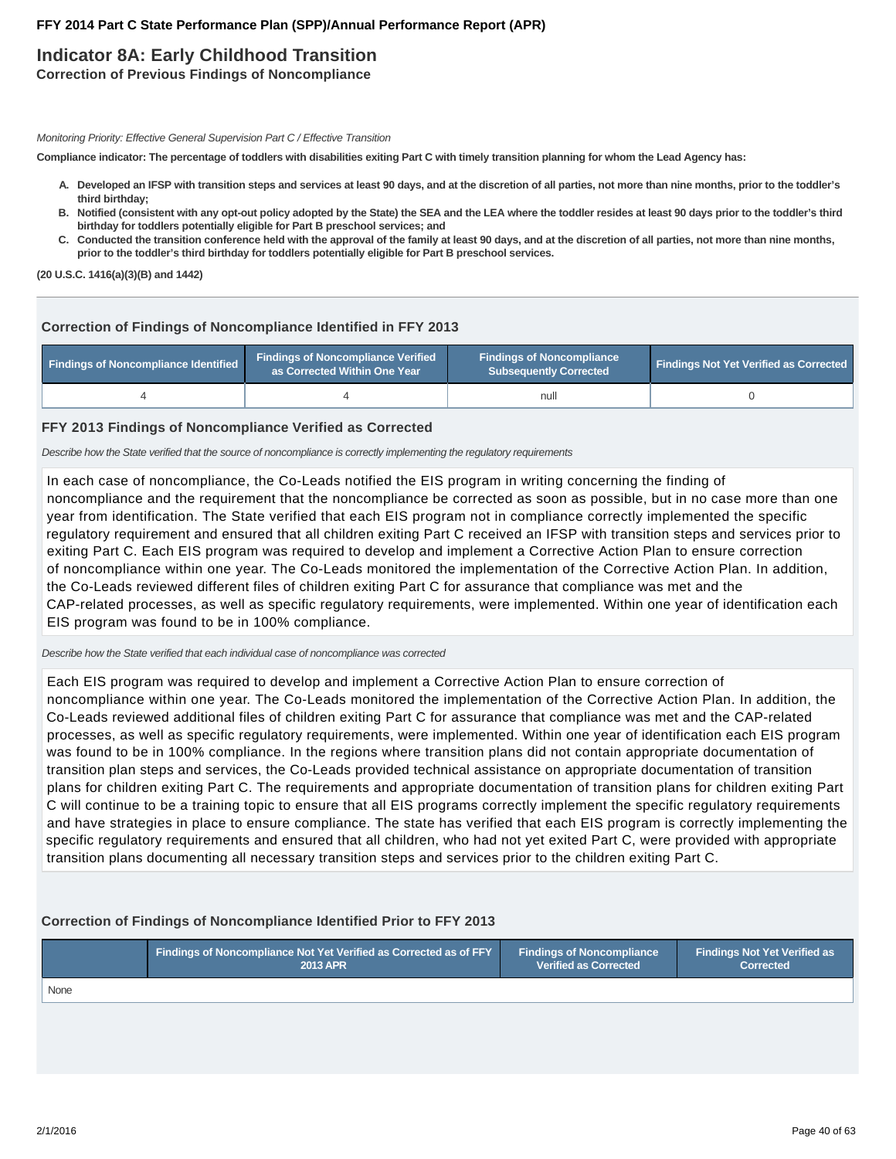# **Indicator 8A: Early Childhood Transition**

**Correction of Previous Findings of Noncompliance**

Monitoring Priority: Effective General Supervision Part C / Effective Transition

**Compliance indicator: The percentage of toddlers with disabilities exiting Part C with timely transition planning for whom the Lead Agency has:**

- **Developed an IFSP with transition steps and services at least 90 days, and at the discretion of all parties, not more than nine months, prior to the toddler's A. third birthday;**
- **Notified (consistent with any opt-out policy adopted by the State) the SEA and the LEA where the toddler resides at least 90 days prior to the toddler's third B. birthday for toddlers potentially eligible for Part B preschool services; and**
- C. Conducted the transition conference held with the approval of the family at least 90 days, and at the discretion of all parties, not more than nine months, **prior to the toddler's third birthday for toddlers potentially eligible for Part B preschool services.**

**(20 U.S.C. 1416(a)(3)(B) and 1442)**

# **Correction of Findings of Noncompliance Identified in FFY 2013**

| Findings of Noncompliance Identified | <b>Findings of Noncompliance Verified</b><br>as Corrected Within One Year | <b>Findings of Noncompliance</b><br>Subsequently Corrected | <b>Findings Not Yet Verified as Corrected</b> |  |
|--------------------------------------|---------------------------------------------------------------------------|------------------------------------------------------------|-----------------------------------------------|--|
|                                      |                                                                           | null                                                       |                                               |  |

### **FFY 2013 Findings of Noncompliance Verified as Corrected**

Describe how the State verified that the source of noncompliance is correctly implementing the regulatory requirements

In each case of noncompliance, the Co-Leads notified the EIS program in writing concerning the finding of noncompliance and the requirement that the noncompliance be corrected as soon as possible, but in no case more than one year from identification. The State verified that each EIS program not in compliance correctly implemented the specific regulatory requirement and ensured that all children exiting Part C received an IFSP with transition steps and services prior to exiting Part C. Each EIS program was required to develop and implement a Corrective Action Plan to ensure correction of noncompliance within one year. The Co-Leads monitored the implementation of the Corrective Action Plan. In addition, the Co-Leads reviewed different files of children exiting Part C for assurance that compliance was met and the CAP-related processes, as well as specific regulatory requirements, were implemented. Within one year of identification each EIS program was found to be in 100% compliance.

Describe how the State verified that each individual case of noncompliance was corrected

Each EIS program was required to develop and implement a Corrective Action Plan to ensure correction of noncompliance within one year. The Co-Leads monitored the implementation of the Corrective Action Plan. In addition, the Co-Leads reviewed additional files of children exiting Part C for assurance that compliance was met and the CAP-related processes, as well as specific regulatory requirements, were implemented. Within one year of identification each EIS program was found to be in 100% compliance. In the regions where transition plans did not contain appropriate documentation of transition plan steps and services, the Co-Leads provided technical assistance on appropriate documentation of transition plans for children exiting Part C. The requirements and appropriate documentation of transition plans for children exiting Part C will continue to be a training topic to ensure that all EIS programs correctly implement the specific regulatory requirements and have strategies in place to ensure compliance. The state has verified that each EIS program is correctly implementing the specific regulatory requirements and ensured that all children, who had not yet exited Part C, were provided with appropriate transition plans documenting all necessary transition steps and services prior to the children exiting Part C.

# **Correction of Findings of Noncompliance Identified Prior to FFY 2013**

|      | <b>Findings of Noncompliance Not Yet Verified as Corrected as of FFY</b> | <b>Findings of Noncompliance</b> | Findings Not Yet Verified as 1 |  |
|------|--------------------------------------------------------------------------|----------------------------------|--------------------------------|--|
|      | 2013 APR                                                                 | <b>Verified as Corrected</b>     | <b>Corrected</b>               |  |
| None |                                                                          |                                  |                                |  |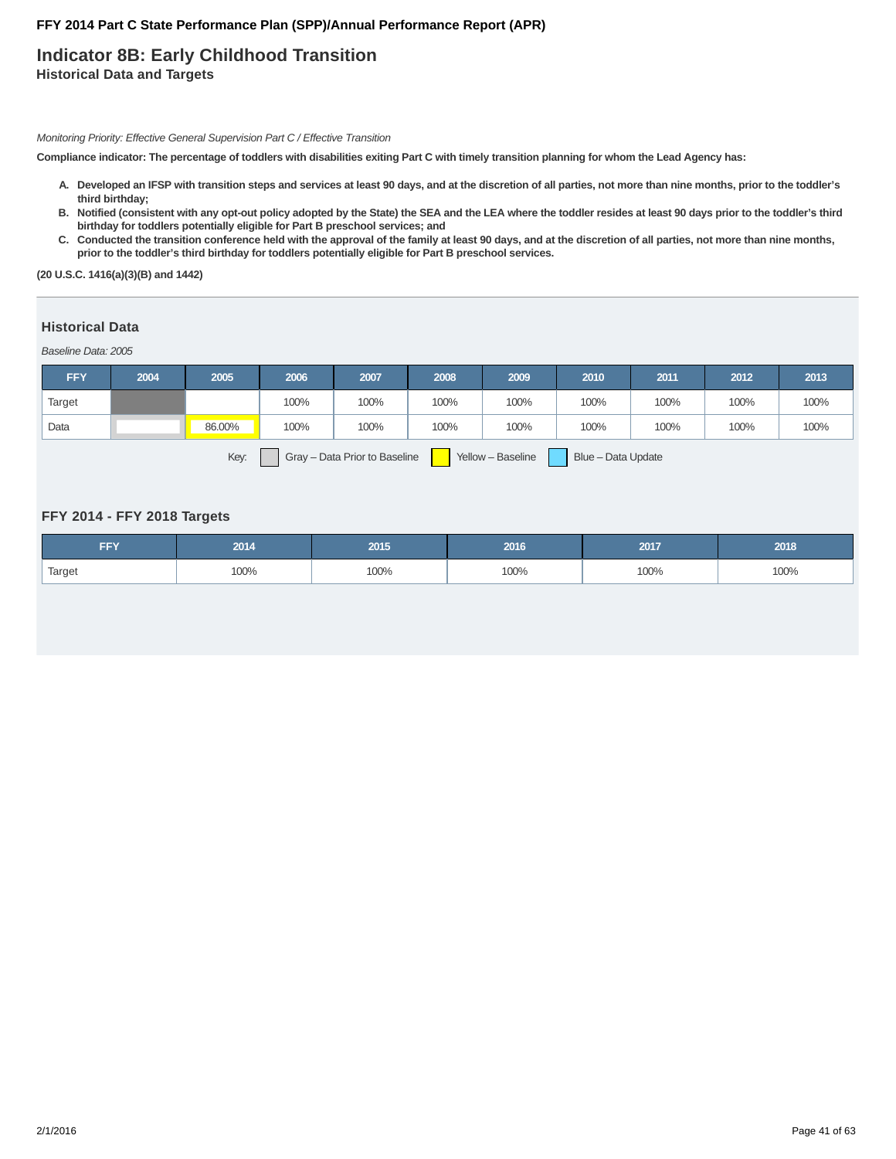# **Indicator 8B: Early Childhood Transition Historical Data and Targets**

Monitoring Priority: Effective General Supervision Part C / Effective Transition

**Compliance indicator: The percentage of toddlers with disabilities exiting Part C with timely transition planning for whom the Lead Agency has:**

- **Developed an IFSP with transition steps and services at least 90 days, and at the discretion of all parties, not more than nine months, prior to the toddler's A. third birthday;**
- **Notified (consistent with any opt-out policy adopted by the State) the SEA and the LEA where the toddler resides at least 90 days prior to the toddler's third B. birthday for toddlers potentially eligible for Part B preschool services; and**
- C. Conducted the transition conference held with the approval of the family at least 90 days, and at the discretion of all parties, not more than nine months, **prior to the toddler's third birthday for toddlers potentially eligible for Part B preschool services.**

**(20 U.S.C. 1416(a)(3)(B) and 1442)**

### **Historical Data**

Baseline Data: 2005

| <b>FFY</b> | 2004 | 2005   | 2006 | 2007 | 2008                                                | 2009 | 2010 | 2011 | 2012 | 2013 |
|------------|------|--------|------|------|-----------------------------------------------------|------|------|------|------|------|
| Target     |      |        | 100% | 100% | 100%                                                | 100% | 100% | 100% | 100% | 100% |
| Data       |      | 86.00% | 100% | 100% | 100%                                                | 100% | 100% | 100% | 100% | 100% |
|            |      |        |      |      | <u> The Common Section (In the Common Section )</u> |      |      |      |      |      |

Key: Gray – Data Prior to Baseline Yellow – Baseline Blue – Data Update

### **FFY 2014 - FFY 2018 Targets**

| FFY    | 2014 | 2015 | 2016 | 2017 | 2018 |
|--------|------|------|------|------|------|
| Target | 100% | 100% | 100% | 100% | 100% |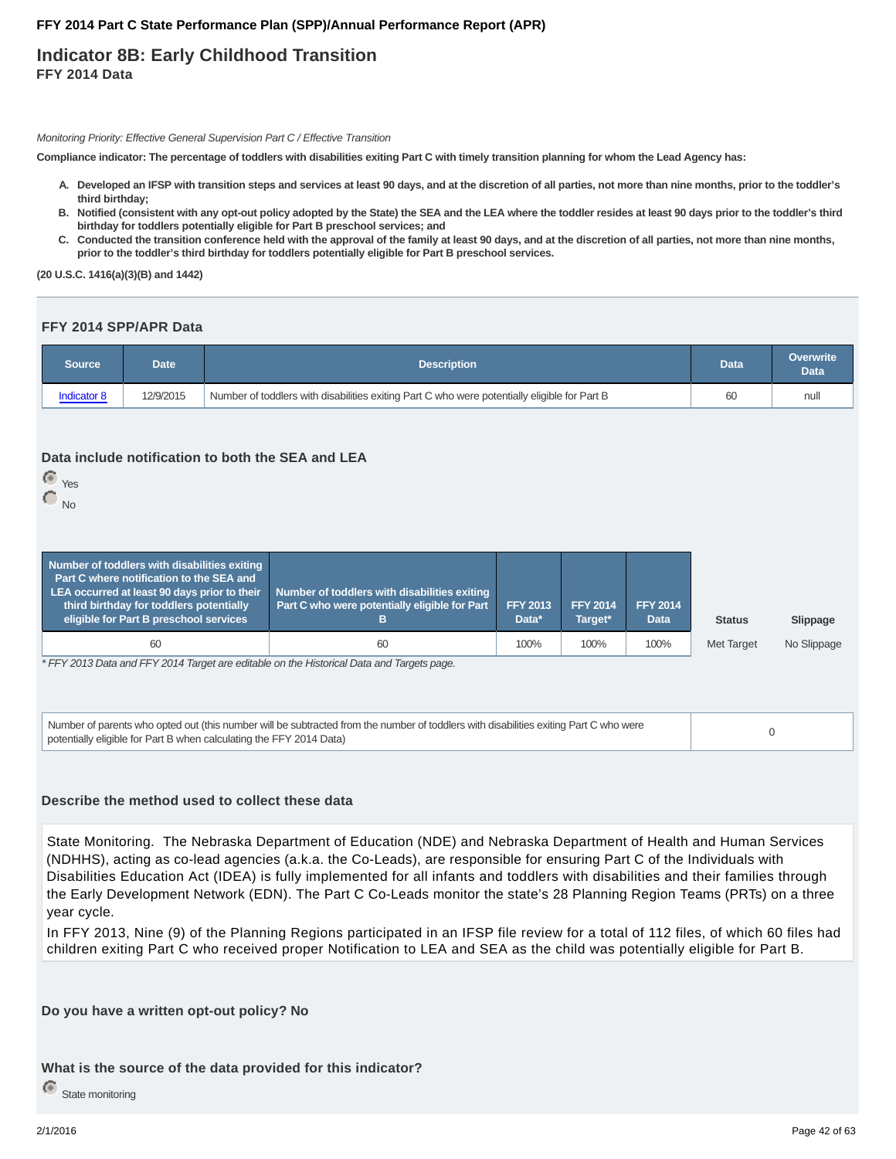# **Indicator 8B: Early Childhood Transition FFY 2014 Data**

Monitoring Priority: Effective General Supervision Part C / Effective Transition

**Compliance indicator: The percentage of toddlers with disabilities exiting Part C with timely transition planning for whom the Lead Agency has:**

- **Developed an IFSP with transition steps and services at least 90 days, and at the discretion of all parties, not more than nine months, prior to the toddler's A. third birthday;**
- **Notified (consistent with any opt-out policy adopted by the State) the SEA and the LEA where the toddler resides at least 90 days prior to the toddler's third B. birthday for toddlers potentially eligible for Part B preschool services; and**
- C. Conducted the transition conference held with the approval of the family at least 90 days, and at the discretion of all parties, not more than nine months, **prior to the toddler's third birthday for toddlers potentially eligible for Part B preschool services.**

**(20 U.S.C. 1416(a)(3)(B) and 1442)**

### **FFY 2014 SPP/APR Data**

| Source      | Date l    | <b>Description</b>                                                                           | Data | <b>Overwrite</b><br><b>Data</b> |
|-------------|-----------|----------------------------------------------------------------------------------------------|------|---------------------------------|
| Indicator 8 | 12/9/2015 | Number of toddlers with disabilities exiting Part C who were potentially eligible for Part B | 60   | nul                             |

### **Data include notification to both the SEA and LEA**

- Yes
- $\bigcirc$ <sub>No</sub>

| Number of toddlers with disabilities exiting<br>Part C where notification to the SEA and<br>LEA occurred at least 90 days prior to their<br>third birthday for toddlers potentially<br>eligible for Part B preschool services | Number of toddlers with disabilities exiting<br>Part C who were potentially eligible for Part | <b>FFY 2013</b><br>Data* | <b>FFY 2014</b><br>Target* | <b>FFY 2014</b><br>Data | <b>Status</b>     | Slippage    |  |
|-------------------------------------------------------------------------------------------------------------------------------------------------------------------------------------------------------------------------------|-----------------------------------------------------------------------------------------------|--------------------------|----------------------------|-------------------------|-------------------|-------------|--|
| 60                                                                                                                                                                                                                            | 60                                                                                            | 100%                     | 100%                       | 100%                    | <b>Met Target</b> | No Slippage |  |
| * EEV 2012 Deta and EEV 2014 Torget are aditable an the Historical Deta and Torgeta noge                                                                                                                                      |                                                                                               |                          |                            |                         |                   |             |  |

\* FFY 2013 Data and FFY 2014 Target are editable on the Historical Data and Targets page.

Number of parents who opted out (this number will be subtracted from the number of toddlers with disabilities exiting Part C who were Number or parents who opted out (this number will be subtracted from the number of toddiers with disabilities exiting Part C who were<br>potentially eligible for Part B when calculating the FFY 2014 Data) 0

### **Describe the method used to collect these data**

State Monitoring. The Nebraska Department of Education (NDE) and Nebraska Department of Health and Human Services (NDHHS), acting as co-lead agencies (a.k.a. the Co-Leads), are responsible for ensuring Part C of the Individuals with Disabilities Education Act (IDEA) is fully implemented for all infants and toddlers with disabilities and their families through the Early Development Network (EDN). The Part C Co-Leads monitor the state's 28 Planning Region Teams (PRTs) on a three year cycle.

In FFY 2013, Nine (9) of the Planning Regions participated in an IFSP file review for a total of 112 files, of which 60 files had children exiting Part C who received proper Notification to LEA and SEA as the child was potentially eligible for Part B.

**Do you have a written opt-out policy? No**

### **What is the source of the data provided for this indicator?**

State monitoring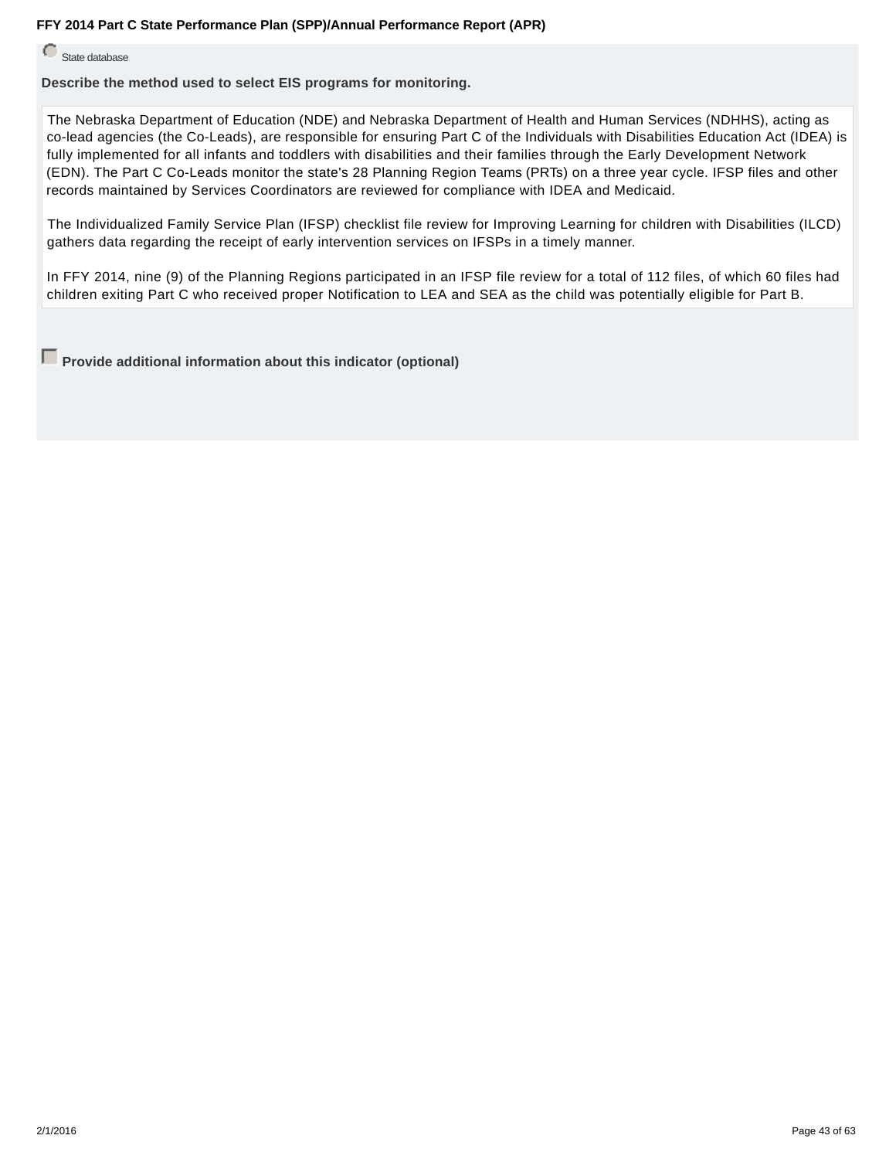State database

**Describe the method used to select EIS programs for monitoring.**

The Nebraska Department of Education (NDE) and Nebraska Department of Health and Human Services (NDHHS), acting as co-lead agencies (the Co-Leads), are responsible for ensuring Part C of the Individuals with Disabilities Education Act (IDEA) is fully implemented for all infants and toddlers with disabilities and their families through the Early Development Network (EDN). The Part C Co-Leads monitor the state's 28 Planning Region Teams (PRTs) on a three year cycle. IFSP files and other records maintained by Services Coordinators are reviewed for compliance with IDEA and Medicaid.

The Individualized Family Service Plan (IFSP) checklist file review for Improving Learning for children with Disabilities (ILCD) gathers data regarding the receipt of early intervention services on IFSPs in a timely manner.

In FFY 2014, nine (9) of the Planning Regions participated in an IFSP file review for a total of 112 files, of which 60 files had children exiting Part C who received proper Notification to LEA and SEA as the child was potentially eligible for Part B.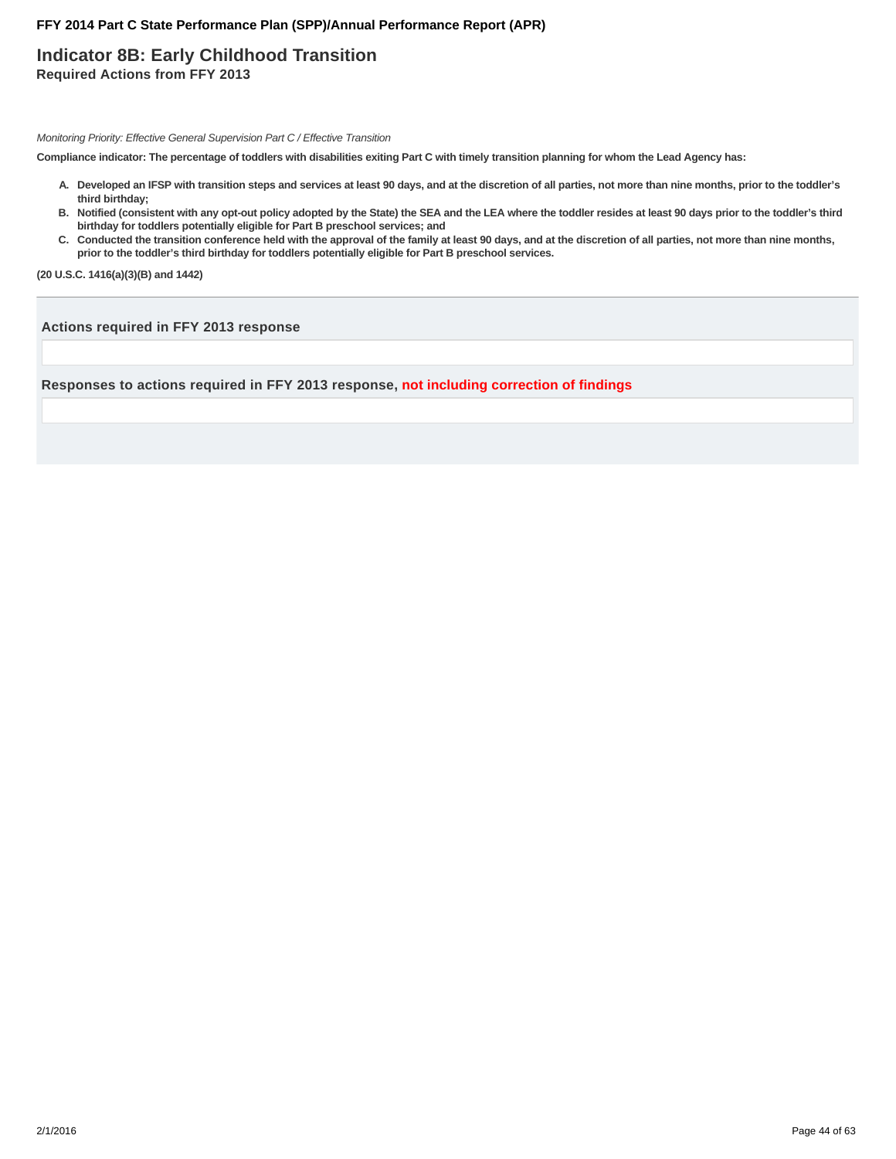# **Indicator 8B: Early Childhood Transition Required Actions from FFY 2013**

Monitoring Priority: Effective General Supervision Part C / Effective Transition

**Compliance indicator: The percentage of toddlers with disabilities exiting Part C with timely transition planning for whom the Lead Agency has:**

- **Developed an IFSP with transition steps and services at least 90 days, and at the discretion of all parties, not more than nine months, prior to the toddler's A. third birthday;**
- **Notified (consistent with any opt-out policy adopted by the State) the SEA and the LEA where the toddler resides at least 90 days prior to the toddler's third B. birthday for toddlers potentially eligible for Part B preschool services; and**
- C. Conducted the transition conference held with the approval of the family at least 90 days, and at the discretion of all parties, not more than nine months, **prior to the toddler's third birthday for toddlers potentially eligible for Part B preschool services.**

**(20 U.S.C. 1416(a)(3)(B) and 1442)**

**Actions required in FFY 2013 response**

**Responses to actions required in FFY 2013 response, not including correction of findings**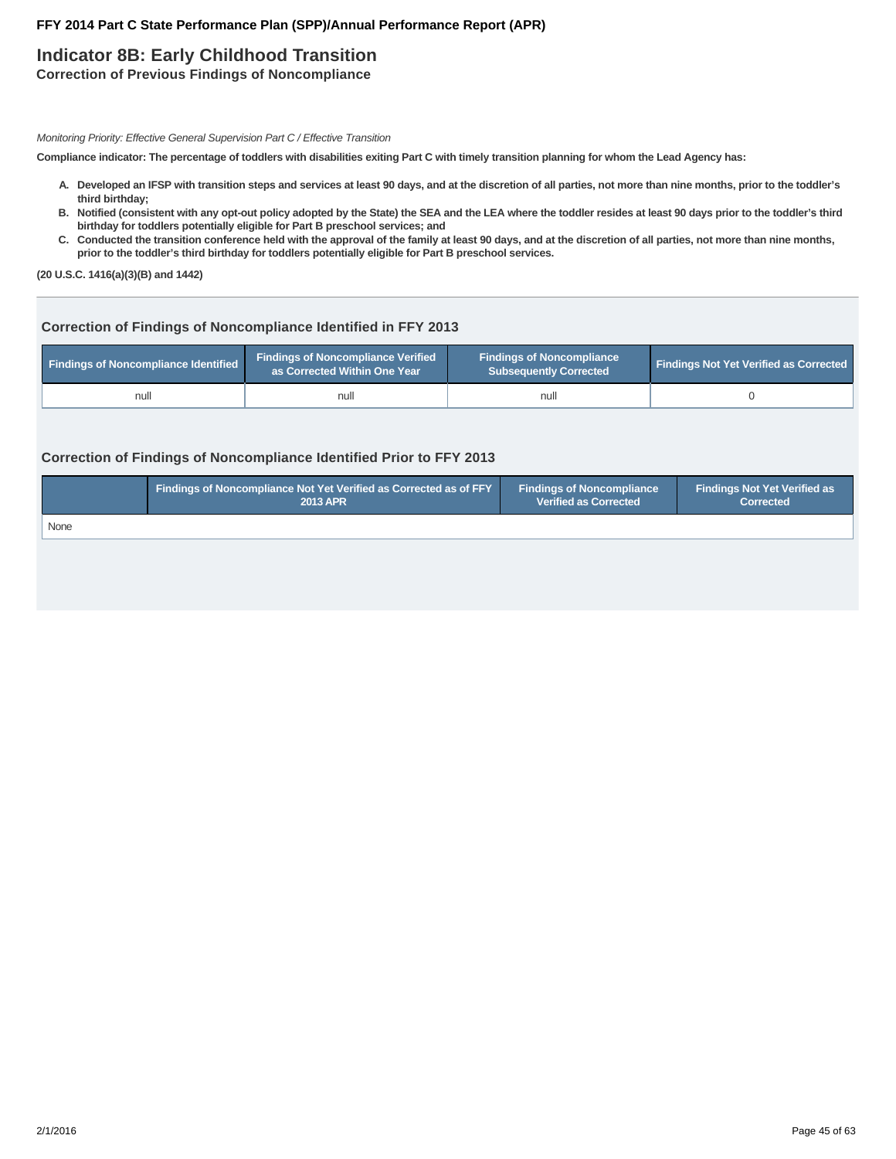# **Indicator 8B: Early Childhood Transition**

**Correction of Previous Findings of Noncompliance**

Monitoring Priority: Effective General Supervision Part C / Effective Transition

**Compliance indicator: The percentage of toddlers with disabilities exiting Part C with timely transition planning for whom the Lead Agency has:**

- **Developed an IFSP with transition steps and services at least 90 days, and at the discretion of all parties, not more than nine months, prior to the toddler's A. third birthday;**
- **Notified (consistent with any opt-out policy adopted by the State) the SEA and the LEA where the toddler resides at least 90 days prior to the toddler's third B. birthday for toddlers potentially eligible for Part B preschool services; and**
- C. Conducted the transition conference held with the approval of the family at least 90 days, and at the discretion of all parties, not more than nine months, **prior to the toddler's third birthday for toddlers potentially eligible for Part B preschool services.**

**(20 U.S.C. 1416(a)(3)(B) and 1442)**

# **Correction of Findings of Noncompliance Identified in FFY 2013**

| <b>Findings of Noncompliance Identified</b> | <b>Findings of Noncompliance Verified</b><br>as Corrected Within One Year | <b>Findings of Noncompliance</b><br><b>Subsequently Corrected</b> | <b>Findings Not Yet Verified as Corrected</b> |  |
|---------------------------------------------|---------------------------------------------------------------------------|-------------------------------------------------------------------|-----------------------------------------------|--|
| null                                        | null                                                                      | null                                                              |                                               |  |

# **Correction of Findings of Noncompliance Identified Prior to FFY 2013**

|      | Findings of Noncompliance Not Yet Verified as Corrected as of FFY | <b>Findings of Noncompliance</b> | <b>Findings Not Yet Verified as</b> |
|------|-------------------------------------------------------------------|----------------------------------|-------------------------------------|
|      | <b>2013 APR</b>                                                   | <b>Verified as Corrected</b>     | <b>Corrected</b>                    |
| None |                                                                   |                                  |                                     |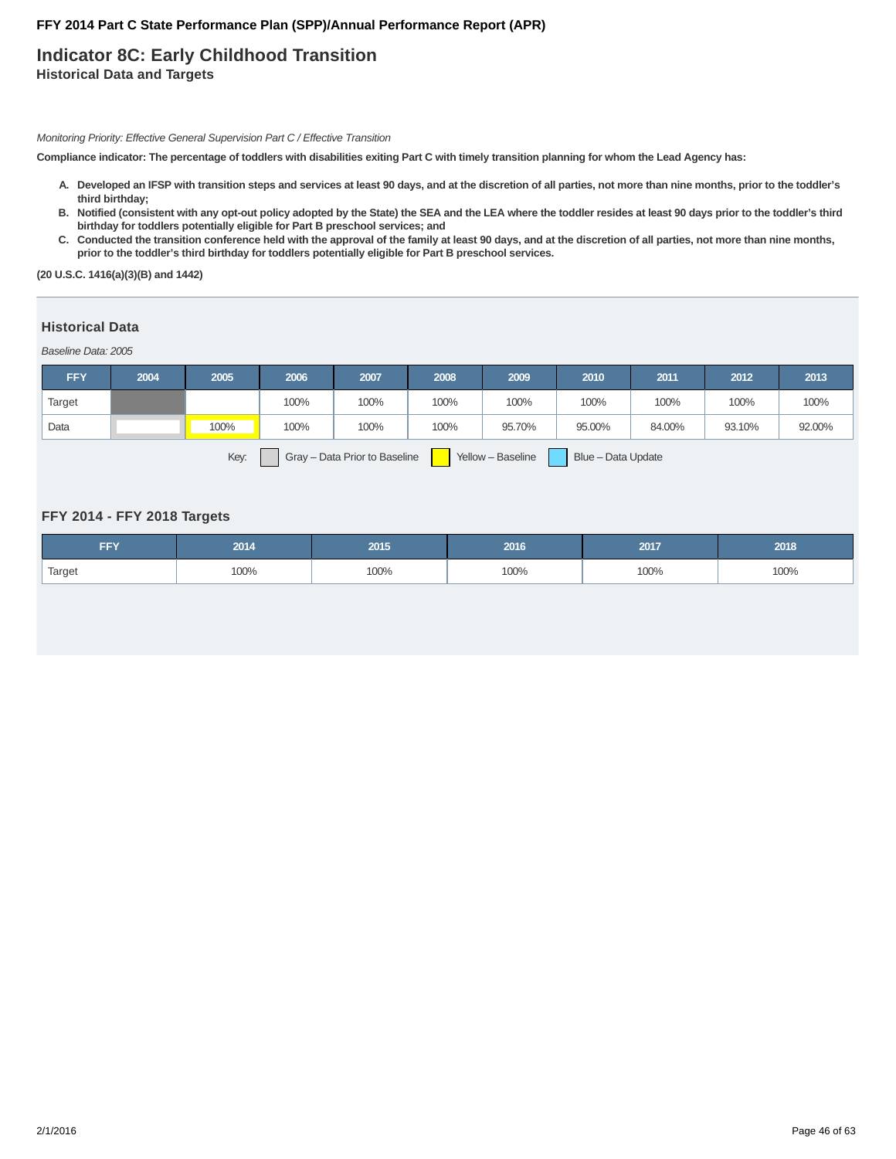# **Indicator 8C: Early Childhood Transition Historical Data and Targets**

Monitoring Priority: Effective General Supervision Part C / Effective Transition

**Compliance indicator: The percentage of toddlers with disabilities exiting Part C with timely transition planning for whom the Lead Agency has:**

- **Developed an IFSP with transition steps and services at least 90 days, and at the discretion of all parties, not more than nine months, prior to the toddler's A. third birthday;**
- **Notified (consistent with any opt-out policy adopted by the State) the SEA and the LEA where the toddler resides at least 90 days prior to the toddler's third B. birthday for toddlers potentially eligible for Part B preschool services; and**
- C. Conducted the transition conference held with the approval of the family at least 90 days, and at the discretion of all parties, not more than nine months, **prior to the toddler's third birthday for toddlers potentially eligible for Part B preschool services.**

**(20 U.S.C. 1416(a)(3)(B) and 1442)**

### **Historical Data**

Baseline Data: 2005

| <b>FFY</b> | 2004 | 2005 | 2006 | 2007 | 2008                                                | 2009   | 2010   | 2011   | 2012   | 2013   |
|------------|------|------|------|------|-----------------------------------------------------|--------|--------|--------|--------|--------|
| Target     |      |      | 100% | 100% | 100%                                                | 100%   | 100%   | 100%   | 100%   | 100%   |
| Data       |      | 100% | 100% | 100% | 100%                                                | 95.70% | 95.00% | 84.00% | 93.10% | 92.00% |
|            |      |      |      |      | <u> The Common Section (In the Common Section )</u> |        |        |        |        |        |

Key: Gray – Data Prior to Baseline Yellow – Baseline Blue – Data Update

### **FFY 2014 - FFY 2018 Targets**

| FFY    | 2014 | 2015 | 2016 | 2017 | 2018 |
|--------|------|------|------|------|------|
| Target | 100% | 100% | 100% | 100% | 100% |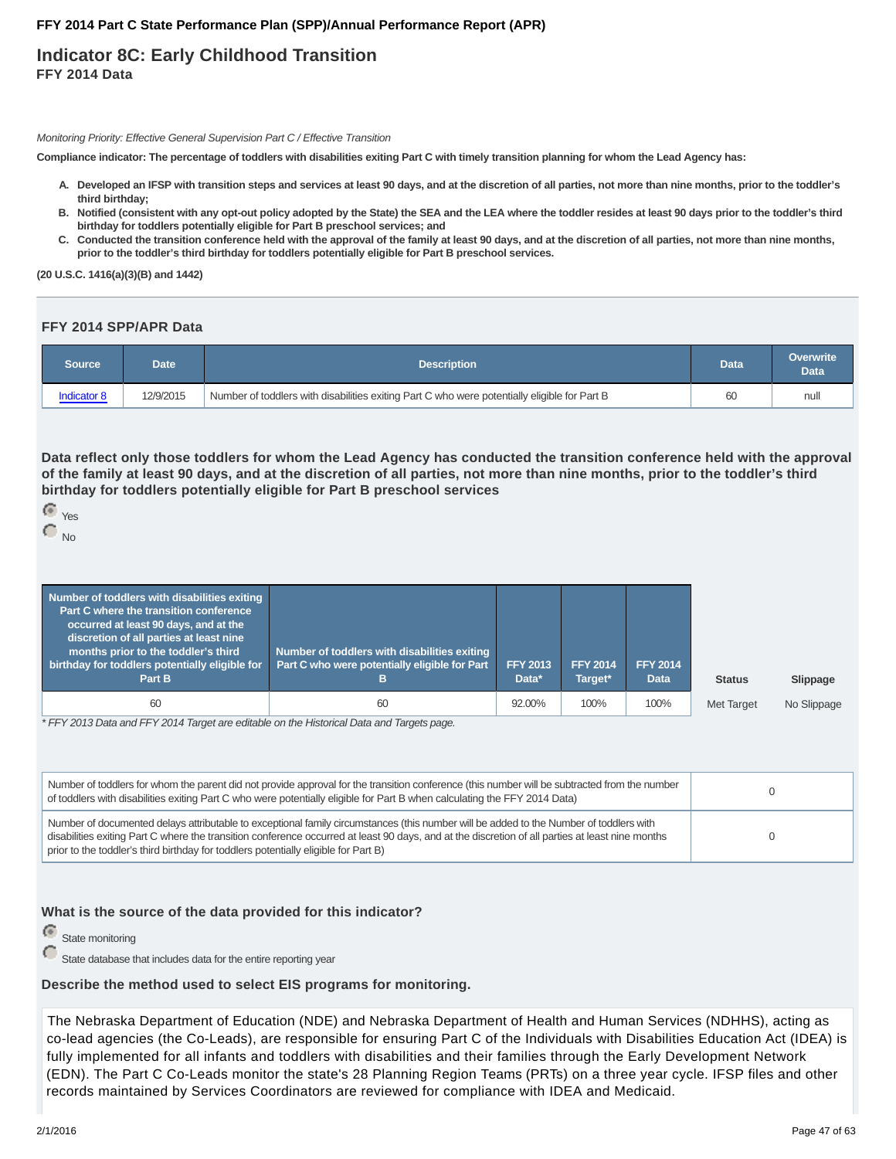# **Indicator 8C: Early Childhood Transition FFY 2014 Data**

Monitoring Priority: Effective General Supervision Part C / Effective Transition

**Compliance indicator: The percentage of toddlers with disabilities exiting Part C with timely transition planning for whom the Lead Agency has:**

- **Developed an IFSP with transition steps and services at least 90 days, and at the discretion of all parties, not more than nine months, prior to the toddler's A. third birthday;**
- **Notified (consistent with any opt-out policy adopted by the State) the SEA and the LEA where the toddler resides at least 90 days prior to the toddler's third B. birthday for toddlers potentially eligible for Part B preschool services; and**
- C. Conducted the transition conference held with the approval of the family at least 90 days, and at the discretion of all parties, not more than nine months, **prior to the toddler's third birthday for toddlers potentially eligible for Part B preschool services.**

**(20 U.S.C. 1416(a)(3)(B) and 1442)**

#### **FFY 2014 SPP/APR Data**

| Source      | Date i    | <b>Description</b>                                                                           |    | <b>Overwrite</b><br><b>Data</b> |
|-------------|-----------|----------------------------------------------------------------------------------------------|----|---------------------------------|
| Indicator 8 | 12/9/2015 | Number of toddlers with disabilities exiting Part C who were potentially eligible for Part B | 60 | null                            |

**Data reflect only those toddlers for whom the Lead Agency has conducted the transition conference held with the approval of the family at least 90 days, and at the discretion of all parties, not more than nine months, prior to the toddler's third birthday for toddlers potentially eligible for Part B preschool services**

| Yes |
|-----|
|     |

No

| Number of toddlers with disabilities exiting<br>Part C where the transition conference<br>occurred at least 90 days, and at the<br>discretion of all parties at least nine<br>months prior to the toddler's third<br>birthday for toddlers potentially eligible for<br>Part B | Number of toddlers with disabilities exiting<br>Part C who were potentially eligible for Part<br>ь | <b>FFY 2013</b><br>Data* | <b>FFY 2014</b><br>Target* | <b>FFY 2014</b><br><b>Data</b> | <b>Status</b> | Slippage    |
|-------------------------------------------------------------------------------------------------------------------------------------------------------------------------------------------------------------------------------------------------------------------------------|----------------------------------------------------------------------------------------------------|--------------------------|----------------------------|--------------------------------|---------------|-------------|
| 60                                                                                                                                                                                                                                                                            | 60                                                                                                 | 92.00%                   | 100%                       | 100%                           | Met Target    | No Slippage |

\* FFY 2013 Data and FFY 2014 Target are editable on the Historical Data and Targets page.

| Number of toddlers for whom the parent did not provide approval for the transition conference (this number will be subtracted from the number<br>of toddlers with disabilities exiting Part C who were potentially eligible for Part B when calculating the FFY 2014 Data)                                                                                                        |  |
|-----------------------------------------------------------------------------------------------------------------------------------------------------------------------------------------------------------------------------------------------------------------------------------------------------------------------------------------------------------------------------------|--|
| Number of documented delays attributable to exceptional family circumstances (this number will be added to the Number of toddlers with<br>disabilities exiting Part C where the transition conference occurred at least 90 days, and at the discretion of all parties at least nine months<br>prior to the toddler's third birthday for toddlers potentially eligible for Part B) |  |

#### **What is the source of the data provided for this indicator?**

e State monitoring

State database that includes data for the entire reporting year

# **Describe the method used to select EIS programs for monitoring.**

The Nebraska Department of Education (NDE) and Nebraska Department of Health and Human Services (NDHHS), acting as co-lead agencies (the Co-Leads), are responsible for ensuring Part C of the Individuals with Disabilities Education Act (IDEA) is fully implemented for all infants and toddlers with disabilities and their families through the Early Development Network (EDN). The Part C Co-Leads monitor the state's 28 Planning Region Teams (PRTs) on a three year cycle. IFSP files and other records maintained by Services Coordinators are reviewed for compliance with IDEA and Medicaid.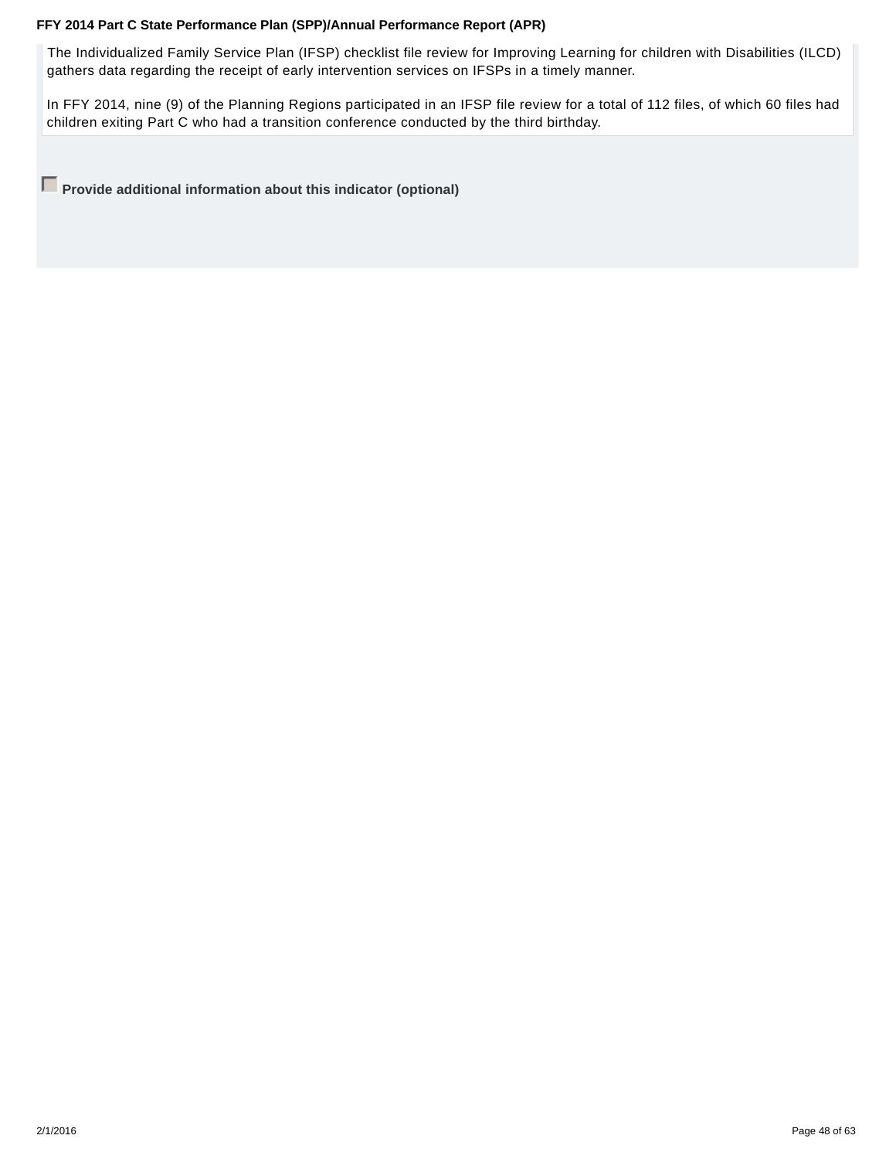The Individualized Family Service Plan (IFSP) checklist file review for Improving Learning for children with Disabilities (ILCD) gathers data regarding the receipt of early intervention services on IFSPs in a timely manner.

In FFY 2014, nine (9) of the Planning Regions participated in an IFSP file review for a total of 112 files, of which 60 files had children exiting Part C who had a transition conference conducted by the third birthday.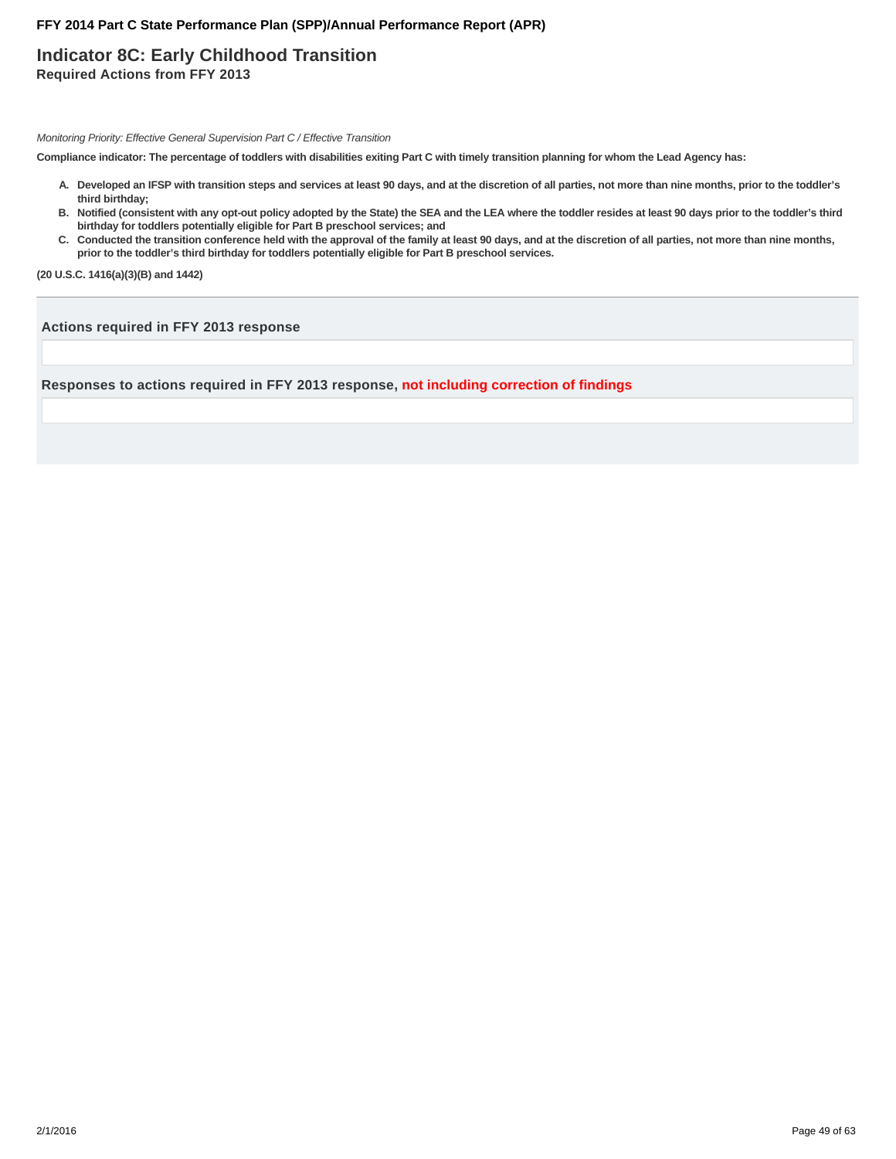# **Indicator 8C: Early Childhood Transition Required Actions from FFY 2013**

Monitoring Priority: Effective General Supervision Part C / Effective Transition

**Compliance indicator: The percentage of toddlers with disabilities exiting Part C with timely transition planning for whom the Lead Agency has:**

- **Developed an IFSP with transition steps and services at least 90 days, and at the discretion of all parties, not more than nine months, prior to the toddler's A. third birthday;**
- **Notified (consistent with any opt-out policy adopted by the State) the SEA and the LEA where the toddler resides at least 90 days prior to the toddler's third B. birthday for toddlers potentially eligible for Part B preschool services; and**
- C. Conducted the transition conference held with the approval of the family at least 90 days, and at the discretion of all parties, not more than nine months, **prior to the toddler's third birthday for toddlers potentially eligible for Part B preschool services.**

**(20 U.S.C. 1416(a)(3)(B) and 1442)**

**Actions required in FFY 2013 response**

**Responses to actions required in FFY 2013 response, not including correction of findings**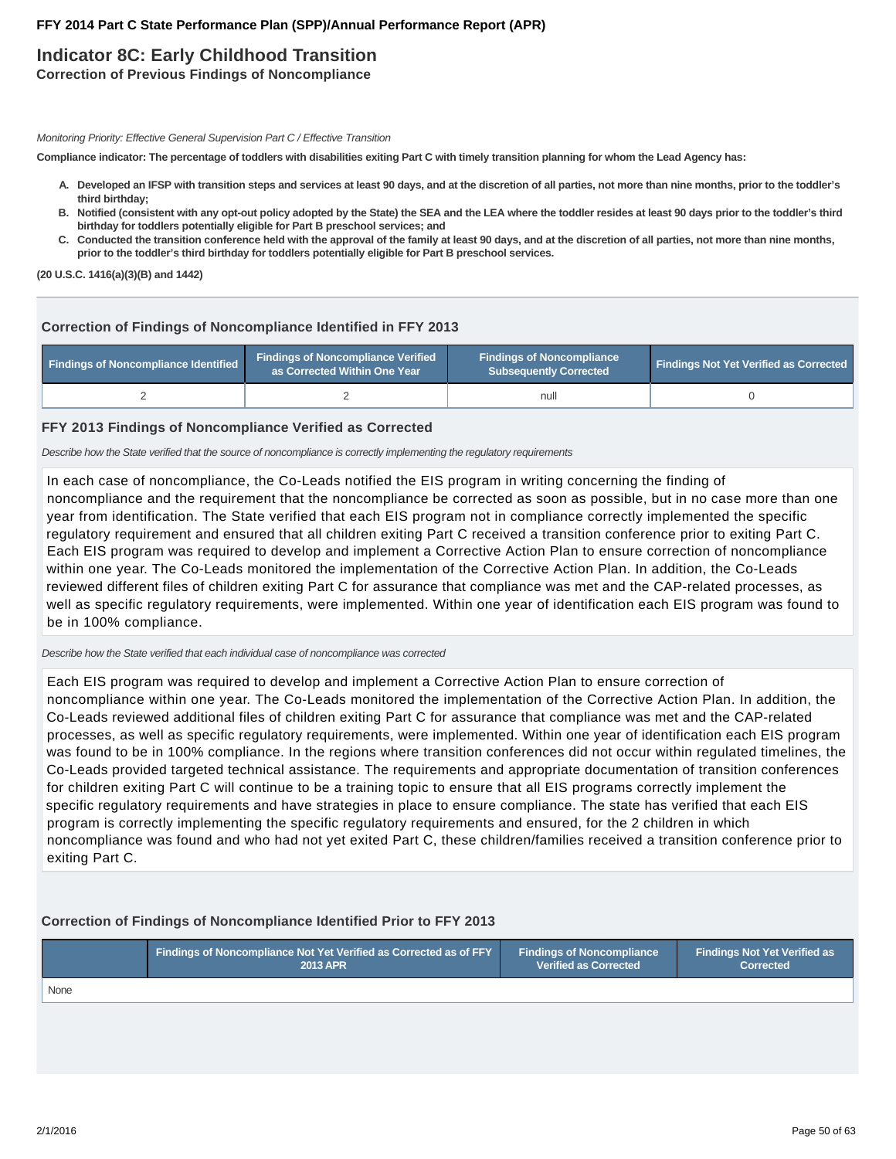# **Indicator 8C: Early Childhood Transition**

**Correction of Previous Findings of Noncompliance**

Monitoring Priority: Effective General Supervision Part C / Effective Transition

**Compliance indicator: The percentage of toddlers with disabilities exiting Part C with timely transition planning for whom the Lead Agency has:**

- **Developed an IFSP with transition steps and services at least 90 days, and at the discretion of all parties, not more than nine months, prior to the toddler's A. third birthday;**
- **Notified (consistent with any opt-out policy adopted by the State) the SEA and the LEA where the toddler resides at least 90 days prior to the toddler's third B. birthday for toddlers potentially eligible for Part B preschool services; and**
- C. Conducted the transition conference held with the approval of the family at least 90 days, and at the discretion of all parties, not more than nine months, **prior to the toddler's third birthday for toddlers potentially eligible for Part B preschool services.**

**(20 U.S.C. 1416(a)(3)(B) and 1442)**

### **Correction of Findings of Noncompliance Identified in FFY 2013**

| <b>Findings of Noncompliance Identified</b> | <b>Findings of Noncompliance Verified</b><br>as Corrected Within One Year | <b>Findings of Noncompliance</b><br>Subsequently Corrected | <b>Findings Not Yet Verified as Corrected</b> |  |
|---------------------------------------------|---------------------------------------------------------------------------|------------------------------------------------------------|-----------------------------------------------|--|
|                                             |                                                                           | null                                                       |                                               |  |

### **FFY 2013 Findings of Noncompliance Verified as Corrected**

Describe how the State verified that the source of noncompliance is correctly implementing the regulatory requirements

In each case of noncompliance, the Co-Leads notified the EIS program in writing concerning the finding of noncompliance and the requirement that the noncompliance be corrected as soon as possible, but in no case more than one year from identification. The State verified that each EIS program not in compliance correctly implemented the specific regulatory requirement and ensured that all children exiting Part C received a transition conference prior to exiting Part C. Each EIS program was required to develop and implement a Corrective Action Plan to ensure correction of noncompliance within one year. The Co-Leads monitored the implementation of the Corrective Action Plan. In addition, the Co-Leads reviewed different files of children exiting Part C for assurance that compliance was met and the CAP-related processes, as well as specific regulatory requirements, were implemented. Within one year of identification each EIS program was found to be in 100% compliance.

Describe how the State verified that each individual case of noncompliance was corrected

Each EIS program was required to develop and implement a Corrective Action Plan to ensure correction of noncompliance within one year. The Co-Leads monitored the implementation of the Corrective Action Plan. In addition, the Co-Leads reviewed additional files of children exiting Part C for assurance that compliance was met and the CAP-related processes, as well as specific regulatory requirements, were implemented. Within one year of identification each EIS program was found to be in 100% compliance. In the regions where transition conferences did not occur within regulated timelines, the Co-Leads provided targeted technical assistance. The requirements and appropriate documentation of transition conferences for children exiting Part C will continue to be a training topic to ensure that all EIS programs correctly implement the specific regulatory requirements and have strategies in place to ensure compliance. The state has verified that each EIS program is correctly implementing the specific regulatory requirements and ensured, for the 2 children in which noncompliance was found and who had not yet exited Part C, these children/families received a transition conference prior to exiting Part C.

# **Correction of Findings of Noncompliance Identified Prior to FFY 2013**

|      | Findings of Noncompliance Not Yet Verified as Corrected as of FFY | <b>Findings of Noncompliance</b> | <b>Findings Not Yet Verified as</b> |
|------|-------------------------------------------------------------------|----------------------------------|-------------------------------------|
|      | <b>2013 APR</b>                                                   | <b>Verified as Corrected</b>     | <b>Corrected</b>                    |
| None |                                                                   |                                  |                                     |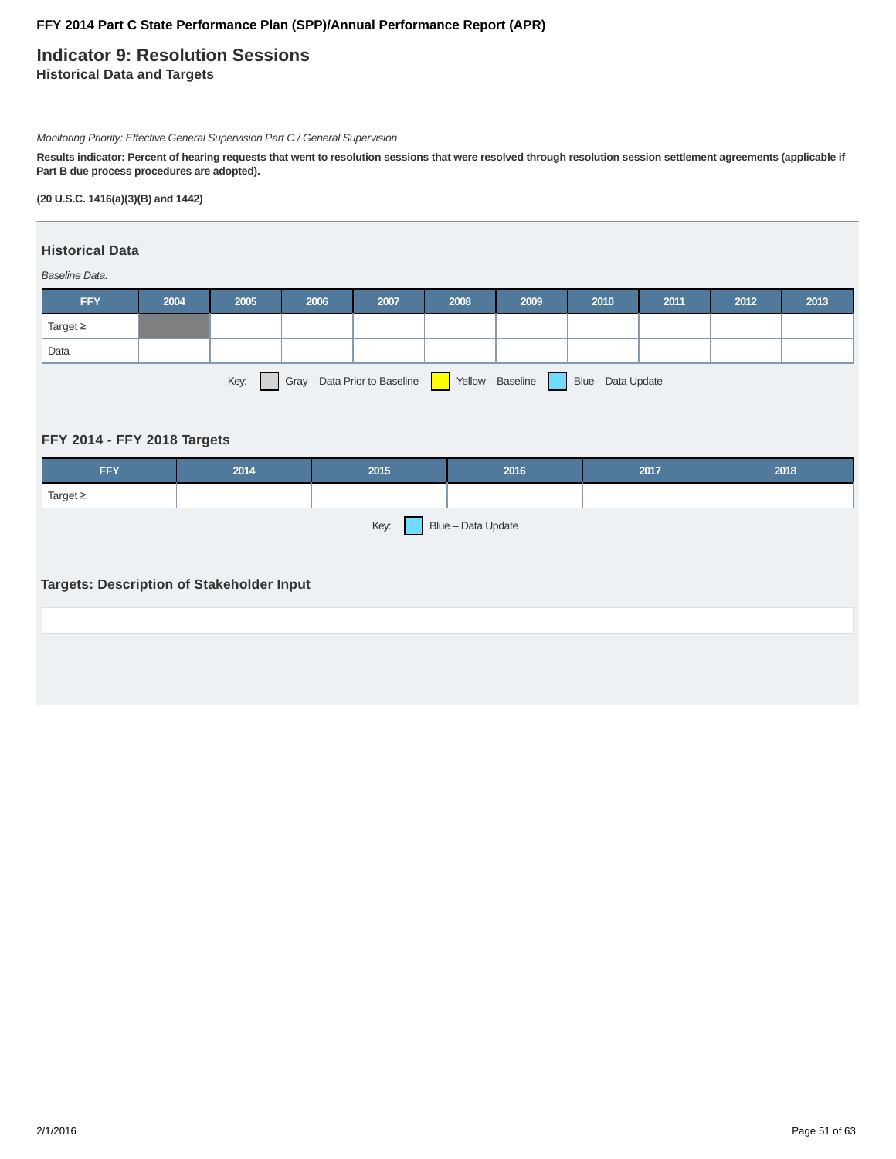# **Indicator 9: Resolution Sessions Historical Data and Targets**

Monitoring Priority: Effective General Supervision Part C / General Supervision

**Results indicator: Percent of hearing requests that went to resolution sessions that were resolved through resolution session settlement agreements (applicable if Part B due process procedures are adopted).**

### **(20 U.S.C. 1416(a)(3)(B) and 1442)**

# **Historical Data**

Baseline Data:

| <b>FFY</b>                                                                       | 2004 | 2005 | 2006 | 2007 | 2008 | 2009 | 2010 | 2011 | 2012 | 2013 |
|----------------------------------------------------------------------------------|------|------|------|------|------|------|------|------|------|------|
| Target $\geq$                                                                    |      |      |      |      |      |      |      |      |      |      |
| Data                                                                             |      |      |      |      |      |      |      |      |      |      |
| Gray - Data Prior to Baseline<br>Key:<br>Blue - Data Update<br>Yellow - Baseline |      |      |      |      |      |      |      |      |      |      |

### **FFY 2014 - FFY 2018 Targets**

| <b>FFY</b>                                                                     | 2014 | 2015 | 2016 | 2017 | 2018 |  |  |  |  |
|--------------------------------------------------------------------------------|------|------|------|------|------|--|--|--|--|
| Target $\geq$                                                                  |      |      |      |      |      |  |  |  |  |
| Blue - Data Update<br>Key:<br><b>Targets: Description of Stakeholder Input</b> |      |      |      |      |      |  |  |  |  |
|                                                                                |      |      |      |      |      |  |  |  |  |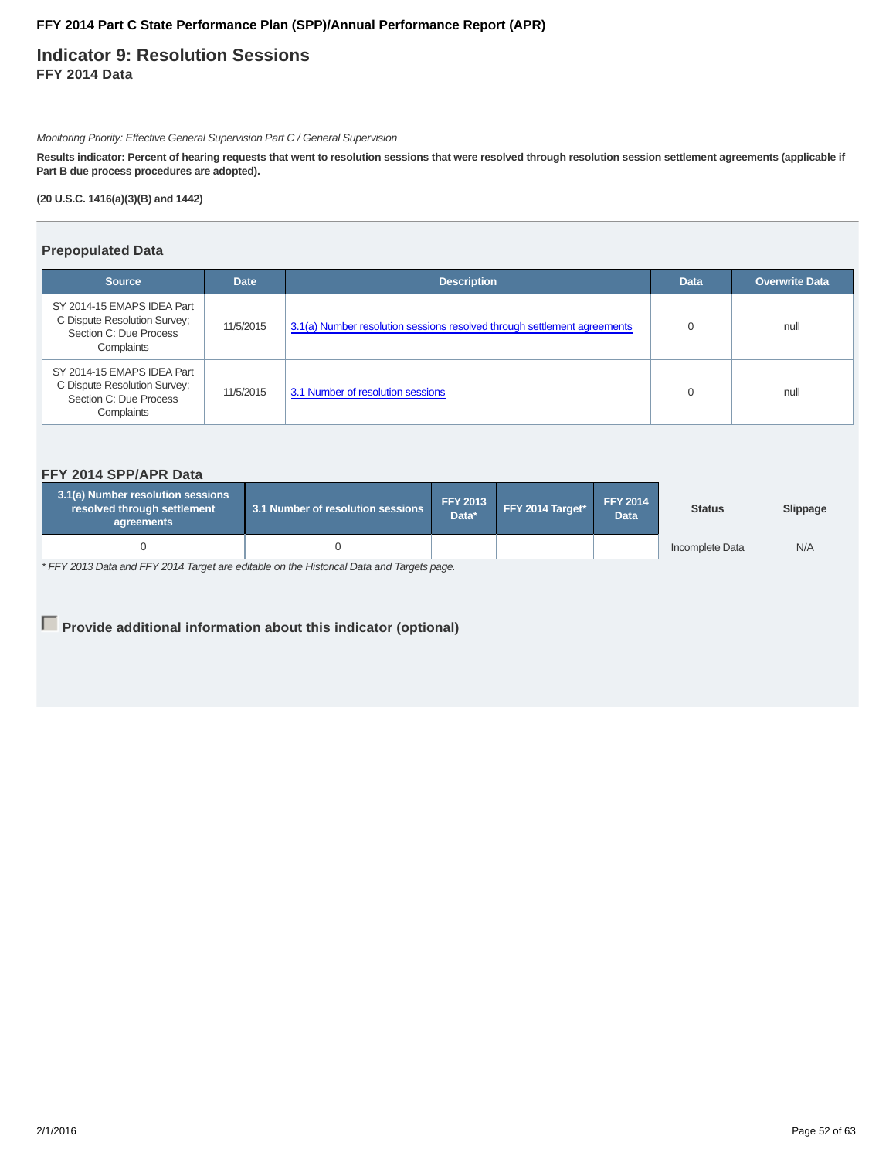**Indicator 9: Resolution Sessions FFY 2014 Data**

Monitoring Priority: Effective General Supervision Part C / General Supervision

**Results indicator: Percent of hearing requests that went to resolution sessions that were resolved through resolution session settlement agreements (applicable if Part B due process procedures are adopted).**

**(20 U.S.C. 1416(a)(3)(B) and 1442)**

### **Prepopulated Data**

| <b>Source</b>                                                                                      | <b>Date</b> | <b>Description</b>                                                       | <b>Data</b> | <b>Overwrite Data</b> |
|----------------------------------------------------------------------------------------------------|-------------|--------------------------------------------------------------------------|-------------|-----------------------|
| SY 2014-15 EMAPS IDEA Part<br>C Dispute Resolution Survey;<br>Section C: Due Process<br>Complaints | 11/5/2015   | 3.1(a) Number resolution sessions resolved through settlement agreements |             | null                  |
| SY 2014-15 EMAPS IDEA Part<br>C Dispute Resolution Survey;<br>Section C: Due Process<br>Complaints | 11/5/2015   | 3.1 Number of resolution sessions                                        |             | null                  |

### **FFY 2014 SPP/APR Data**

| 3.1(a) Number resolution sessions<br>3.1 Number of resolution sessions<br>resolved through settlement<br>agreements |  | <b>FFY 2013</b><br>Data* | FFY 2014 Target* | <b>FFY 2014</b><br><b>Data</b> | <b>Status</b>   | Slippage |
|---------------------------------------------------------------------------------------------------------------------|--|--------------------------|------------------|--------------------------------|-----------------|----------|
|                                                                                                                     |  |                          |                  |                                | Incomplete Data | N/A      |

\* FFY 2013 Data and FFY 2014 Target are editable on the Historical Data and Targets page.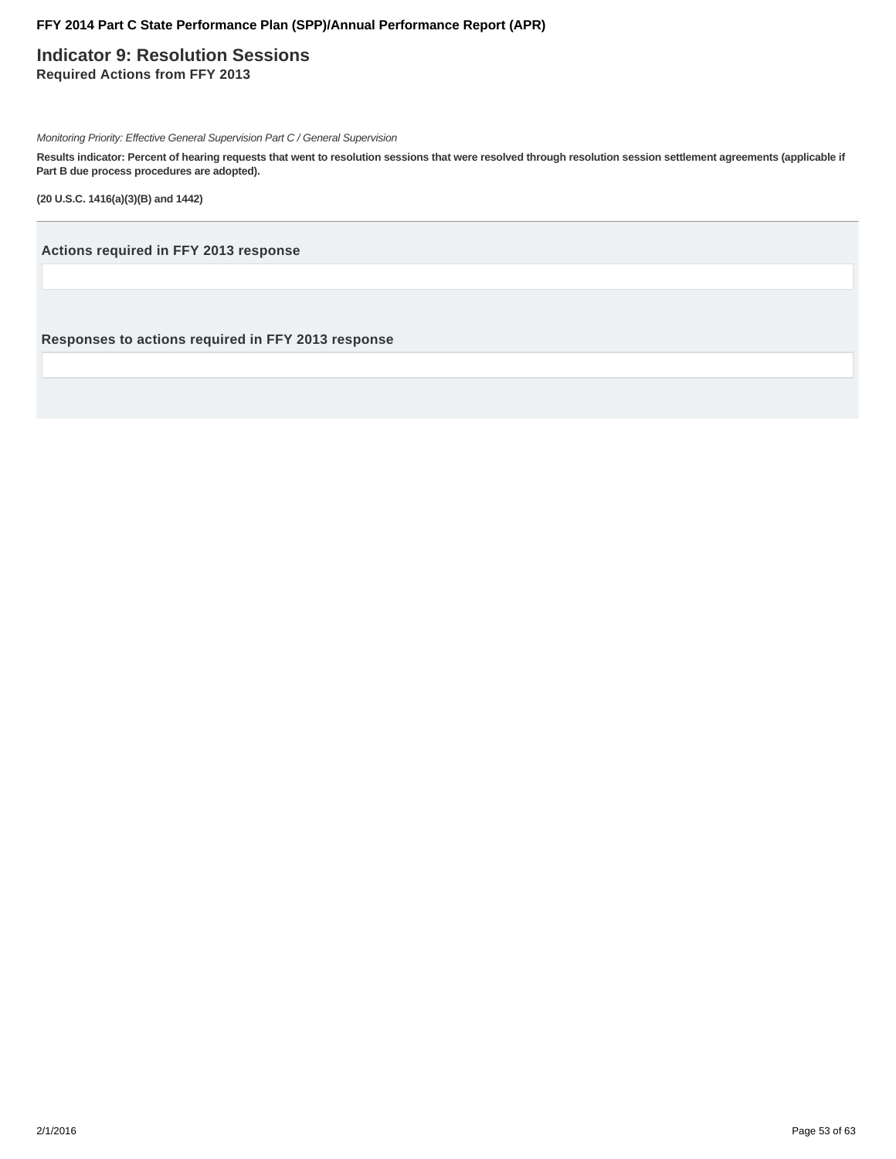**Indicator 9: Resolution Sessions Required Actions from FFY 2013**

Monitoring Priority: Effective General Supervision Part C / General Supervision

**Results indicator: Percent of hearing requests that went to resolution sessions that were resolved through resolution session settlement agreements (applicable if Part B due process procedures are adopted).**

**(20 U.S.C. 1416(a)(3)(B) and 1442)**

**Actions required in FFY 2013 response**

**Responses to actions required in FFY 2013 response**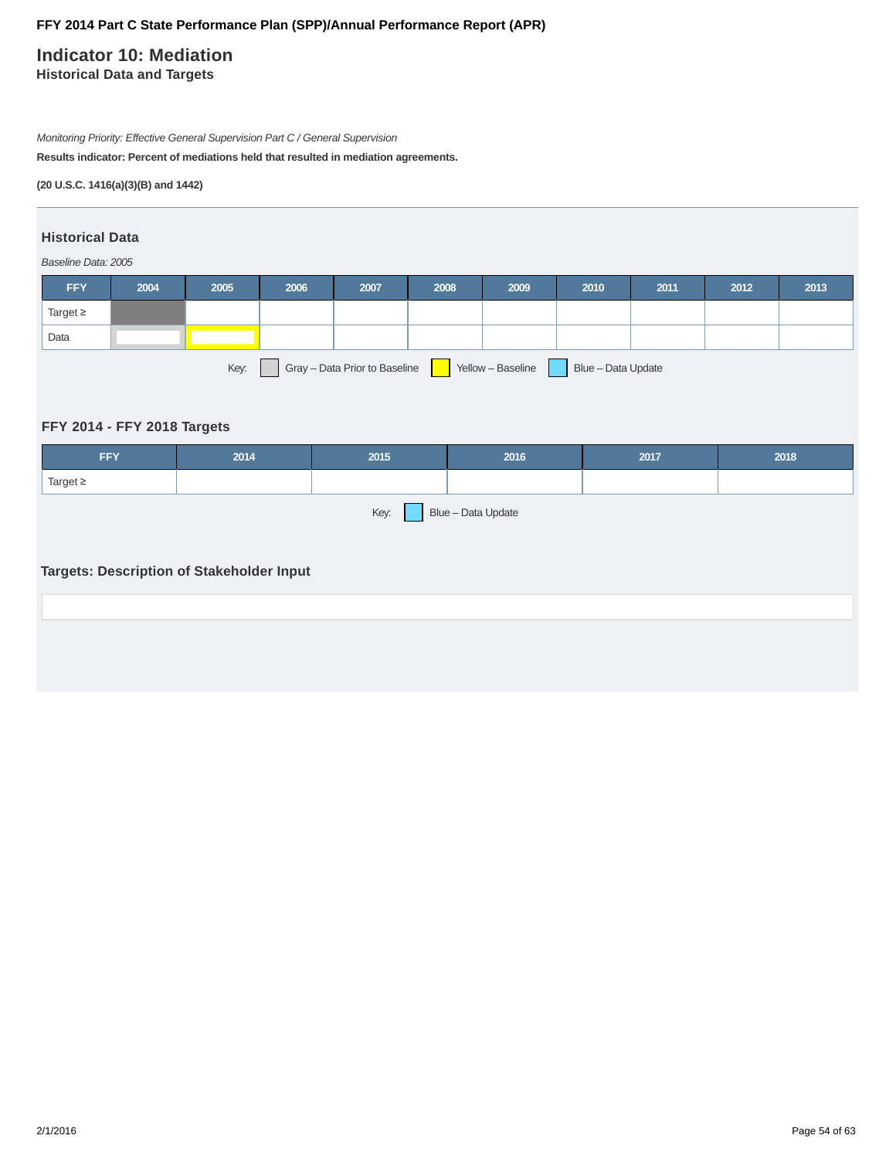# **Indicator 10: Mediation**

**Historical Data and Targets**

Monitoring Priority: Effective General Supervision Part C / General Supervision

**Results indicator: Percent of mediations held that resulted in mediation agreements.**

**(20 U.S.C. 1416(a)(3)(B) and 1442)**

# **Historical Data**

Baseline Data: 2005

| <b>FFY</b>                                                                       | 2004 | 2005 | 2006 | 2007 | 2008 | 2009 | 2010 | 2011 | 2012 | 2013 |
|----------------------------------------------------------------------------------|------|------|------|------|------|------|------|------|------|------|
| Target $\geq$                                                                    |      |      |      |      |      |      |      |      |      |      |
| Data                                                                             |      |      |      |      |      |      |      |      |      |      |
| Gray - Data Prior to Baseline<br>Key:<br>Yellow - Baseline<br>Blue - Data Update |      |      |      |      |      |      |      |      |      |      |

# **FFY 2014 - FFY 2018 Targets**

| <b>FFY</b>                                       | 2014 | 2015 | 2016 | 2017 | 2018 |  |  |  |
|--------------------------------------------------|------|------|------|------|------|--|--|--|
| Target $\geq$                                    |      |      |      |      |      |  |  |  |
| Blue - Data Update<br>Key:                       |      |      |      |      |      |  |  |  |
|                                                  |      |      |      |      |      |  |  |  |
| <b>Targets: Description of Stakeholder Input</b> |      |      |      |      |      |  |  |  |
|                                                  |      |      |      |      |      |  |  |  |
|                                                  |      |      |      |      |      |  |  |  |
|                                                  |      |      |      |      |      |  |  |  |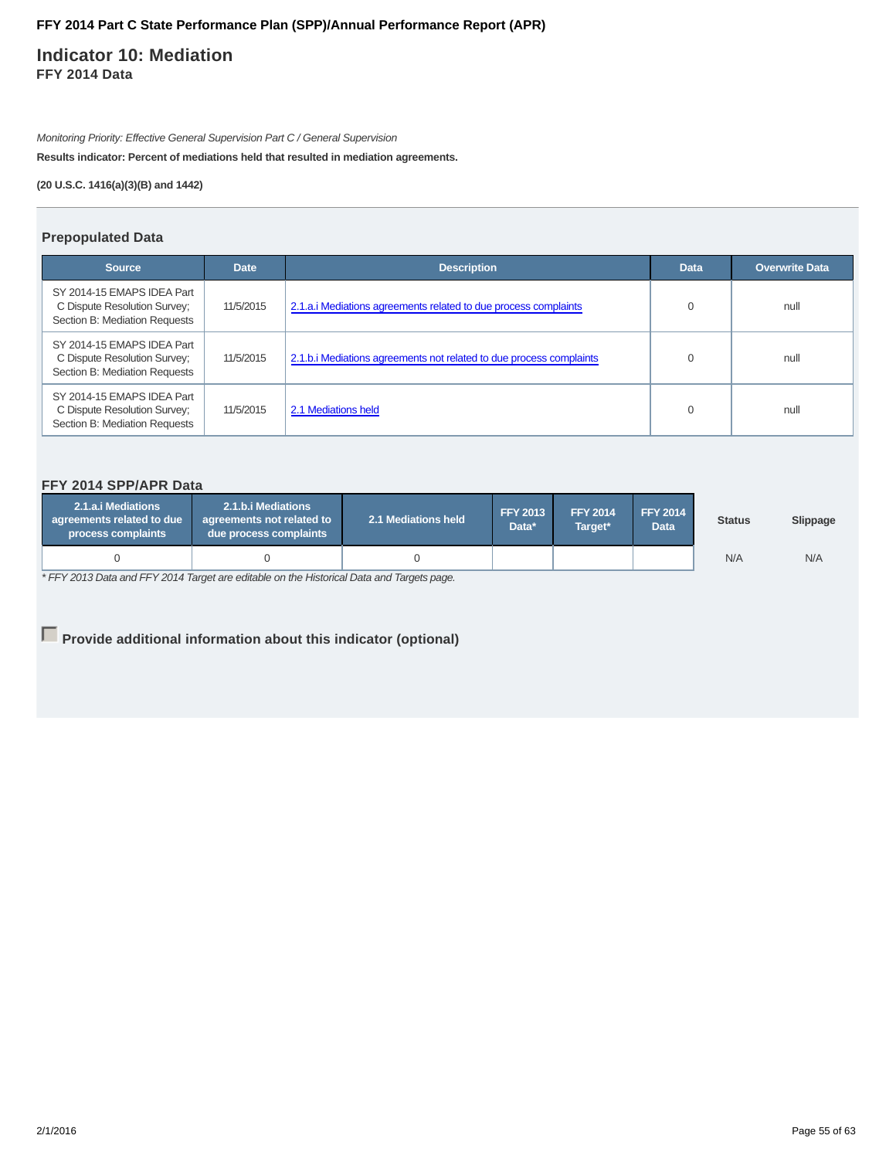# **Indicator 10: Mediation FFY 2014 Data**

Monitoring Priority: Effective General Supervision Part C / General Supervision

**Results indicator: Percent of mediations held that resulted in mediation agreements.**

**(20 U.S.C. 1416(a)(3)(B) and 1442)**

### **Prepopulated Data**

| <b>Source</b>                                                                               | <b>Date</b> | <b>Description</b>                                                  | <b>Data</b> | <b>Overwrite Data</b> |
|---------------------------------------------------------------------------------------------|-------------|---------------------------------------------------------------------|-------------|-----------------------|
| SY 2014-15 EMAPS IDEA Part<br>C Dispute Resolution Survey;<br>Section B: Mediation Requests | 11/5/2015   | 2.1.a.i Mediations agreements related to due process complaints     | $\Omega$    | null                  |
| SY 2014-15 EMAPS IDEA Part<br>C Dispute Resolution Survey;<br>Section B: Mediation Requests | 11/5/2015   | 2.1.b. iMediations agreements not related to due process complaints |             | null                  |
| SY 2014-15 EMAPS IDEA Part<br>C Dispute Resolution Survey;<br>Section B: Mediation Requests | 11/5/2015   | 2.1 Mediations held                                                 | $\Omega$    | null                  |

# **FFY 2014 SPP/APR Data**

| 2.1.a.i Mediations<br>agreements related to due<br>process complaints | 2.1.b.i Mediations<br>agreements not related to<br>due process complaints | <b>FFY 2013</b><br>2.1 Mediations held |  | <b>FFY 2014</b><br>Target* | <b>FFY 2014</b><br><b>Data</b> | <b>Status</b> | Slippage |
|-----------------------------------------------------------------------|---------------------------------------------------------------------------|----------------------------------------|--|----------------------------|--------------------------------|---------------|----------|
|                                                                       |                                                                           |                                        |  |                            |                                | N/A           | N/A      |

\* FFY 2013 Data and FFY 2014 Target are editable on the Historical Data and Targets page.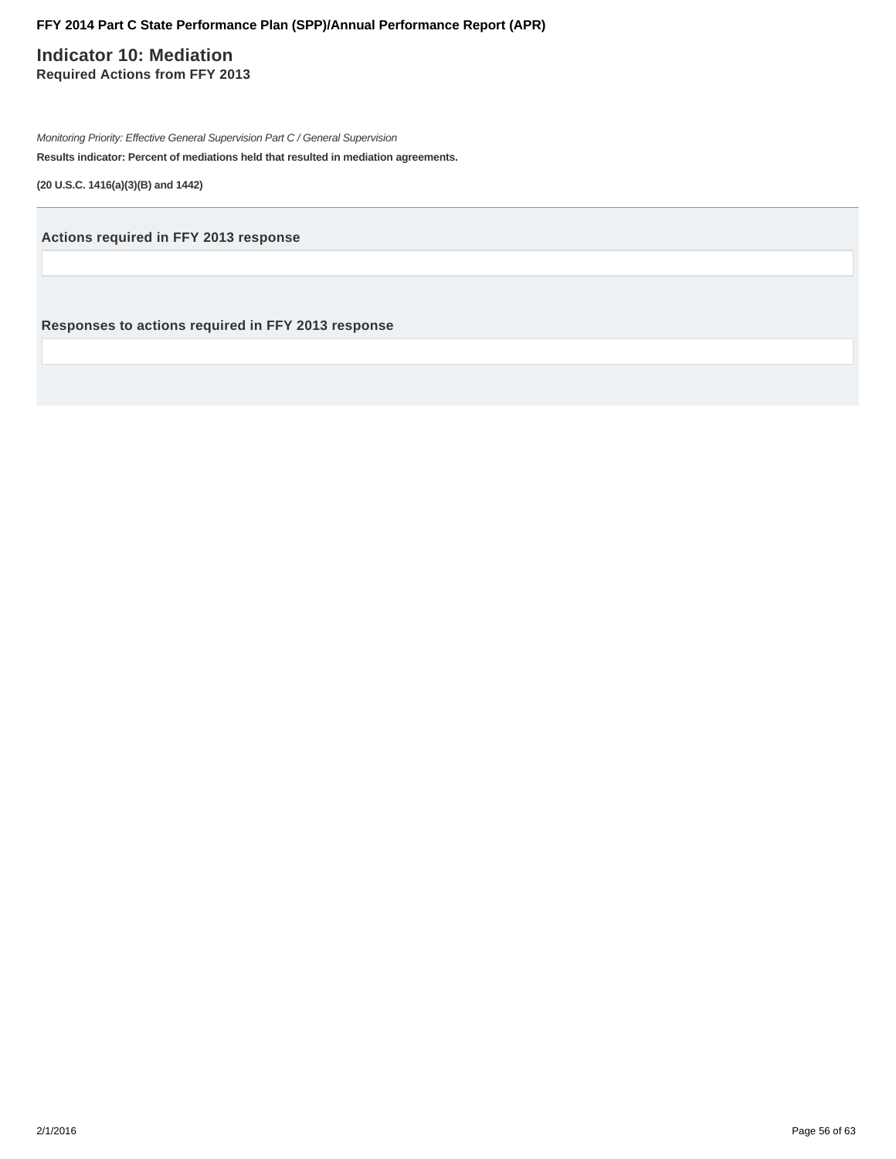# **Indicator 10: Mediation Required Actions from FFY 2013**

Monitoring Priority: Effective General Supervision Part C / General Supervision **Results indicator: Percent of mediations held that resulted in mediation agreements.**

**(20 U.S.C. 1416(a)(3)(B) and 1442)**

**Actions required in FFY 2013 response**

**Responses to actions required in FFY 2013 response**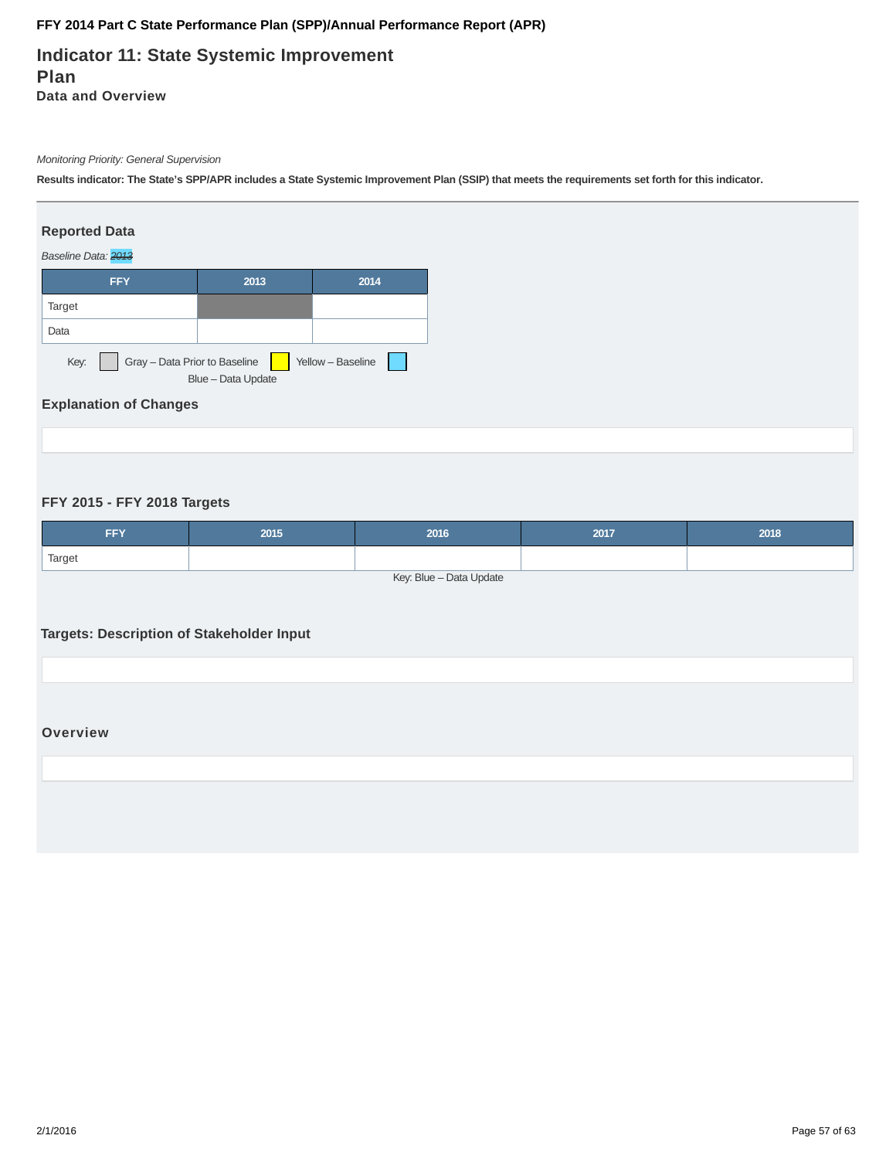# **Indicator 11: State Systemic Improvement Plan Data and Overview**

### Monitoring Priority: General Supervision

**Results indicator: The State's SPP/APR includes a State Systemic Improvement Plan (SSIP) that meets the requirements set forth for this indicator.**

### **Reported Data**

#### Baseline Data: 2013



# **Explanation of Changes**

### **FFY 2015 - FFY 2018 Targets**

| <b>FFY</b>              | 2015 | 2016 | 2017 | 2018 |  |  |  |
|-------------------------|------|------|------|------|--|--|--|
| Target                  |      |      |      |      |  |  |  |
| Key: Blue - Data Update |      |      |      |      |  |  |  |

# **Targets: Description of Stakeholder Input**

### **Overview**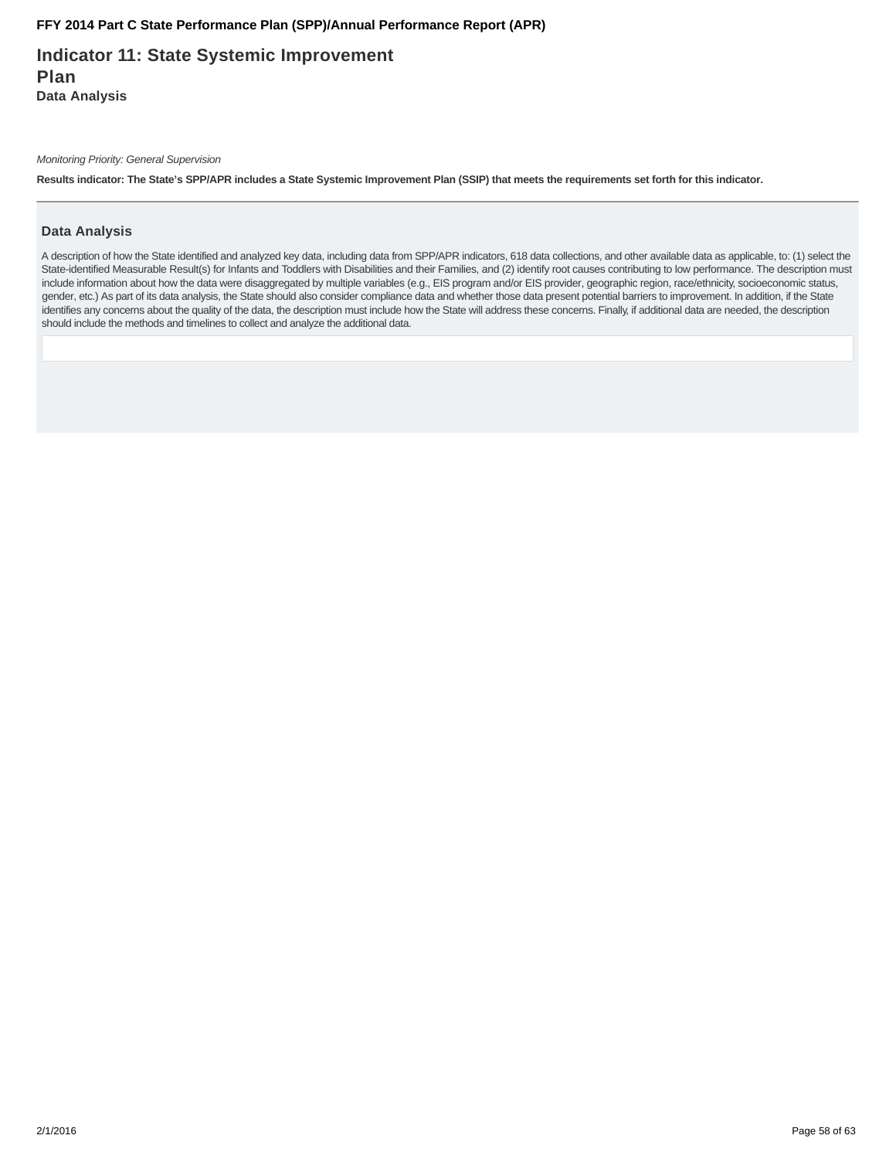**Indicator 11: State Systemic Improvement Plan Data Analysis**

Monitoring Priority: General Supervision

**Results indicator: The State's SPP/APR includes a State Systemic Improvement Plan (SSIP) that meets the requirements set forth for this indicator.**

### **Data Analysis**

A description of how the State identified and analyzed key data, including data from SPP/APR indicators, 618 data collections, and other available data as applicable, to: (1) select the State-identified Measurable Result(s) for Infants and Toddlers with Disabilities and their Families, and (2) identify root causes contributing to low performance. The description must include information about how the data were disaggregated by multiple variables (e.g., EIS program and/or EIS provider, geographic region, race/ethnicity, socioeconomic status, gender, etc.) As part of its data analysis, the State should also consider compliance data and whether those data present potential barriers to improvement. In addition, if the State identifies any concerns about the quality of the data, the description must include how the State will address these concerns. Finally, if additional data are needed, the description should include the methods and timelines to collect and analyze the additional data.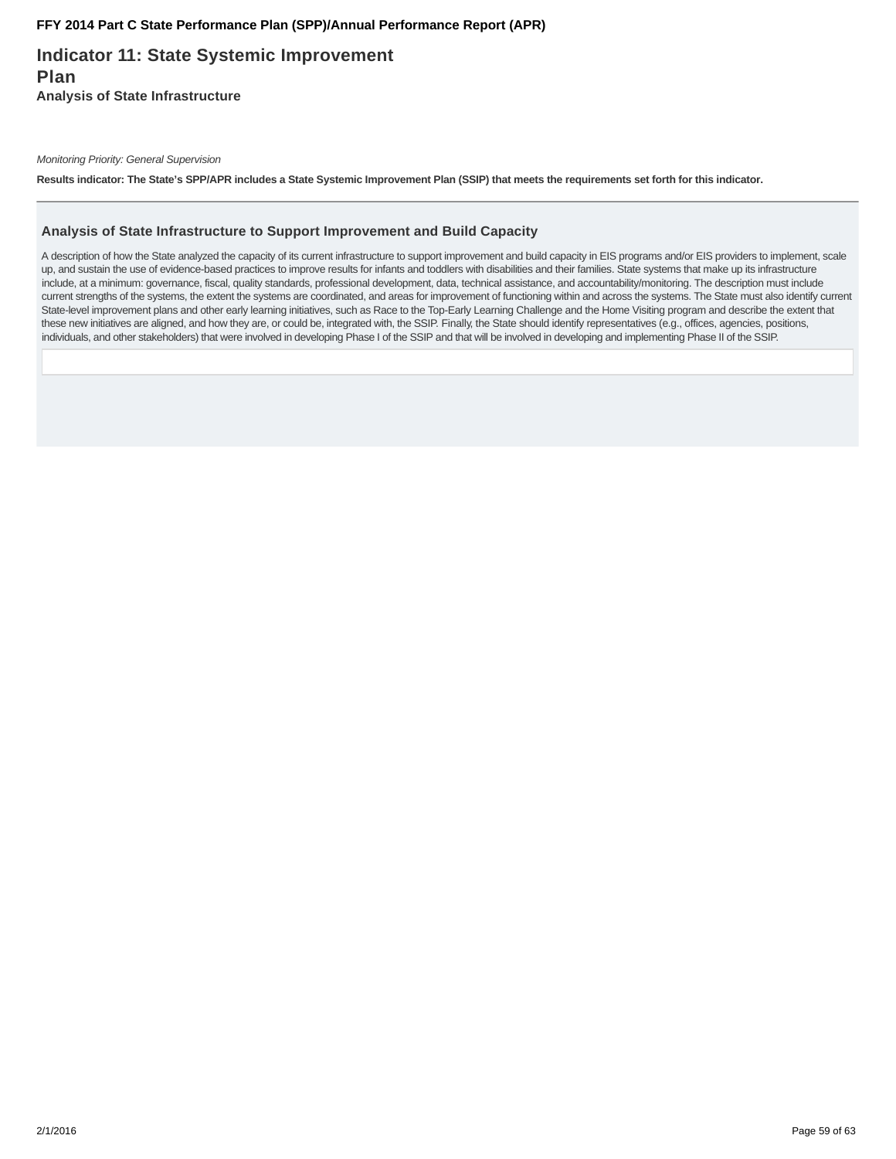# **Indicator 11: State Systemic Improvement Plan Analysis of State Infrastructure**

Monitoring Priority: General Supervision

**Results indicator: The State's SPP/APR includes a State Systemic Improvement Plan (SSIP) that meets the requirements set forth for this indicator.**

#### **Analysis of State Infrastructure to Support Improvement and Build Capacity**

A description of how the State analyzed the capacity of its current infrastructure to support improvement and build capacity in EIS programs and/or EIS providers to implement, scale up, and sustain the use of evidence-based practices to improve results for infants and toddlers with disabilities and their families. State systems that make up its infrastructure include, at a minimum: governance, fiscal, quality standards, professional development, data, technical assistance, and accountability/monitoring. The description must include current strengths of the systems, the extent the systems are coordinated, and areas for improvement of functioning within and across the systems. The State must also identify current State-level improvement plans and other early learning initiatives, such as Race to the Top-Early Learning Challenge and the Home Visiting program and describe the extent that these new initiatives are aligned, and how they are, or could be, integrated with, the SSIP. Finally, the State should identify representatives (e.g., offices, agencies, positions, individuals, and other stakeholders) that were involved in developing Phase I of the SSIP and that will be involved in developing and implementing Phase II of the SSIP.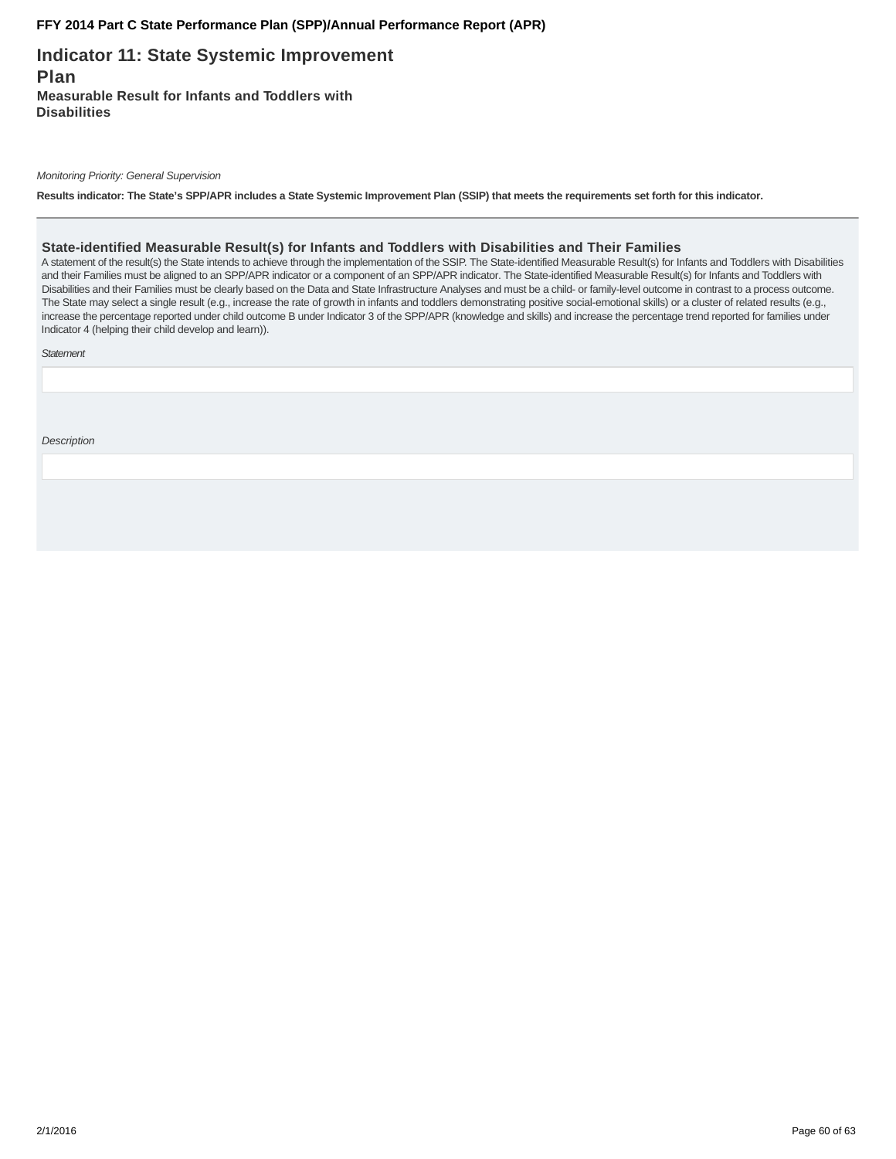**Indicator 11: State Systemic Improvement Plan Measurable Result for Infants and Toddlers with Disabilities**

Monitoring Priority: General Supervision

**Results indicator: The State's SPP/APR includes a State Systemic Improvement Plan (SSIP) that meets the requirements set forth for this indicator.**

#### **State-identified Measurable Result(s) for Infants and Toddlers with Disabilities and Their Families**

A statement of the result(s) the State intends to achieve through the implementation of the SSIP. The State-identified Measurable Result(s) for Infants and Toddlers with Disabilities and their Families must be aligned to an SPP/APR indicator or a component of an SPP/APR indicator. The State-identified Measurable Result(s) for Infants and Toddlers with Disabilities and their Families must be clearly based on the Data and State Infrastructure Analyses and must be a child- or family-level outcome in contrast to a process outcome. The State may select a single result (e.g., increase the rate of growth in infants and toddlers demonstrating positive social-emotional skills) or a cluster of related results (e.g., increase the percentage reported under child outcome B under Indicator 3 of the SPP/APR (knowledge and skills) and increase the percentage trend reported for families under Indicator 4 (helping their child develop and learn)).

**Statement** 

**Description**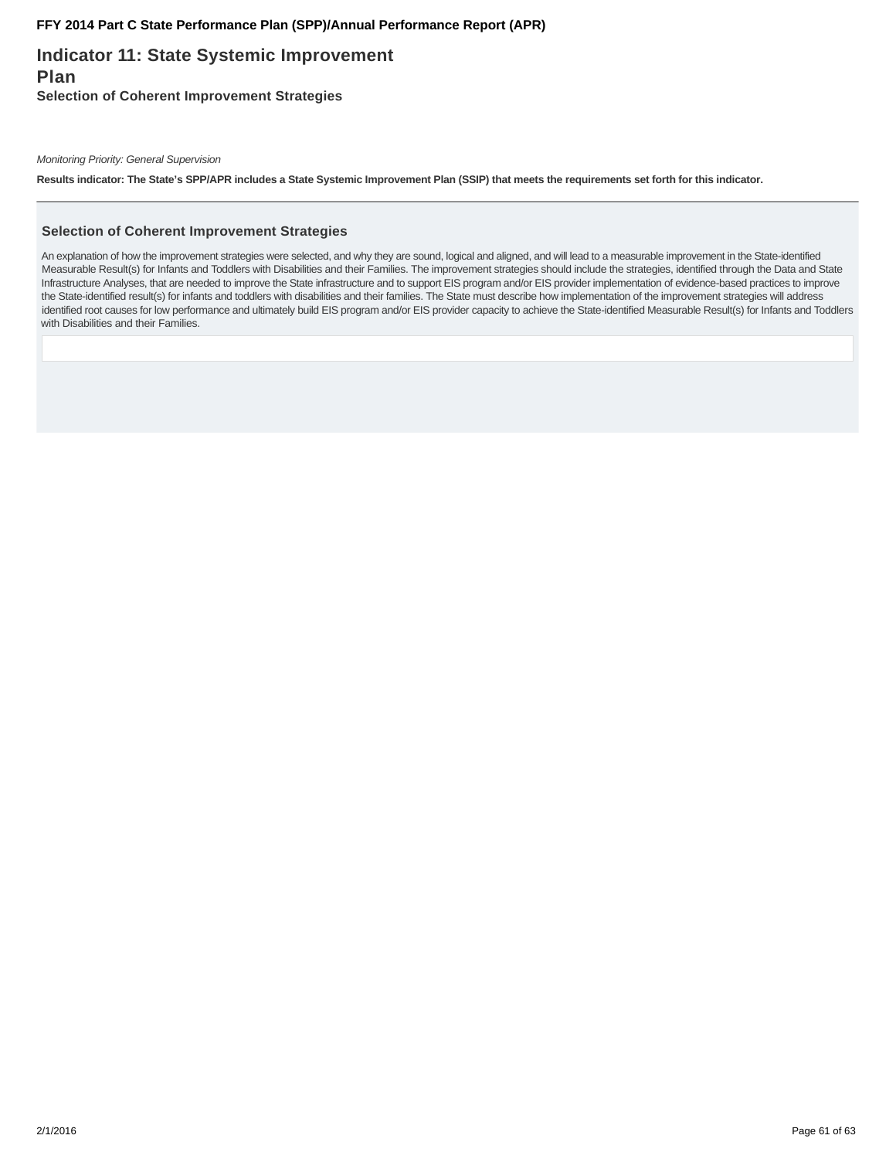# **Indicator 11: State Systemic Improvement Plan Selection of Coherent Improvement Strategies**

Monitoring Priority: General Supervision

**Results indicator: The State's SPP/APR includes a State Systemic Improvement Plan (SSIP) that meets the requirements set forth for this indicator.**

#### **Selection of Coherent Improvement Strategies**

An explanation of how the improvement strategies were selected, and why they are sound, logical and aligned, and will lead to a measurable improvement in the State-identified Measurable Result(s) for Infants and Toddlers with Disabilities and their Families. The improvement strategies should include the strategies, identified through the Data and State Infrastructure Analyses, that are needed to improve the State infrastructure and to support EIS program and/or EIS provider implementation of evidence-based practices to improve the State-identified result(s) for infants and toddlers with disabilities and their families. The State must describe how implementation of the improvement strategies will address identified root causes for low performance and ultimately build EIS program and/or EIS provider capacity to achieve the State-identified Measurable Result(s) for Infants and Toddlers with Disabilities and their Families.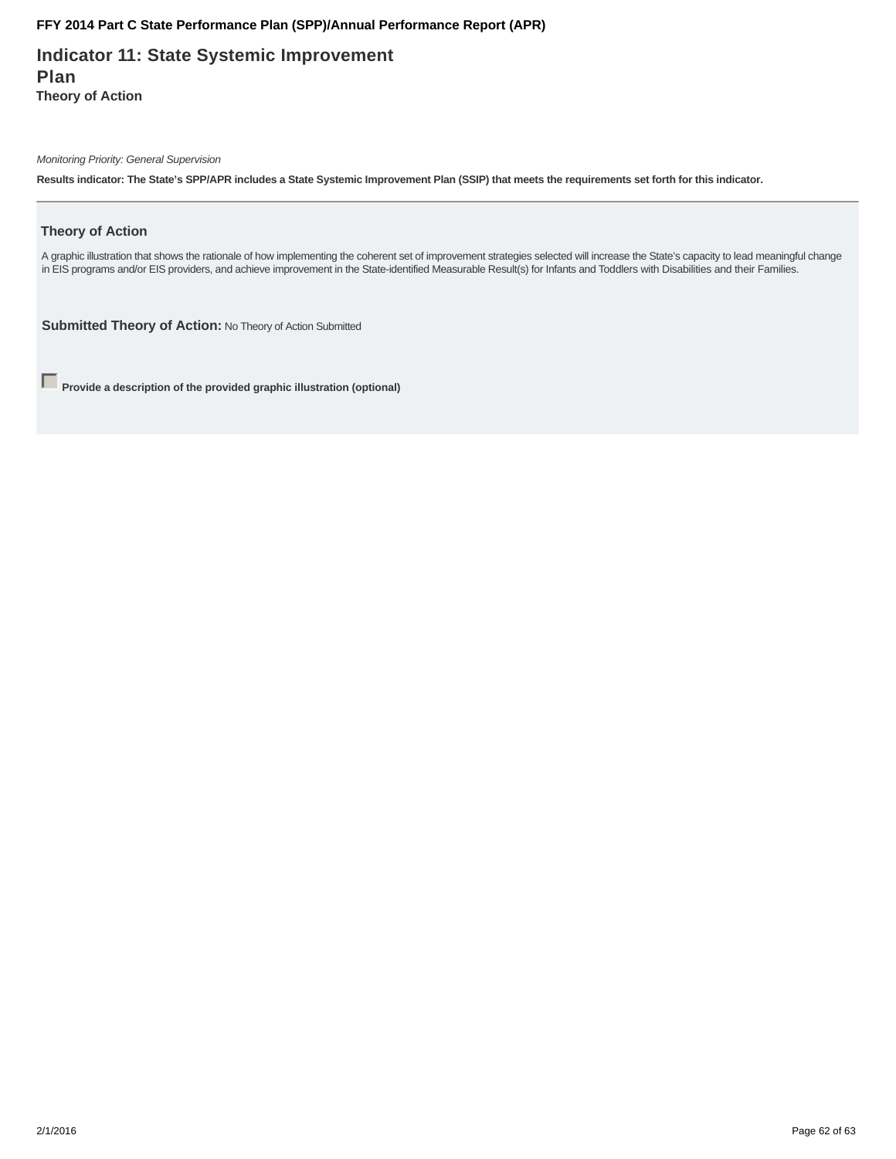**Indicator 11: State Systemic Improvement Plan Theory of Action**

Monitoring Priority: General Supervision

**Results indicator: The State's SPP/APR includes a State Systemic Improvement Plan (SSIP) that meets the requirements set forth for this indicator.**

### **Theory of Action**

A graphic illustration that shows the rationale of how implementing the coherent set of improvement strategies selected will increase the State's capacity to lead meaningful change in EIS programs and/or EIS providers, and achieve improvement in the State-identified Measurable Result(s) for Infants and Toddlers with Disabilities and their Families.

**Submitted Theory of Action:** No Theory of Action Submitted

**Provide a description of the provided graphic illustration (optional)**